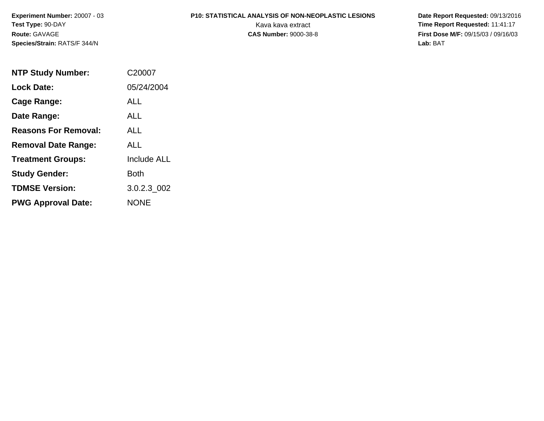**Experiment Number:** 20007 - 03**Test Type:** 90-DAY**Route:** GAVAGE**Species/Strain:** RATS/F 344/N

# **P10: STATISTICAL ANALYSIS OF NON-NEOPLASTIC LESIONS**

 **Date Report Requested:** 09/13/2016 Kava kava extract **Time Report Requested:** 11:41:17<br>**CAS Number:** 9000-38-8 **Time Report Requested:** 11:41:17 **First Dose M/F:** 09/15/03 / 09/16/03<br>Lab: BAT **Lab:** BAT

| <b>NTP Study Number:</b>    | C <sub>20007</sub> |
|-----------------------------|--------------------|
| <b>Lock Date:</b>           | 05/24/2004         |
| Cage Range:                 | ALL                |
| Date Range:                 | ALL                |
| <b>Reasons For Removal:</b> | AI I               |
| <b>Removal Date Range:</b>  | ALL                |
| <b>Treatment Groups:</b>    | <b>Include ALL</b> |
| <b>Study Gender:</b>        | Both               |
| <b>TDMSE Version:</b>       | 3.0.2.3 002        |
| <b>PWG Approval Date:</b>   | <b>NONE</b>        |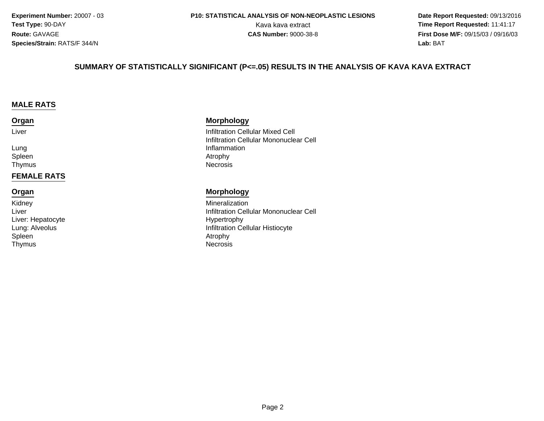**Experiment Number:** 20007 - 03**Test Type:** 90-DAY**Route:** GAVAGE**Species/Strain:** RATS/F 344/N

 **Date Report Requested:** 09/13/2016 Kava kava extract **Time Report Requested:** 11:41:17<br>**CAS Number:** 9000-38-8 **Time Report Requested:** 11:41:17 **First Dose M/F:** 09/15/03 / 09/16/03<br>**Lab:** BAT **Lab:** BAT

#### **SUMMARY OF STATISTICALLY SIGNIFICANT (P<=.05) RESULTS IN THE ANALYSIS OF KAVA KAVA EXTRACT**

#### **MALE RATS**

#### **Organ**

Liver

LungSpleenThymus

#### **FEMALE RATS**

#### **Organ**

KidneyLiverLiver: HepatocyteLung: AlveolusSpleenn and the contract of the contract of the contract of the contract of the contract of the contract of the contra<br>Attraction of the contract of the contract of the contract of the contract of the contract of the contract of ThymusNecrosis

#### **Morphology**

 Infiltration Cellular Mixed Cell Infiltration Cellular Mononuclear CellInflammation<br>Atrophy n and the contract of the contract of the contract of the contract of the contract of the contract of the contract of the contract of the contract of the contract of the contract of the contract of the contract of the cont Necrosis

#### **Morphology**

 Mineralization Infiltration Cellular Mononuclear Cell Hypertrophy Infiltration Cellular Histiocyte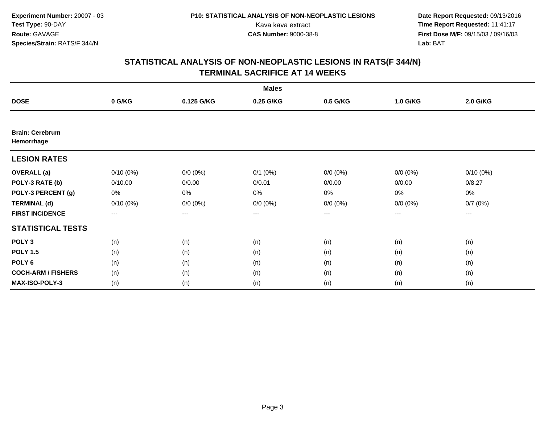| <b>Males</b>                         |             |             |              |                   |             |                     |  |  |  |
|--------------------------------------|-------------|-------------|--------------|-------------------|-------------|---------------------|--|--|--|
| <b>DOSE</b>                          | 0 G/KG      | 0.125 G/KG  | 0.25 G/KG    | 0.5 G/KG          | 1.0 G/KG    | 2.0 G/KG            |  |  |  |
|                                      |             |             |              |                   |             |                     |  |  |  |
| <b>Brain: Cerebrum</b><br>Hemorrhage |             |             |              |                   |             |                     |  |  |  |
| <b>LESION RATES</b>                  |             |             |              |                   |             |                     |  |  |  |
| <b>OVERALL</b> (a)                   | $0/10(0\%)$ | $0/0 (0\%)$ | $0/1$ $(0%)$ | $0/0 (0\%)$       | $0/0 (0\%)$ | $0/10(0\%)$         |  |  |  |
| POLY-3 RATE (b)                      | 0/10.00     | 0/0.00      | 0/0.01       | 0/0.00            | 0/0.00      | 0/8.27              |  |  |  |
| POLY-3 PERCENT (g)                   | 0%          | 0%          | 0%           | 0%                | $0\%$       | 0%                  |  |  |  |
| <b>TERMINAL (d)</b>                  | $0/10(0\%)$ | $0/0 (0\%)$ | $0/0 (0\%)$  | $0/0 (0\%)$       | $0/0 (0\%)$ | 0/7(0%)             |  |  |  |
| <b>FIRST INCIDENCE</b>               | $---$       | $---$       | ---          | $\qquad \qquad -$ | $---$       | $\qquad \qquad - -$ |  |  |  |
| <b>STATISTICAL TESTS</b>             |             |             |              |                   |             |                     |  |  |  |
| POLY <sub>3</sub>                    | (n)         | (n)         | (n)          | (n)               | (n)         | (n)                 |  |  |  |
| <b>POLY 1.5</b>                      | (n)         | (n)         | (n)          | (n)               | (n)         | (n)                 |  |  |  |
| POLY <sub>6</sub>                    | (n)         | (n)         | (n)          | (n)               | (n)         | (n)                 |  |  |  |
| <b>COCH-ARM / FISHERS</b>            | (n)         | (n)         | (n)          | (n)               | (n)         | (n)                 |  |  |  |
| <b>MAX-ISO-POLY-3</b>                | (n)         | (n)         | (n)          | (n)               | (n)         | (n)                 |  |  |  |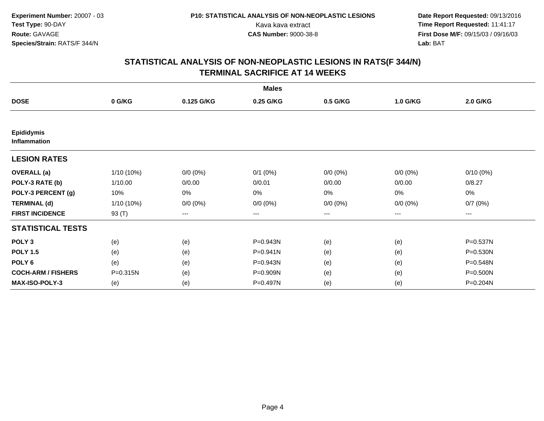| <b>Males</b>                             |              |             |              |                   |             |             |  |  |  |
|------------------------------------------|--------------|-------------|--------------|-------------------|-------------|-------------|--|--|--|
| <b>DOSE</b>                              | 0 G/KG       | 0.125 G/KG  | 0.25 G/KG    | 0.5 G/KG          | 1.0 G/KG    | 2.0 G/KG    |  |  |  |
|                                          |              |             |              |                   |             |             |  |  |  |
| <b>Epididymis</b><br><b>Inflammation</b> |              |             |              |                   |             |             |  |  |  |
| <b>LESION RATES</b>                      |              |             |              |                   |             |             |  |  |  |
| <b>OVERALL</b> (a)                       | $1/10(10\%)$ | $0/0 (0\%)$ | $0/1$ $(0%)$ | $0/0 (0\%)$       | $0/0 (0\%)$ | $0/10(0\%)$ |  |  |  |
| POLY-3 RATE (b)                          | 1/10.00      | 0/0.00      | 0/0.01       | 0/0.00            | 0/0.00      | 0/8.27      |  |  |  |
| POLY-3 PERCENT (g)                       | 10%          | 0%          | 0%           | 0%                | $0\%$       | 0%          |  |  |  |
| <b>TERMINAL (d)</b>                      | $1/10(10\%)$ | $0/0 (0\%)$ | $0/0 (0\%)$  | $0/0 (0\%)$       | $0/0 (0\%)$ | 0/7(0%)     |  |  |  |
| <b>FIRST INCIDENCE</b>                   | 93 (T)       | ---         | ---          | $\qquad \qquad -$ | ---         | ---         |  |  |  |
| <b>STATISTICAL TESTS</b>                 |              |             |              |                   |             |             |  |  |  |
| POLY <sub>3</sub>                        | (e)          | (e)         | P=0.943N     | (e)               | (e)         | P=0.537N    |  |  |  |
| <b>POLY 1.5</b>                          | (e)          | (e)         | P=0.941N     | (e)               | (e)         | P=0.530N    |  |  |  |
| POLY <sub>6</sub>                        | (e)          | (e)         | P=0.943N     | (e)               | (e)         | P=0.548N    |  |  |  |
| <b>COCH-ARM / FISHERS</b>                | P=0.315N     | (e)         | P=0.909N     | (e)               | (e)         | P=0.500N    |  |  |  |
| <b>MAX-ISO-POLY-3</b>                    | (e)          | (e)         | P=0.497N     | (e)               | (e)         | P=0.204N    |  |  |  |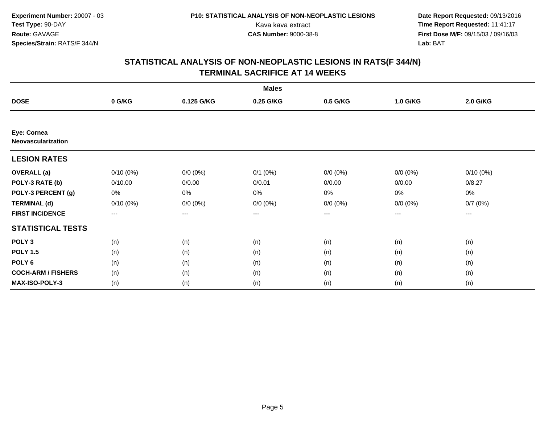| <b>Males</b>                      |             |             |              |             |             |                     |  |  |  |
|-----------------------------------|-------------|-------------|--------------|-------------|-------------|---------------------|--|--|--|
| <b>DOSE</b>                       | 0 G/KG      | 0.125 G/KG  | 0.25 G/KG    | 0.5 G/KG    | 1.0 G/KG    | 2.0 G/KG            |  |  |  |
|                                   |             |             |              |             |             |                     |  |  |  |
| Eye: Cornea<br>Neovascularization |             |             |              |             |             |                     |  |  |  |
| <b>LESION RATES</b>               |             |             |              |             |             |                     |  |  |  |
| <b>OVERALL</b> (a)                | $0/10(0\%)$ | $0/0 (0\%)$ | $0/1$ $(0%)$ | $0/0 (0\%)$ | $0/0 (0\%)$ | $0/10(0\%)$         |  |  |  |
| POLY-3 RATE (b)                   | 0/10.00     | 0/0.00      | 0/0.01       | 0/0.00      | 0/0.00      | 0/8.27              |  |  |  |
| POLY-3 PERCENT (g)                | 0%          | 0%          | 0%           | 0%          | $0\%$       | 0%                  |  |  |  |
| <b>TERMINAL (d)</b>               | $0/10(0\%)$ | $0/0 (0\%)$ | $0/0 (0\%)$  | $0/0 (0\%)$ | $0/0 (0\%)$ | 0/7(0%)             |  |  |  |
| <b>FIRST INCIDENCE</b>            | $---$       | $---$       | ---          | $\cdots$    | $---$       | $\qquad \qquad - -$ |  |  |  |
| <b>STATISTICAL TESTS</b>          |             |             |              |             |             |                     |  |  |  |
| POLY <sub>3</sub>                 | (n)         | (n)         | (n)          | (n)         | (n)         | (n)                 |  |  |  |
| <b>POLY 1.5</b>                   | (n)         | (n)         | (n)          | (n)         | (n)         | (n)                 |  |  |  |
| POLY <sub>6</sub>                 | (n)         | (n)         | (n)          | (n)         | (n)         | (n)                 |  |  |  |
| <b>COCH-ARM / FISHERS</b>         | (n)         | (n)         | (n)          | (n)         | (n)         | (n)                 |  |  |  |
| <b>MAX-ISO-POLY-3</b>             | (n)         | (n)         | (n)          | (n)         | (n)         | (n)                 |  |  |  |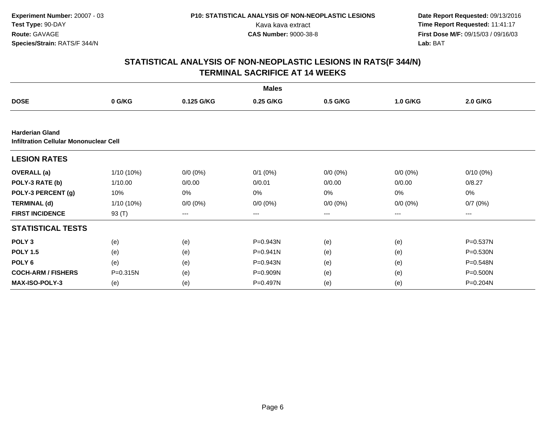**Experiment Number:** 20007 - 03**Test Type:** 90-DAY**Route:** GAVAGE**Species/Strain:** RATS/F 344/N

 **Date Report Requested:** 09/13/2016 Kava kava extract **Time Report Requested:** 11:41:17<br>**CAS Number:** 9000-38-8 **Time Report Requested:** 11:41:17 **First Dose M/F:** 09/15/03 / 09/16/03<br>Lab: BAT **Lab:** BAT

| <b>Males</b>                                                            |              |             |              |             |             |             |  |  |  |
|-------------------------------------------------------------------------|--------------|-------------|--------------|-------------|-------------|-------------|--|--|--|
| <b>DOSE</b>                                                             | 0 G/KG       | 0.125 G/KG  | 0.25 G/KG    | 0.5 G/KG    | 1.0 G/KG    | 2.0 G/KG    |  |  |  |
|                                                                         |              |             |              |             |             |             |  |  |  |
| <b>Harderian Gland</b><br><b>Infiltration Cellular Mononuclear Cell</b> |              |             |              |             |             |             |  |  |  |
| <b>LESION RATES</b>                                                     |              |             |              |             |             |             |  |  |  |
| <b>OVERALL</b> (a)                                                      | 1/10 (10%)   | $0/0 (0\%)$ | $0/1$ (0%)   | $0/0 (0\%)$ | $0/0 (0\%)$ | $0/10(0\%)$ |  |  |  |
| POLY-3 RATE (b)                                                         | 1/10.00      | 0/0.00      | 0/0.01       | 0/0.00      | 0/0.00      | 0/8.27      |  |  |  |
| POLY-3 PERCENT (g)                                                      | 10%          | 0%          | 0%           | 0%          | 0%          | 0%          |  |  |  |
| <b>TERMINAL (d)</b>                                                     | $1/10(10\%)$ | $0/0 (0\%)$ | $0/0 (0\%)$  | $0/0 (0\%)$ | $0/0 (0\%)$ | 0/7(0%)     |  |  |  |
| <b>FIRST INCIDENCE</b>                                                  | 93 (T)       | ---         | ---          | $--$        | ---         | ---         |  |  |  |
| <b>STATISTICAL TESTS</b>                                                |              |             |              |             |             |             |  |  |  |
| POLY <sub>3</sub>                                                       | (e)          | (e)         | P=0.943N     | (e)         | (e)         | P=0.537N    |  |  |  |
| <b>POLY 1.5</b>                                                         | (e)          | (e)         | $P = 0.941N$ | (e)         | (e)         | P=0.530N    |  |  |  |
| POLY 6                                                                  | (e)          | (e)         | P=0.943N     | (e)         | (e)         | P=0.548N    |  |  |  |
| <b>COCH-ARM / FISHERS</b>                                               | P=0.315N     | (e)         | P=0.909N     | (e)         | (e)         | P=0.500N    |  |  |  |
| <b>MAX-ISO-POLY-3</b>                                                   | (e)          | (e)         | P=0.497N     | (e)         | (e)         | P=0.204N    |  |  |  |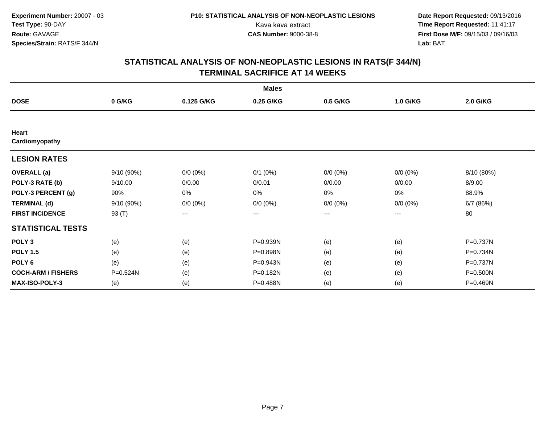| <b>Males</b>              |           |             |              |             |             |            |  |  |  |
|---------------------------|-----------|-------------|--------------|-------------|-------------|------------|--|--|--|
| <b>DOSE</b>               | 0 G/KG    | 0.125 G/KG  | 0.25 G/KG    | 0.5 G/KG    | 1.0 G/KG    | 2.0 G/KG   |  |  |  |
|                           |           |             |              |             |             |            |  |  |  |
| Heart<br>Cardiomyopathy   |           |             |              |             |             |            |  |  |  |
| <b>LESION RATES</b>       |           |             |              |             |             |            |  |  |  |
| <b>OVERALL</b> (a)        | 9/10(90%) | $0/0 (0\%)$ | $0/1$ $(0%)$ | $0/0 (0\%)$ | $0/0 (0\%)$ | 8/10 (80%) |  |  |  |
| POLY-3 RATE (b)           | 9/10.00   | 0/0.00      | 0/0.01       | 0/0.00      | 0/0.00      | 8/9.00     |  |  |  |
| POLY-3 PERCENT (g)        | 90%       | 0%          | 0%           | 0%          | $0\%$       | 88.9%      |  |  |  |
| <b>TERMINAL (d)</b>       | 9/10(90%) | $0/0 (0\%)$ | $0/0 (0\%)$  | $0/0 (0\%)$ | $0/0 (0\%)$ | 6/7 (86%)  |  |  |  |
| <b>FIRST INCIDENCE</b>    | 93 (T)    | ---         | ---          | ---         | ---         | 80         |  |  |  |
| <b>STATISTICAL TESTS</b>  |           |             |              |             |             |            |  |  |  |
| POLY <sub>3</sub>         | (e)       | (e)         | P=0.939N     | (e)         | (e)         | P=0.737N   |  |  |  |
| <b>POLY 1.5</b>           | (e)       | (e)         | P=0.898N     | (e)         | (e)         | P=0.734N   |  |  |  |
| POLY <sub>6</sub>         | (e)       | (e)         | P=0.943N     | (e)         | (e)         | P=0.737N   |  |  |  |
| <b>COCH-ARM / FISHERS</b> | P=0.524N  | (e)         | P=0.182N     | (e)         | (e)         | P=0.500N   |  |  |  |
| <b>MAX-ISO-POLY-3</b>     | (e)       | (e)         | P=0.488N     | (e)         | (e)         | P=0.469N   |  |  |  |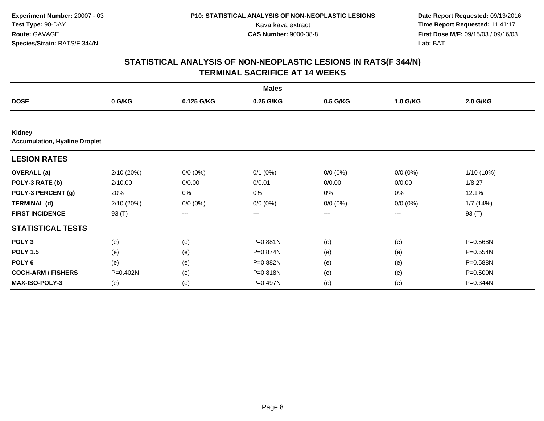| <b>Males</b>                                   |            |             |              |             |             |            |  |  |  |
|------------------------------------------------|------------|-------------|--------------|-------------|-------------|------------|--|--|--|
| <b>DOSE</b>                                    | 0 G/KG     | 0.125 G/KG  | 0.25 G/KG    | 0.5 G/KG    | 1.0 G/KG    | 2.0 G/KG   |  |  |  |
|                                                |            |             |              |             |             |            |  |  |  |
| Kidney<br><b>Accumulation, Hyaline Droplet</b> |            |             |              |             |             |            |  |  |  |
| <b>LESION RATES</b>                            |            |             |              |             |             |            |  |  |  |
| <b>OVERALL</b> (a)                             | 2/10 (20%) | $0/0 (0\%)$ | $0/1$ $(0%)$ | $0/0 (0\%)$ | $0/0 (0\%)$ | 1/10 (10%) |  |  |  |
| POLY-3 RATE (b)                                | 2/10.00    | 0/0.00      | 0/0.01       | 0/0.00      | 0/0.00      | 1/8.27     |  |  |  |
| POLY-3 PERCENT (g)                             | 20%        | 0%          | 0%           | 0%          | 0%          | 12.1%      |  |  |  |
| <b>TERMINAL (d)</b>                            | 2/10(20%)  | $0/0 (0\%)$ | $0/0 (0\%)$  | $0/0 (0\%)$ | $0/0 (0\%)$ | 1/7(14%)   |  |  |  |
| <b>FIRST INCIDENCE</b>                         | 93 (T)     | ---         | ---          | ---         | ---         | 93 (T)     |  |  |  |
| <b>STATISTICAL TESTS</b>                       |            |             |              |             |             |            |  |  |  |
| POLY <sub>3</sub>                              | (e)        | (e)         | P=0.881N     | (e)         | (e)         | P=0.568N   |  |  |  |
| <b>POLY 1.5</b>                                | (e)        | (e)         | P=0.874N     | (e)         | (e)         | P=0.554N   |  |  |  |
| POLY <sub>6</sub>                              | (e)        | (e)         | P=0.882N     | (e)         | (e)         | P=0.588N   |  |  |  |
| <b>COCH-ARM / FISHERS</b>                      | P=0.402N   | (e)         | P=0.818N     | (e)         | (e)         | P=0.500N   |  |  |  |
| <b>MAX-ISO-POLY-3</b>                          | (e)        | (e)         | P=0.497N     | (e)         | (e)         | P=0.344N   |  |  |  |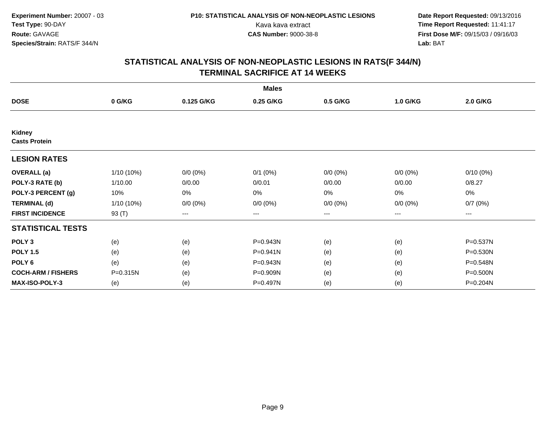| <b>Males</b>                   |              |             |              |                   |             |             |  |  |  |
|--------------------------------|--------------|-------------|--------------|-------------------|-------------|-------------|--|--|--|
| <b>DOSE</b>                    | 0 G/KG       | 0.125 G/KG  | 0.25 G/KG    | 0.5 G/KG          | 1.0 G/KG    | 2.0 G/KG    |  |  |  |
|                                |              |             |              |                   |             |             |  |  |  |
| Kidney<br><b>Casts Protein</b> |              |             |              |                   |             |             |  |  |  |
| <b>LESION RATES</b>            |              |             |              |                   |             |             |  |  |  |
| <b>OVERALL</b> (a)             | $1/10(10\%)$ | $0/0 (0\%)$ | $0/1$ $(0%)$ | $0/0 (0\%)$       | $0/0 (0\%)$ | $0/10(0\%)$ |  |  |  |
| POLY-3 RATE (b)                | 1/10.00      | 0/0.00      | 0/0.01       | 0/0.00            | 0/0.00      | 0/8.27      |  |  |  |
| POLY-3 PERCENT (g)             | 10%          | 0%          | 0%           | 0%                | $0\%$       | 0%          |  |  |  |
| <b>TERMINAL (d)</b>            | $1/10(10\%)$ | $0/0 (0\%)$ | $0/0 (0\%)$  | $0/0 (0\%)$       | $0/0 (0\%)$ | 0/7(0%)     |  |  |  |
| <b>FIRST INCIDENCE</b>         | 93 (T)       | ---         | ---          | $\qquad \qquad -$ | ---         | ---         |  |  |  |
| <b>STATISTICAL TESTS</b>       |              |             |              |                   |             |             |  |  |  |
| POLY <sub>3</sub>              | (e)          | (e)         | P=0.943N     | (e)               | (e)         | P=0.537N    |  |  |  |
| <b>POLY 1.5</b>                | (e)          | (e)         | P=0.941N     | (e)               | (e)         | P=0.530N    |  |  |  |
| POLY <sub>6</sub>              | (e)          | (e)         | P=0.943N     | (e)               | (e)         | P=0.548N    |  |  |  |
| <b>COCH-ARM / FISHERS</b>      | P=0.315N     | (e)         | P=0.909N     | (e)               | (e)         | P=0.500N    |  |  |  |
| <b>MAX-ISO-POLY-3</b>          | (e)          | (e)         | P=0.497N     | (e)               | (e)         | P=0.204N    |  |  |  |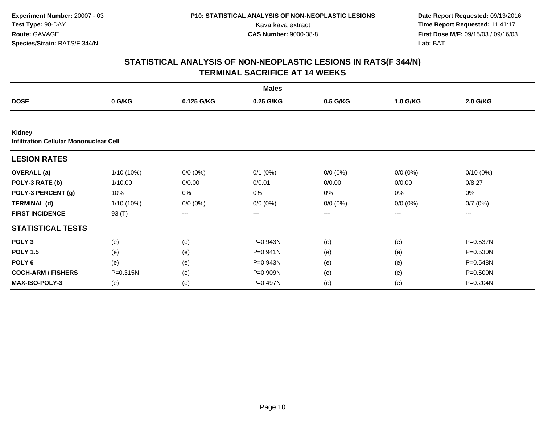| <b>Males</b>                                            |              |             |              |             |             |             |  |  |  |
|---------------------------------------------------------|--------------|-------------|--------------|-------------|-------------|-------------|--|--|--|
| <b>DOSE</b>                                             | 0 G/KG       | 0.125 G/KG  | 0.25 G/KG    | 0.5 G/KG    | 1.0 G/KG    | 2.0 G/KG    |  |  |  |
|                                                         |              |             |              |             |             |             |  |  |  |
| Kidney<br><b>Infiltration Cellular Mononuclear Cell</b> |              |             |              |             |             |             |  |  |  |
| <b>LESION RATES</b>                                     |              |             |              |             |             |             |  |  |  |
| <b>OVERALL</b> (a)                                      | $1/10(10\%)$ | $0/0 (0\%)$ | $0/1$ $(0%)$ | $0/0 (0\%)$ | $0/0 (0\%)$ | $0/10(0\%)$ |  |  |  |
| POLY-3 RATE (b)                                         | 1/10.00      | 0/0.00      | 0/0.01       | 0/0.00      | 0/0.00      | 0/8.27      |  |  |  |
| POLY-3 PERCENT (g)                                      | 10%          | 0%          | 0%           | 0%          | 0%          | 0%          |  |  |  |
| <b>TERMINAL (d)</b>                                     | 1/10 (10%)   | $0/0 (0\%)$ | $0/0 (0\%)$  | $0/0 (0\%)$ | $0/0 (0\%)$ | 0/7(0%)     |  |  |  |
| <b>FIRST INCIDENCE</b>                                  | 93 (T)       | ---         | ---          | $---$       | ---         | ---         |  |  |  |
| <b>STATISTICAL TESTS</b>                                |              |             |              |             |             |             |  |  |  |
| POLY <sub>3</sub>                                       | (e)          | (e)         | P=0.943N     | (e)         | (e)         | P=0.537N    |  |  |  |
| <b>POLY 1.5</b>                                         | (e)          | (e)         | P=0.941N     | (e)         | (e)         | P=0.530N    |  |  |  |
| POLY <sub>6</sub>                                       | (e)          | (e)         | P=0.943N     | (e)         | (e)         | P=0.548N    |  |  |  |
| <b>COCH-ARM / FISHERS</b>                               | P=0.315N     | (e)         | P=0.909N     | (e)         | (e)         | P=0.500N    |  |  |  |
| <b>MAX-ISO-POLY-3</b>                                   | (e)          | (e)         | P=0.497N     | (e)         | (e)         | P=0.204N    |  |  |  |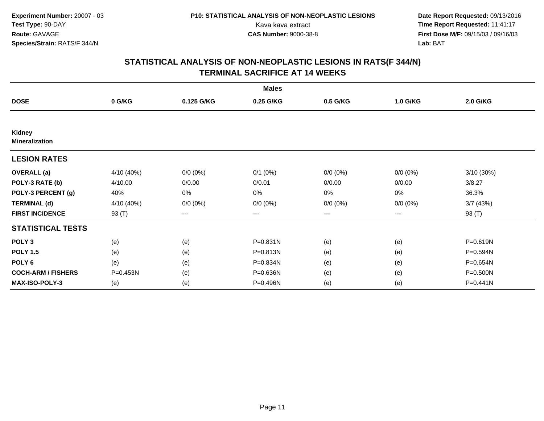| <b>Males</b>                    |            |             |              |             |             |            |  |  |  |
|---------------------------------|------------|-------------|--------------|-------------|-------------|------------|--|--|--|
| <b>DOSE</b>                     | 0 G/KG     | 0.125 G/KG  | 0.25 G/KG    | 0.5 G/KG    | 1.0 G/KG    | 2.0 G/KG   |  |  |  |
|                                 |            |             |              |             |             |            |  |  |  |
| Kidney<br><b>Mineralization</b> |            |             |              |             |             |            |  |  |  |
| <b>LESION RATES</b>             |            |             |              |             |             |            |  |  |  |
| <b>OVERALL</b> (a)              | 4/10 (40%) | $0/0 (0\%)$ | $0/1$ $(0%)$ | $0/0 (0\%)$ | $0/0 (0\%)$ | 3/10 (30%) |  |  |  |
| POLY-3 RATE (b)                 | 4/10.00    | 0/0.00      | 0/0.01       | 0/0.00      | 0/0.00      | 3/8.27     |  |  |  |
| POLY-3 PERCENT (g)              | 40%        | 0%          | 0%           | 0%          | 0%          | 36.3%      |  |  |  |
| <b>TERMINAL (d)</b>             | 4/10 (40%) | $0/0 (0\%)$ | $0/0 (0\%)$  | $0/0 (0\%)$ | $0/0 (0\%)$ | 3/7(43%)   |  |  |  |
| <b>FIRST INCIDENCE</b>          | 93 $(T)$   | ---         | ---          | ---         | ---         | 93 (T)     |  |  |  |
| <b>STATISTICAL TESTS</b>        |            |             |              |             |             |            |  |  |  |
| POLY <sub>3</sub>               | (e)        | (e)         | P=0.831N     | (e)         | (e)         | P=0.619N   |  |  |  |
| <b>POLY 1.5</b>                 | (e)        | (e)         | P=0.813N     | (e)         | (e)         | P=0.594N   |  |  |  |
| POLY <sub>6</sub>               | (e)        | (e)         | P=0.834N     | (e)         | (e)         | P=0.654N   |  |  |  |
| <b>COCH-ARM / FISHERS</b>       | P=0.453N   | (e)         | P=0.636N     | (e)         | (e)         | P=0.500N   |  |  |  |
| <b>MAX-ISO-POLY-3</b>           | (e)        | (e)         | P=0.496N     | (e)         | (e)         | P=0.441N   |  |  |  |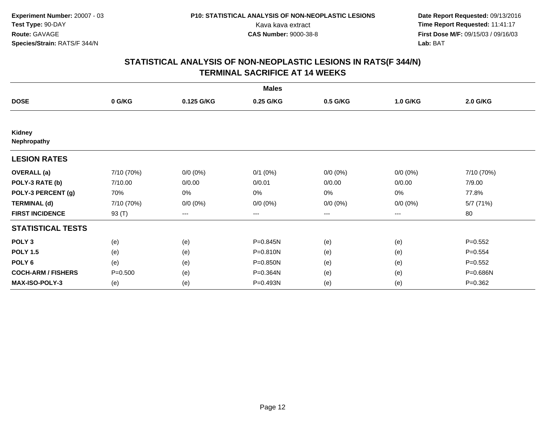| <b>Males</b>              |             |             |              |             |             |             |  |  |  |
|---------------------------|-------------|-------------|--------------|-------------|-------------|-------------|--|--|--|
| <b>DOSE</b>               | 0 G/KG      | 0.125 G/KG  | 0.25 G/KG    | 0.5 G/KG    | 1.0 G/KG    | 2.0 G/KG    |  |  |  |
|                           |             |             |              |             |             |             |  |  |  |
| Kidney<br>Nephropathy     |             |             |              |             |             |             |  |  |  |
| <b>LESION RATES</b>       |             |             |              |             |             |             |  |  |  |
| <b>OVERALL</b> (a)        | 7/10 (70%)  | $0/0 (0\%)$ | $0/1$ $(0%)$ | $0/0 (0\%)$ | $0/0 (0\%)$ | 7/10 (70%)  |  |  |  |
| POLY-3 RATE (b)           | 7/10.00     | 0/0.00      | 0/0.01       | 0/0.00      | 0/0.00      | 7/9.00      |  |  |  |
| POLY-3 PERCENT (g)        | 70%         | 0%          | 0%           | 0%          | $0\%$       | 77.8%       |  |  |  |
| <b>TERMINAL (d)</b>       | 7/10 (70%)  | $0/0 (0\%)$ | $0/0 (0\%)$  | $0/0 (0\%)$ | $0/0 (0\%)$ | 5/7 (71%)   |  |  |  |
| <b>FIRST INCIDENCE</b>    | 93 (T)      | ---         | ---          | $--$        | ---         | 80          |  |  |  |
| <b>STATISTICAL TESTS</b>  |             |             |              |             |             |             |  |  |  |
| POLY <sub>3</sub>         | (e)         | (e)         | P=0.845N     | (e)         | (e)         | $P=0.552$   |  |  |  |
| <b>POLY 1.5</b>           | (e)         | (e)         | P=0.810N     | (e)         | (e)         | $P = 0.554$ |  |  |  |
| POLY <sub>6</sub>         | (e)         | (e)         | $P = 0.850N$ | (e)         | (e)         | $P = 0.552$ |  |  |  |
| <b>COCH-ARM / FISHERS</b> | $P = 0.500$ | (e)         | P=0.364N     | (e)         | (e)         | P=0.686N    |  |  |  |
| <b>MAX-ISO-POLY-3</b>     | (e)         | (e)         | P=0.493N     | (e)         | (e)         | $P=0.362$   |  |  |  |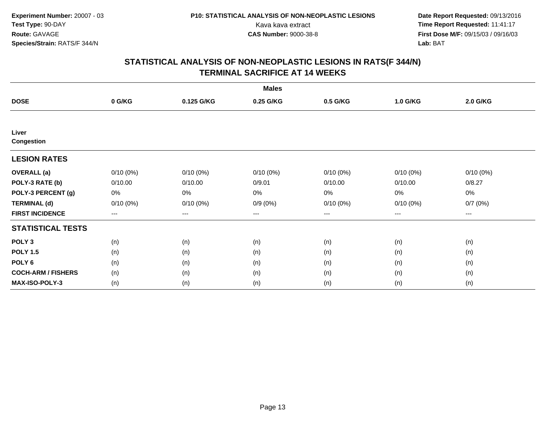| <b>Males</b>               |             |             |             |                   |             |                     |  |  |  |
|----------------------------|-------------|-------------|-------------|-------------------|-------------|---------------------|--|--|--|
| <b>DOSE</b>                | 0 G/KG      | 0.125 G/KG  | 0.25 G/KG   | 0.5 G/KG          | 1.0 G/KG    | 2.0 G/KG            |  |  |  |
|                            |             |             |             |                   |             |                     |  |  |  |
| Liver<br><b>Congestion</b> |             |             |             |                   |             |                     |  |  |  |
| <b>LESION RATES</b>        |             |             |             |                   |             |                     |  |  |  |
| <b>OVERALL</b> (a)         | $0/10(0\%)$ | $0/10(0\%)$ | $0/10(0\%)$ | $0/10(0\%)$       | $0/10(0\%)$ | $0/10(0\%)$         |  |  |  |
| POLY-3 RATE (b)            | 0/10.00     | 0/10.00     | 0/9.01      | 0/10.00           | 0/10.00     | 0/8.27              |  |  |  |
| POLY-3 PERCENT (g)         | 0%          | 0%          | 0%          | 0%                | 0%          | 0%                  |  |  |  |
| <b>TERMINAL (d)</b>        | 0/10(0%)    | $0/10(0\%)$ | $0/9(0\%)$  | 0/10(0%)          | 0/10(0%)    | 0/7(0%)             |  |  |  |
| <b>FIRST INCIDENCE</b>     | $---$       | $---$       | ---         | $\qquad \qquad -$ | $---$       | $\qquad \qquad - -$ |  |  |  |
| <b>STATISTICAL TESTS</b>   |             |             |             |                   |             |                     |  |  |  |
| POLY <sub>3</sub>          | (n)         | (n)         | (n)         | (n)               | (n)         | (n)                 |  |  |  |
| <b>POLY 1.5</b>            | (n)         | (n)         | (n)         | (n)               | (n)         | (n)                 |  |  |  |
| POLY <sub>6</sub>          | (n)         | (n)         | (n)         | (n)               | (n)         | (n)                 |  |  |  |
| <b>COCH-ARM / FISHERS</b>  | (n)         | (n)         | (n)         | (n)               | (n)         | (n)                 |  |  |  |
| <b>MAX-ISO-POLY-3</b>      | (n)         | (n)         | (n)         | (n)               | (n)         | (n)                 |  |  |  |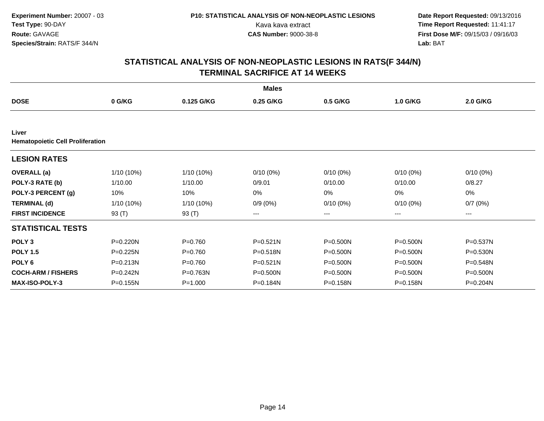|                                                  |              |             | <b>Males</b> |             |              |              |
|--------------------------------------------------|--------------|-------------|--------------|-------------|--------------|--------------|
| <b>DOSE</b>                                      | 0 G/KG       | 0.125 G/KG  | 0.25 G/KG    | 0.5 G/KG    | 1.0 G/KG     | 2.0 G/KG     |
|                                                  |              |             |              |             |              |              |
| Liver<br><b>Hematopoietic Cell Proliferation</b> |              |             |              |             |              |              |
| <b>LESION RATES</b>                              |              |             |              |             |              |              |
| <b>OVERALL</b> (a)                               | 1/10 (10%)   | 1/10 (10%)  | $0/10(0\%)$  | $0/10(0\%)$ | 0/10(0%)     | $0/10(0\%)$  |
| POLY-3 RATE (b)                                  | 1/10.00      | 1/10.00     | 0/9.01       | 0/10.00     | 0/10.00      | 0/8.27       |
| POLY-3 PERCENT (g)                               | 10%          | 10%         | 0%           | 0%          | 0%           | 0%           |
| <b>TERMINAL (d)</b>                              | $1/10(10\%)$ | 1/10 (10%)  | $0/9(0\%)$   | $0/10(0\%)$ | $0/10(0\%)$  | 0/7(0%)      |
| <b>FIRST INCIDENCE</b>                           | 93 $(T)$     | 93 (T)      | ---          | ---         | ---          | ---          |
| <b>STATISTICAL TESTS</b>                         |              |             |              |             |              |              |
| POLY <sub>3</sub>                                | P=0.220N     | $P = 0.760$ | $P = 0.521N$ | P=0.500N    | $P = 0.500N$ | P=0.537N     |
| <b>POLY 1.5</b>                                  | $P = 0.225N$ | $P=0.760$   | P=0.518N     | P=0.500N    | $P = 0.500N$ | $P = 0.530N$ |
| POLY <sub>6</sub>                                | $P = 0.213N$ | $P = 0.760$ | $P = 0.521N$ | P=0.500N    | $P = 0.500N$ | P=0.548N     |
| <b>COCH-ARM / FISHERS</b>                        | P=0.242N     | P=0.763N    | $P = 0.500N$ | P=0.500N    | P=0.500N     | P=0.500N     |
| <b>MAX-ISO-POLY-3</b>                            | P=0.155N     | $P = 1.000$ | P=0.184N     | P=0.158N    | P=0.158N     | P=0.204N     |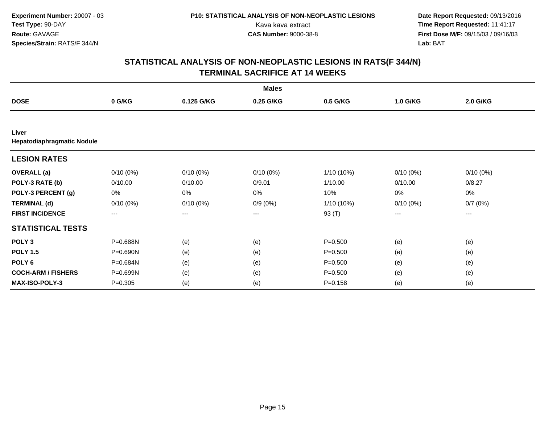|                                     |             |                   | <b>Males</b> |              |             |             |  |
|-------------------------------------|-------------|-------------------|--------------|--------------|-------------|-------------|--|
| <b>DOSE</b>                         | 0 G/KG      | 0.125 G/KG        | 0.25 G/KG    | 0.5 G/KG     | 1.0 G/KG    | 2.0 G/KG    |  |
|                                     |             |                   |              |              |             |             |  |
| Liver<br>Hepatodiaphragmatic Nodule |             |                   |              |              |             |             |  |
| <b>LESION RATES</b>                 |             |                   |              |              |             |             |  |
| <b>OVERALL</b> (a)                  | $0/10(0\%)$ | $0/10(0\%)$       | $0/10(0\%)$  | $1/10(10\%)$ | $0/10(0\%)$ | $0/10(0\%)$ |  |
| POLY-3 RATE (b)                     | 0/10.00     | 0/10.00           | 0/9.01       | 1/10.00      | 0/10.00     | 0/8.27      |  |
| POLY-3 PERCENT (g)                  | 0%          | 0%                | 0%           | 10%          | 0%          | 0%          |  |
| <b>TERMINAL (d)</b>                 | $0/10(0\%)$ | $0/10(0\%)$       | $0/9(0\%)$   | $1/10(10\%)$ | $0/10(0\%)$ | 0/7(0%)     |  |
| <b>FIRST INCIDENCE</b>              | $--$        | $\qquad \qquad -$ | ---          | 93 (T)       | ---         | ---         |  |
| <b>STATISTICAL TESTS</b>            |             |                   |              |              |             |             |  |
| POLY <sub>3</sub>                   | P=0.688N    | (e)               | (e)          | $P = 0.500$  | (e)         | (e)         |  |
| <b>POLY 1.5</b>                     | P=0.690N    | (e)               | (e)          | $P = 0.500$  | (e)         | (e)         |  |
| POLY <sub>6</sub>                   | P=0.684N    | (e)               | (e)          | $P = 0.500$  | (e)         | (e)         |  |
| <b>COCH-ARM / FISHERS</b>           | P=0.699N    | (e)               | (e)          | $P = 0.500$  | (e)         | (e)         |  |
| <b>MAX-ISO-POLY-3</b>               | $P = 0.305$ | (e)               | (e)          | $P = 0.158$  | (e)         | (e)         |  |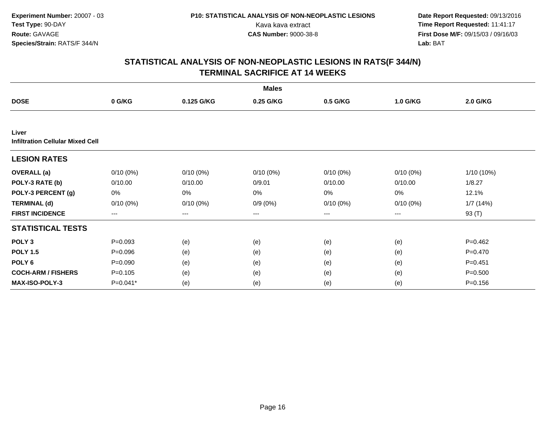|                                                  |                        |             | <b>Males</b> |             |             |             |
|--------------------------------------------------|------------------------|-------------|--------------|-------------|-------------|-------------|
| <b>DOSE</b>                                      | 0 G/KG                 | 0.125 G/KG  | 0.25 G/KG    | 0.5 G/KG    | 1.0 G/KG    | 2.0 G/KG    |
|                                                  |                        |             |              |             |             |             |
| Liver<br><b>Infiltration Cellular Mixed Cell</b> |                        |             |              |             |             |             |
| <b>LESION RATES</b>                              |                        |             |              |             |             |             |
| <b>OVERALL</b> (a)                               | $0/10(0\%)$            | $0/10(0\%)$ | $0/10(0\%)$  | $0/10(0\%)$ | $0/10(0\%)$ | 1/10 (10%)  |
| POLY-3 RATE (b)                                  | 0/10.00                | 0/10.00     | 0/9.01       | 0/10.00     | 0/10.00     | 1/8.27      |
| POLY-3 PERCENT (g)                               | 0%                     | 0%          | 0%           | 0%          | 0%          | 12.1%       |
| <b>TERMINAL (d)</b>                              | $0/10(0\%)$            | $0/10(0\%)$ | $0/9(0\%)$   | $0/10(0\%)$ | $0/10(0\%)$ | 1/7(14%)    |
| <b>FIRST INCIDENCE</b>                           | $\qquad \qquad \cdots$ | ---         | ---          | ---         | ---         | 93 (T)      |
| <b>STATISTICAL TESTS</b>                         |                        |             |              |             |             |             |
| POLY <sub>3</sub>                                | $P = 0.093$            | (e)         | (e)          | (e)         | (e)         | $P = 0.462$ |
| <b>POLY 1.5</b>                                  | $P = 0.096$            | (e)         | (e)          | (e)         | (e)         | $P = 0.470$ |
| POLY <sub>6</sub>                                | $P = 0.090$            | (e)         | (e)          | (e)         | (e)         | $P = 0.451$ |
| <b>COCH-ARM / FISHERS</b>                        | $P = 0.105$            | (e)         | (e)          | (e)         | (e)         | $P = 0.500$ |
| <b>MAX-ISO-POLY-3</b>                            | P=0.041*               | (e)         | (e)          | (e)         | (e)         | $P = 0.156$ |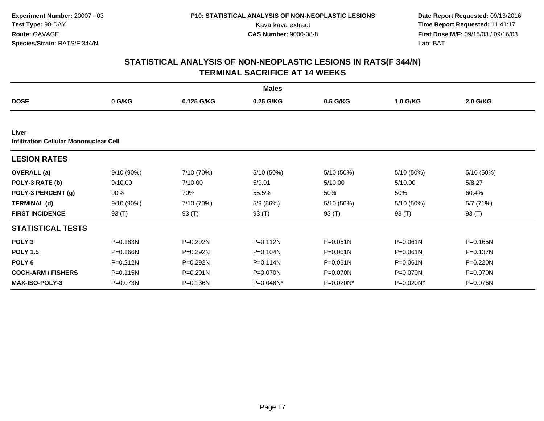|                                                 |              |              | <b>Males</b> |              |              |              |  |
|-------------------------------------------------|--------------|--------------|--------------|--------------|--------------|--------------|--|
| <b>DOSE</b>                                     | 0 G/KG       | 0.125 G/KG   | 0.25 G/KG    | 0.5 G/KG     | 1.0 G/KG     | 2.0 G/KG     |  |
|                                                 |              |              |              |              |              |              |  |
| Liver<br>Infiltration Cellular Mononuclear Cell |              |              |              |              |              |              |  |
| <b>LESION RATES</b>                             |              |              |              |              |              |              |  |
| <b>OVERALL</b> (a)                              | $9/10(90\%)$ | 7/10 (70%)   | 5/10 (50%)   | 5/10 (50%)   | 5/10 (50%)   | 5/10 (50%)   |  |
| POLY-3 RATE (b)                                 | 9/10.00      | 7/10.00      | 5/9.01       | 5/10.00      | 5/10.00      | 5/8.27       |  |
| POLY-3 PERCENT (g)                              | 90%          | 70%          | 55.5%        | 50%          | 50%          | 60.4%        |  |
| <b>TERMINAL (d)</b>                             | $9/10(90\%)$ | 7/10 (70%)   | 5/9 (56%)    | 5/10(50%)    | 5/10 (50%)   | 5/7(71%)     |  |
| <b>FIRST INCIDENCE</b>                          | 93 $(T)$     | 93 (T)       | 93 (T)       | 93 $(T)$     | 93 $(T)$     | 93 $(T)$     |  |
| <b>STATISTICAL TESTS</b>                        |              |              |              |              |              |              |  |
| POLY <sub>3</sub>                               | P=0.183N     | P=0.292N     | $P = 0.112N$ | $P = 0.061N$ | $P = 0.061N$ | $P = 0.165N$ |  |
| <b>POLY 1.5</b>                                 | P=0.166N     | P=0.292N     | P=0.104N     | $P = 0.061N$ | $P = 0.061N$ | P=0.137N     |  |
| POLY <sub>6</sub>                               | $P = 0.212N$ | P=0.292N     | $P = 0.114N$ | P=0.061N     | $P = 0.061N$ | P=0.220N     |  |
| <b>COCH-ARM / FISHERS</b>                       | $P = 0.115N$ | $P = 0.291N$ | P=0.070N     | P=0.070N     | P=0.070N     | P=0.070N     |  |
| <b>MAX-ISO-POLY-3</b>                           | P=0.073N     | P=0.136N     | $P=0.048N^*$ | $P=0.020N^*$ | P=0.020N*    | $P=0.076N$   |  |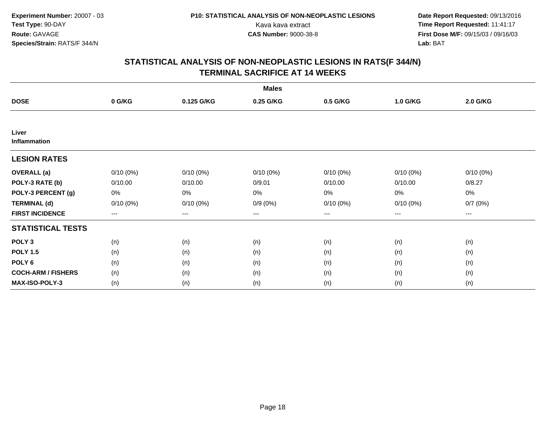|                           |             |             | <b>Males</b> |                        |             |             |  |
|---------------------------|-------------|-------------|--------------|------------------------|-------------|-------------|--|
| <b>DOSE</b>               | 0 G/KG      | 0.125 G/KG  | 0.25 G/KG    | 0.5 G/KG               | 1.0 G/KG    | 2.0 G/KG    |  |
|                           |             |             |              |                        |             |             |  |
| Liver<br>Inflammation     |             |             |              |                        |             |             |  |
| <b>LESION RATES</b>       |             |             |              |                        |             |             |  |
| <b>OVERALL</b> (a)        | $0/10(0\%)$ | $0/10(0\%)$ | $0/10(0\%)$  | $0/10(0\%)$            | $0/10(0\%)$ | $0/10(0\%)$ |  |
| POLY-3 RATE (b)           | 0/10.00     | 0/10.00     | 0/9.01       | 0/10.00                | 0/10.00     | 0/8.27      |  |
| POLY-3 PERCENT (g)        | 0%          | 0%          | 0%           | 0%                     | 0%          | 0%          |  |
| <b>TERMINAL (d)</b>       | $0/10(0\%)$ | $0/10(0\%)$ | $0/9(0\%)$   | $0/10(0\%)$            | 0/10(0%)    | 0/7(0%)     |  |
| <b>FIRST INCIDENCE</b>    | $--$        | ---         | ---          | $\qquad \qquad \cdots$ | ---         | ---         |  |
| <b>STATISTICAL TESTS</b>  |             |             |              |                        |             |             |  |
| POLY <sub>3</sub>         | (n)         | (n)         | (n)          | (n)                    | (n)         | (n)         |  |
| <b>POLY 1.5</b>           | (n)         | (n)         | (n)          | (n)                    | (n)         | (n)         |  |
| POLY <sub>6</sub>         | (n)         | (n)         | (n)          | (n)                    | (n)         | (n)         |  |
| <b>COCH-ARM / FISHERS</b> | (n)         | (n)         | (n)          | (n)                    | (n)         | (n)         |  |
| <b>MAX-ISO-POLY-3</b>     | (n)         | (n)         | (n)          | (n)                    | (n)         | (n)         |  |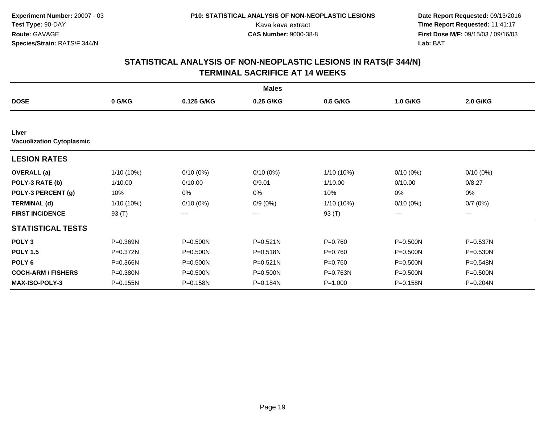|                                           |              |              | <b>Males</b> |              |              |              |  |
|-------------------------------------------|--------------|--------------|--------------|--------------|--------------|--------------|--|
| <b>DOSE</b>                               | 0 G/KG       | 0.125 G/KG   | 0.25 G/KG    | 0.5 G/KG     | 1.0 G/KG     | 2.0 G/KG     |  |
|                                           |              |              |              |              |              |              |  |
| Liver<br><b>Vacuolization Cytoplasmic</b> |              |              |              |              |              |              |  |
| <b>LESION RATES</b>                       |              |              |              |              |              |              |  |
| <b>OVERALL</b> (a)                        | 1/10 (10%)   | $0/10(0\%)$  | $0/10(0\%)$  | 1/10 (10%)   | $0/10(0\%)$  | $0/10(0\%)$  |  |
| POLY-3 RATE (b)                           | 1/10.00      | 0/10.00      | 0/9.01       | 1/10.00      | 0/10.00      | 0/8.27       |  |
| POLY-3 PERCENT (g)                        | 10%          | 0%           | 0%           | 10%          | 0%           | 0%           |  |
| <b>TERMINAL (d)</b>                       | $1/10(10\%)$ | $0/10(0\%)$  | $0/9(0\%)$   | $1/10(10\%)$ | $0/10(0\%)$  | 0/7(0%)      |  |
| <b>FIRST INCIDENCE</b>                    | 93 $(T)$     | ---          | ---          | 93 (T)       | ---          | ---          |  |
| <b>STATISTICAL TESTS</b>                  |              |              |              |              |              |              |  |
| POLY <sub>3</sub>                         | P=0.369N     | $P = 0.500N$ | $P = 0.521N$ | $P = 0.760$  | $P = 0.500N$ | P=0.537N     |  |
| <b>POLY 1.5</b>                           | P=0.372N     | $P = 0.500N$ | P=0.518N     | $P = 0.760$  | $P = 0.500N$ | $P = 0.530N$ |  |
| POLY <sub>6</sub>                         | P=0.366N     | $P = 0.500N$ | $P = 0.521N$ | $P = 0.760$  | $P = 0.500N$ | P=0.548N     |  |
| <b>COCH-ARM / FISHERS</b>                 | P=0.380N     | P=0.500N     | $P = 0.500N$ | P=0.763N     | P=0.500N     | P=0.500N     |  |
| <b>MAX-ISO-POLY-3</b>                     | P=0.155N     | P=0.158N     | P=0.184N     | $P = 1.000$  | P=0.158N     | P=0.204N     |  |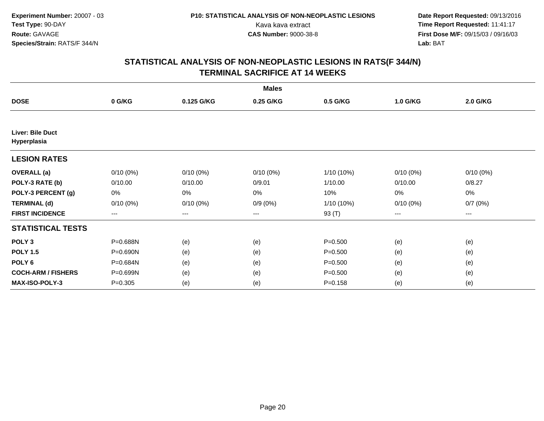|                                 |             |             | <b>Males</b> |              |             |             |
|---------------------------------|-------------|-------------|--------------|--------------|-------------|-------------|
| <b>DOSE</b>                     | 0 G/KG      | 0.125 G/KG  | 0.25 G/KG    | 0.5 G/KG     | 1.0 G/KG    | 2.0 G/KG    |
|                                 |             |             |              |              |             |             |
| Liver: Bile Duct<br>Hyperplasia |             |             |              |              |             |             |
| <b>LESION RATES</b>             |             |             |              |              |             |             |
| <b>OVERALL</b> (a)              | $0/10(0\%)$ | $0/10(0\%)$ | $0/10(0\%)$  | 1/10 (10%)   | $0/10(0\%)$ | $0/10(0\%)$ |
| POLY-3 RATE (b)                 | 0/10.00     | 0/10.00     | 0/9.01       | 1/10.00      | 0/10.00     | 0/8.27      |
| POLY-3 PERCENT (g)              | 0%          | 0%          | 0%           | 10%          | 0%          | 0%          |
| <b>TERMINAL (d)</b>             | $0/10(0\%)$ | $0/10(0\%)$ | $0/9(0\%)$   | $1/10(10\%)$ | $0/10(0\%)$ | 0/7(0%)     |
| <b>FIRST INCIDENCE</b>          | $--$        | ---         | ---          | 93 (T)       | ---         | ---         |
| <b>STATISTICAL TESTS</b>        |             |             |              |              |             |             |
| POLY <sub>3</sub>               | P=0.688N    | (e)         | (e)          | $P = 0.500$  | (e)         | (e)         |
| <b>POLY 1.5</b>                 | P=0.690N    | (e)         | (e)          | $P = 0.500$  | (e)         | (e)         |
| POLY <sub>6</sub>               | P=0.684N    | (e)         | (e)          | $P = 0.500$  | (e)         | (e)         |
| <b>COCH-ARM / FISHERS</b>       | P=0.699N    | (e)         | (e)          | $P = 0.500$  | (e)         | (e)         |
| <b>MAX-ISO-POLY-3</b>           | $P = 0.305$ | (e)         | (e)          | $P = 0.158$  | (e)         | (e)         |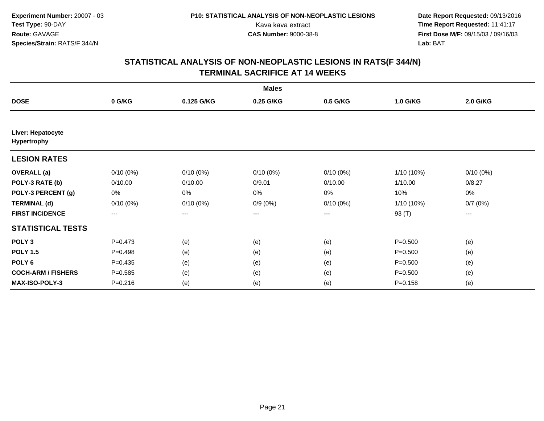|                                         |             |             | <b>Males</b> |                        |             |             |  |
|-----------------------------------------|-------------|-------------|--------------|------------------------|-------------|-------------|--|
| <b>DOSE</b>                             | 0 G/KG      | 0.125 G/KG  | 0.25 G/KG    | 0.5 G/KG               | 1.0 G/KG    | 2.0 G/KG    |  |
|                                         |             |             |              |                        |             |             |  |
| Liver: Hepatocyte<br><b>Hypertrophy</b> |             |             |              |                        |             |             |  |
| <b>LESION RATES</b>                     |             |             |              |                        |             |             |  |
| <b>OVERALL</b> (a)                      | $0/10(0\%)$ | $0/10(0\%)$ | $0/10(0\%)$  | $0/10(0\%)$            | 1/10 (10%)  | $0/10(0\%)$ |  |
| POLY-3 RATE (b)                         | 0/10.00     | 0/10.00     | 0/9.01       | 0/10.00                | 1/10.00     | 0/8.27      |  |
| POLY-3 PERCENT (g)                      | 0%          | 0%          | 0%           | 0%                     | 10%         | 0%          |  |
| <b>TERMINAL (d)</b>                     | $0/10(0\%)$ | $0/10(0\%)$ | $0/9(0\%)$   | $0/10(0\%)$            | 1/10 (10%)  | 0/7(0%)     |  |
| <b>FIRST INCIDENCE</b>                  | $---$       | ---         | ---          | $\qquad \qquad \cdots$ | 93 (T)      | ---         |  |
| <b>STATISTICAL TESTS</b>                |             |             |              |                        |             |             |  |
| POLY <sub>3</sub>                       | $P = 0.473$ | (e)         | (e)          | (e)                    | $P = 0.500$ | (e)         |  |
| <b>POLY 1.5</b>                         | $P = 0.498$ | (e)         | (e)          | (e)                    | $P = 0.500$ | (e)         |  |
| POLY <sub>6</sub>                       | $P=0.435$   | (e)         | (e)          | (e)                    | $P = 0.500$ | (e)         |  |
| <b>COCH-ARM / FISHERS</b>               | $P = 0.585$ | (e)         | (e)          | (e)                    | $P = 0.500$ | (e)         |  |
| <b>MAX-ISO-POLY-3</b>                   | $P = 0.216$ | (e)         | (e)          | (e)                    | $P = 0.158$ | (e)         |  |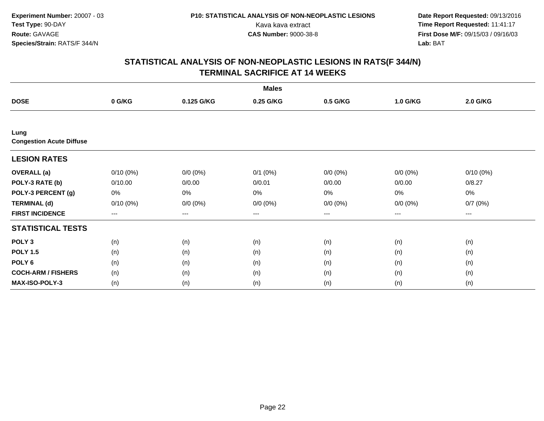|                                         |             |             | <b>Males</b> |             |             |             |  |
|-----------------------------------------|-------------|-------------|--------------|-------------|-------------|-------------|--|
| <b>DOSE</b>                             | 0 G/KG      | 0.125 G/KG  | 0.25 G/KG    | 0.5 G/KG    | 1.0 G/KG    | 2.0 G/KG    |  |
|                                         |             |             |              |             |             |             |  |
| Lung<br><b>Congestion Acute Diffuse</b> |             |             |              |             |             |             |  |
| <b>LESION RATES</b>                     |             |             |              |             |             |             |  |
| <b>OVERALL</b> (a)                      | $0/10(0\%)$ | $0/0 (0\%)$ | $0/1$ $(0%)$ | $0/0 (0\%)$ | $0/0 (0\%)$ | $0/10(0\%)$ |  |
| POLY-3 RATE (b)                         | 0/10.00     | 0/0.00      | 0/0.01       | 0/0.00      | 0/0.00      | 0/8.27      |  |
| POLY-3 PERCENT (g)                      | 0%          | 0%          | 0%           | 0%          | $0\%$       | 0%          |  |
| <b>TERMINAL (d)</b>                     | $0/10(0\%)$ | $0/0 (0\%)$ | $0/0 (0\%)$  | $0/0 (0\%)$ | $0/0 (0\%)$ | 0/7(0%)     |  |
| <b>FIRST INCIDENCE</b>                  | $---$       | ---         | ---          | $--$        | ---         | ---         |  |
| <b>STATISTICAL TESTS</b>                |             |             |              |             |             |             |  |
| POLY <sub>3</sub>                       | (n)         | (n)         | (n)          | (n)         | (n)         | (n)         |  |
| <b>POLY 1.5</b>                         | (n)         | (n)         | (n)          | (n)         | (n)         | (n)         |  |
| POLY <sub>6</sub>                       | (n)         | (n)         | (n)          | (n)         | (n)         | (n)         |  |
| <b>COCH-ARM / FISHERS</b>               | (n)         | (n)         | (n)          | (n)         | (n)         | (n)         |  |
| MAX-ISO-POLY-3                          | (n)         | (n)         | (n)          | (n)         | (n)         | (n)         |  |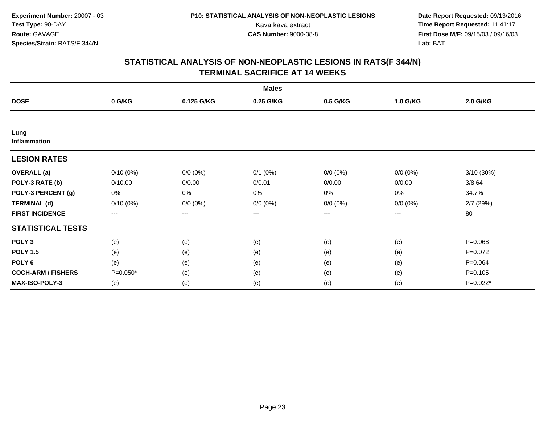|                           |             |             | <b>Males</b> |             |             |             |
|---------------------------|-------------|-------------|--------------|-------------|-------------|-------------|
| <b>DOSE</b>               | 0 G/KG      | 0.125 G/KG  | 0.25 G/KG    | 0.5 G/KG    | 1.0 G/KG    | 2.0 G/KG    |
|                           |             |             |              |             |             |             |
| Lung<br>Inflammation      |             |             |              |             |             |             |
| <b>LESION RATES</b>       |             |             |              |             |             |             |
| <b>OVERALL</b> (a)        | $0/10(0\%)$ | $0/0 (0\%)$ | $0/1$ $(0%)$ | $0/0 (0\%)$ | $0/0 (0\%)$ | 3/10 (30%)  |
| POLY-3 RATE (b)           | 0/10.00     | 0/0.00      | 0/0.01       | 0/0.00      | 0/0.00      | 3/8.64      |
| POLY-3 PERCENT (g)        | 0%          | 0%          | 0%           | 0%          | $0\%$       | 34.7%       |
| <b>TERMINAL (d)</b>       | $0/10(0\%)$ | $0/0 (0\%)$ | $0/0 (0\%)$  | $0/0 (0\%)$ | $0/0 (0\%)$ | 2/7 (29%)   |
| <b>FIRST INCIDENCE</b>    | $--$        | ---         | ---          | $--$        | ---         | 80          |
| <b>STATISTICAL TESTS</b>  |             |             |              |             |             |             |
| POLY <sub>3</sub>         | (e)         | (e)         | (e)          | (e)         | (e)         | $P = 0.068$ |
| <b>POLY 1.5</b>           | (e)         | (e)         | (e)          | (e)         | (e)         | $P=0.072$   |
| POLY <sub>6</sub>         | (e)         | (e)         | (e)          | (e)         | (e)         | $P = 0.064$ |
| <b>COCH-ARM / FISHERS</b> | $P=0.050*$  | (e)         | (e)          | (e)         | (e)         | $P = 0.105$ |
| <b>MAX-ISO-POLY-3</b>     | (e)         | (e)         | (e)          | (e)         | (e)         | P=0.022*    |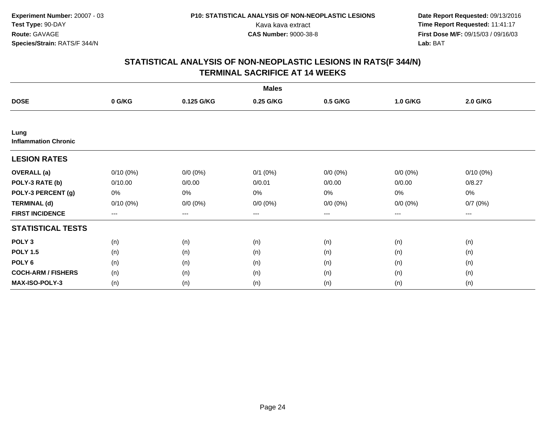|                                     |             |             | <b>Males</b> |                        |             |             |  |
|-------------------------------------|-------------|-------------|--------------|------------------------|-------------|-------------|--|
| <b>DOSE</b>                         | 0 G/KG      | 0.125 G/KG  | 0.25 G/KG    | 0.5 G/KG               | 1.0 G/KG    | 2.0 G/KG    |  |
|                                     |             |             |              |                        |             |             |  |
| Lung<br><b>Inflammation Chronic</b> |             |             |              |                        |             |             |  |
| <b>LESION RATES</b>                 |             |             |              |                        |             |             |  |
| <b>OVERALL</b> (a)                  | $0/10(0\%)$ | $0/0 (0\%)$ | $0/1$ $(0%)$ | $0/0 (0\%)$            | $0/0 (0\%)$ | $0/10(0\%)$ |  |
| POLY-3 RATE (b)                     | 0/10.00     | 0/0.00      | 0/0.01       | 0/0.00                 | 0/0.00      | 0/8.27      |  |
| POLY-3 PERCENT (g)                  | 0%          | 0%          | 0%           | 0%                     | 0%          | 0%          |  |
| <b>TERMINAL (d)</b>                 | $0/10(0\%)$ | $0/0 (0\%)$ | $0/0 (0\%)$  | $0/0 (0\%)$            | $0/0 (0\%)$ | 0/7(0%)     |  |
| <b>FIRST INCIDENCE</b>              | $---$       | ---         | ---          | $\qquad \qquad \cdots$ | ---         | ---         |  |
| <b>STATISTICAL TESTS</b>            |             |             |              |                        |             |             |  |
| POLY <sub>3</sub>                   | (n)         | (n)         | (n)          | (n)                    | (n)         | (n)         |  |
| <b>POLY 1.5</b>                     | (n)         | (n)         | (n)          | (n)                    | (n)         | (n)         |  |
| POLY <sub>6</sub>                   | (n)         | (n)         | (n)          | (n)                    | (n)         | (n)         |  |
| <b>COCH-ARM / FISHERS</b>           | (n)         | (n)         | (n)          | (n)                    | (n)         | (n)         |  |
| MAX-ISO-POLY-3                      | (n)         | (n)         | (n)          | (n)                    | (n)         | (n)         |  |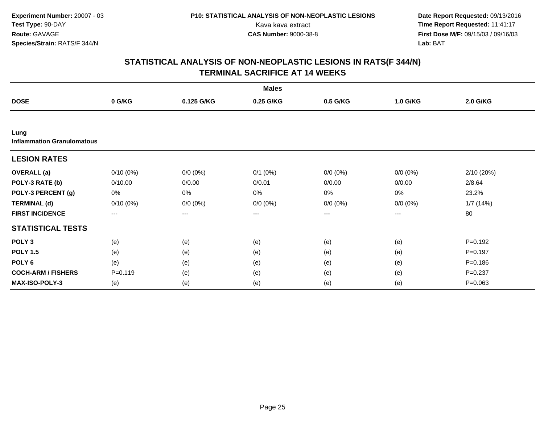|                                           |                        |             | <b>Males</b> |                        |             |             |
|-------------------------------------------|------------------------|-------------|--------------|------------------------|-------------|-------------|
| <b>DOSE</b>                               | 0 G/KG                 | 0.125 G/KG  | 0.25 G/KG    | 0.5 G/KG               | 1.0 G/KG    | 2.0 G/KG    |
|                                           |                        |             |              |                        |             |             |
| Lung<br><b>Inflammation Granulomatous</b> |                        |             |              |                        |             |             |
| <b>LESION RATES</b>                       |                        |             |              |                        |             |             |
| <b>OVERALL</b> (a)                        | $0/10(0\%)$            | $0/0 (0\%)$ | $0/1$ $(0%)$ | $0/0 (0\%)$            | $0/0 (0\%)$ | 2/10 (20%)  |
| POLY-3 RATE (b)                           | 0/10.00                | 0/0.00      | 0/0.01       | 0/0.00                 | 0/0.00      | 2/8.64      |
| POLY-3 PERCENT (g)                        | 0%                     | 0%          | 0%           | 0%                     | 0%          | 23.2%       |
| <b>TERMINAL (d)</b>                       | $0/10(0\%)$            | $0/0 (0\%)$ | $0/0 (0\%)$  | $0/0 (0\%)$            | $0/0 (0\%)$ | 1/7(14%)    |
| <b>FIRST INCIDENCE</b>                    | $\qquad \qquad \cdots$ | ---         | ---          | $\qquad \qquad \cdots$ | ---         | 80          |
| <b>STATISTICAL TESTS</b>                  |                        |             |              |                        |             |             |
| POLY <sub>3</sub>                         | (e)                    | (e)         | (e)          | (e)                    | (e)         | $P = 0.192$ |
| <b>POLY 1.5</b>                           | (e)                    | (e)         | (e)          | (e)                    | (e)         | $P = 0.197$ |
| POLY <sub>6</sub>                         | (e)                    | (e)         | (e)          | (e)                    | (e)         | $P = 0.186$ |
| <b>COCH-ARM / FISHERS</b>                 | $P = 0.119$            | (e)         | (e)          | (e)                    | (e)         | $P = 0.237$ |
| <b>MAX-ISO-POLY-3</b>                     | (e)                    | (e)         | (e)          | (e)                    | (e)         | $P=0.063$   |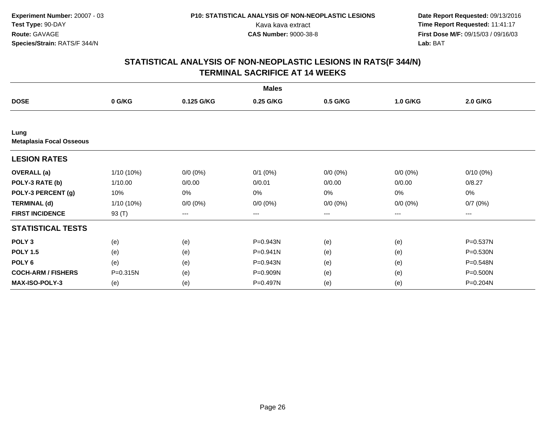|                                         |              |             | <b>Males</b> |             |             |             |
|-----------------------------------------|--------------|-------------|--------------|-------------|-------------|-------------|
| <b>DOSE</b>                             | 0 G/KG       | 0.125 G/KG  | 0.25 G/KG    | 0.5 G/KG    | 1.0 G/KG    | 2.0 G/KG    |
|                                         |              |             |              |             |             |             |
| Lung<br><b>Metaplasia Focal Osseous</b> |              |             |              |             |             |             |
| <b>LESION RATES</b>                     |              |             |              |             |             |             |
| <b>OVERALL</b> (a)                      | $1/10(10\%)$ | $0/0 (0\%)$ | $0/1$ $(0%)$ | $0/0 (0\%)$ | $0/0 (0\%)$ | $0/10(0\%)$ |
| POLY-3 RATE (b)                         | 1/10.00      | 0/0.00      | 0/0.01       | 0/0.00      | 0/0.00      | 0/8.27      |
| POLY-3 PERCENT (g)                      | 10%          | 0%          | 0%           | 0%          | 0%          | 0%          |
| <b>TERMINAL (d)</b>                     | $1/10(10\%)$ | $0/0 (0\%)$ | $0/0 (0\%)$  | $0/0 (0\%)$ | $0/0 (0\%)$ | 0/7(0%)     |
| <b>FIRST INCIDENCE</b>                  | 93 $(T)$     | ---         | ---          | ---         | ---         | ---         |
| <b>STATISTICAL TESTS</b>                |              |             |              |             |             |             |
| POLY <sub>3</sub>                       | (e)          | (e)         | P=0.943N     | (e)         | (e)         | P=0.537N    |
| <b>POLY 1.5</b>                         | (e)          | (e)         | P=0.941N     | (e)         | (e)         | P=0.530N    |
| POLY <sub>6</sub>                       | (e)          | (e)         | P=0.943N     | (e)         | (e)         | P=0.548N    |
| <b>COCH-ARM / FISHERS</b>               | P=0.315N     | (e)         | P=0.909N     | (e)         | (e)         | P=0.500N    |
| <b>MAX-ISO-POLY-3</b>                   | (e)          | (e)         | P=0.497N     | (e)         | (e)         | P=0.204N    |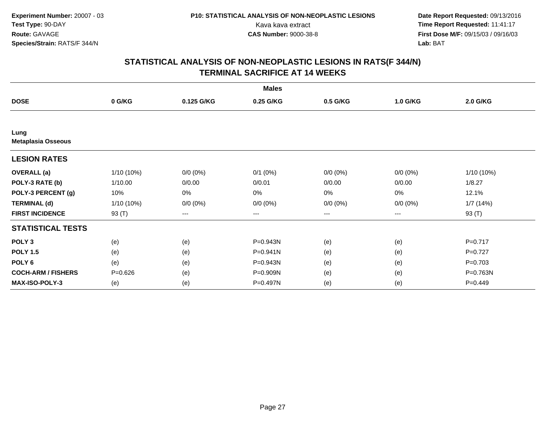|                                   |              |             | <b>Males</b> |             |             |              |
|-----------------------------------|--------------|-------------|--------------|-------------|-------------|--------------|
| <b>DOSE</b>                       | 0 G/KG       | 0.125 G/KG  | 0.25 G/KG    | 0.5 G/KG    | 1.0 G/KG    | 2.0 G/KG     |
|                                   |              |             |              |             |             |              |
| Lung<br><b>Metaplasia Osseous</b> |              |             |              |             |             |              |
| <b>LESION RATES</b>               |              |             |              |             |             |              |
| <b>OVERALL</b> (a)                | $1/10(10\%)$ | $0/0 (0\%)$ | $0/1$ $(0%)$ | $0/0 (0\%)$ | $0/0 (0\%)$ | $1/10(10\%)$ |
| POLY-3 RATE (b)                   | 1/10.00      | 0/0.00      | 0/0.01       | 0/0.00      | 0/0.00      | 1/8.27       |
| POLY-3 PERCENT (g)                | 10%          | 0%          | 0%           | 0%          | 0%          | 12.1%        |
| <b>TERMINAL (d)</b>               | $1/10(10\%)$ | $0/0 (0\%)$ | $0/0 (0\%)$  | $0/0 (0\%)$ | $0/0 (0\%)$ | 1/7(14%)     |
| <b>FIRST INCIDENCE</b>            | 93 $(T)$     | ---         | ---          | ---         | ---         | 93 (T)       |
| <b>STATISTICAL TESTS</b>          |              |             |              |             |             |              |
| POLY <sub>3</sub>                 | (e)          | (e)         | P=0.943N     | (e)         | (e)         | $P=0.717$    |
| <b>POLY 1.5</b>                   | (e)          | (e)         | P=0.941N     | (e)         | (e)         | $P=0.727$    |
| POLY <sub>6</sub>                 | (e)          | (e)         | P=0.943N     | (e)         | (e)         | $P = 0.703$  |
| <b>COCH-ARM / FISHERS</b>         | $P = 0.626$  | (e)         | P=0.909N     | (e)         | (e)         | P=0.763N     |
| <b>MAX-ISO-POLY-3</b>             | (e)          | (e)         | P=0.497N     | (e)         | (e)         | $P=0.449$    |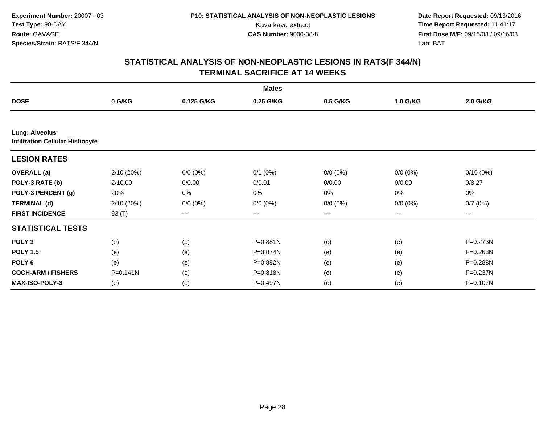|                                                                  |              |             | <b>Males</b> |             |             |             |
|------------------------------------------------------------------|--------------|-------------|--------------|-------------|-------------|-------------|
| <b>DOSE</b>                                                      | 0 G/KG       | 0.125 G/KG  | 0.25 G/KG    | 0.5 G/KG    | 1.0 G/KG    | 2.0 G/KG    |
|                                                                  |              |             |              |             |             |             |
| <b>Lung: Alveolus</b><br><b>Infiltration Cellular Histiocyte</b> |              |             |              |             |             |             |
| <b>LESION RATES</b>                                              |              |             |              |             |             |             |
| <b>OVERALL</b> (a)                                               | 2/10(20%)    | $0/0 (0\%)$ | $0/1$ $(0%)$ | $0/0 (0\%)$ | $0/0 (0\%)$ | $0/10(0\%)$ |
| POLY-3 RATE (b)                                                  | 2/10.00      | 0/0.00      | 0/0.01       | 0/0.00      | 0/0.00      | 0/8.27      |
| POLY-3 PERCENT (g)                                               | 20%          | 0%          | 0%           | 0%          | 0%          | 0%          |
| <b>TERMINAL (d)</b>                                              | 2/10(20%)    | $0/0 (0\%)$ | $0/0 (0\%)$  | $0/0 (0\%)$ | $0/0 (0\%)$ | 0/7(0%)     |
| <b>FIRST INCIDENCE</b>                                           | 93 (T)       | $---$       | $---$        | $--$        | ---         | ---         |
| <b>STATISTICAL TESTS</b>                                         |              |             |              |             |             |             |
| POLY <sub>3</sub>                                                | (e)          | (e)         | P=0.881N     | (e)         | (e)         | P=0.273N    |
| <b>POLY 1.5</b>                                                  | (e)          | (e)         | P=0.874N     | (e)         | (e)         | P=0.263N    |
| POLY <sub>6</sub>                                                | (e)          | (e)         | P=0.882N     | (e)         | (e)         | P=0.288N    |
| <b>COCH-ARM / FISHERS</b>                                        | $P = 0.141N$ | (e)         | P=0.818N     | (e)         | (e)         | P=0.237N    |
| MAX-ISO-POLY-3                                                   | (e)          | (e)         | P=0.497N     | (e)         | (e)         | P=0.107N    |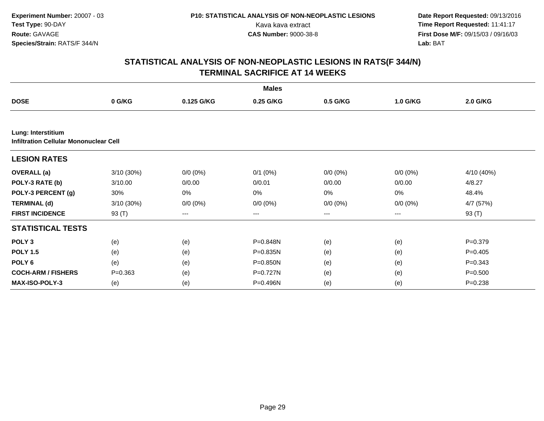|                                                              |              |             | <b>Males</b> |                   |             |                 |
|--------------------------------------------------------------|--------------|-------------|--------------|-------------------|-------------|-----------------|
| <b>DOSE</b>                                                  | 0 G/KG       | 0.125 G/KG  | 0.25 G/KG    | 0.5 G/KG          | 1.0 G/KG    | <b>2.0 G/KG</b> |
|                                                              |              |             |              |                   |             |                 |
| Lung: Interstitium<br>Infiltration Cellular Mononuclear Cell |              |             |              |                   |             |                 |
| <b>LESION RATES</b>                                          |              |             |              |                   |             |                 |
| <b>OVERALL</b> (a)                                           | $3/10(30\%)$ | $0/0 (0\%)$ | $0/1$ $(0%)$ | $0/0 (0\%)$       | $0/0 (0\%)$ | 4/10 (40%)      |
| POLY-3 RATE (b)                                              | 3/10.00      | 0/0.00      | 0/0.01       | 0/0.00            | 0/0.00      | 4/8.27          |
| POLY-3 PERCENT (g)                                           | 30%          | 0%          | 0%           | 0%                | 0%          | 48.4%           |
| <b>TERMINAL (d)</b>                                          | $3/10(30\%)$ | $0/0 (0\%)$ | $0/0 (0\%)$  | $0/0 (0\%)$       | $0/0 (0\%)$ | 4/7 (57%)       |
| <b>FIRST INCIDENCE</b>                                       | 93 (T)       | $---$       | ---          | $\qquad \qquad -$ | ---         | 93 (T)          |
| <b>STATISTICAL TESTS</b>                                     |              |             |              |                   |             |                 |
| POLY <sub>3</sub>                                            | (e)          | (e)         | P=0.848N     | (e)               | (e)         | $P=0.379$       |
| <b>POLY 1.5</b>                                              | (e)          | (e)         | P=0.835N     | (e)               | (e)         | $P=0.405$       |
| POLY <sub>6</sub>                                            | (e)          | (e)         | P=0.850N     | (e)               | (e)         | $P = 0.343$     |
| <b>COCH-ARM / FISHERS</b>                                    | $P = 0.363$  | (e)         | P=0.727N     | (e)               | (e)         | $P = 0.500$     |
| <b>MAX-ISO-POLY-3</b>                                        | (e)          | (e)         | P=0.496N     | (e)               | (e)         | $P = 0.238$     |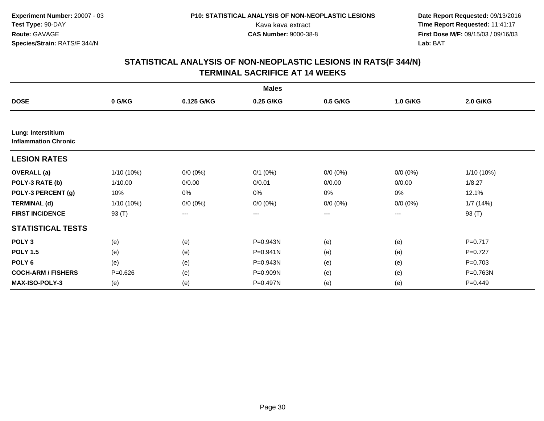|                                                   |              |             | <b>Males</b> |                        |             |              |
|---------------------------------------------------|--------------|-------------|--------------|------------------------|-------------|--------------|
| <b>DOSE</b>                                       | 0 G/KG       | 0.125 G/KG  | 0.25 G/KG    | 0.5 G/KG               | 1.0 G/KG    | 2.0 G/KG     |
|                                                   |              |             |              |                        |             |              |
| Lung: Interstitium<br><b>Inflammation Chronic</b> |              |             |              |                        |             |              |
| <b>LESION RATES</b>                               |              |             |              |                        |             |              |
| <b>OVERALL</b> (a)                                | $1/10(10\%)$ | $0/0 (0\%)$ | $0/1$ $(0%)$ | $0/0 (0\%)$            | $0/0 (0\%)$ | $1/10(10\%)$ |
| POLY-3 RATE (b)                                   | 1/10.00      | 0/0.00      | 0/0.01       | 0/0.00                 | 0/0.00      | 1/8.27       |
| POLY-3 PERCENT (g)                                | 10%          | 0%          | 0%           | 0%                     | 0%          | 12.1%        |
| <b>TERMINAL (d)</b>                               | $1/10(10\%)$ | $0/0 (0\%)$ | $0/0 (0\%)$  | $0/0 (0\%)$            | $0/0 (0\%)$ | 1/7(14%)     |
| <b>FIRST INCIDENCE</b>                            | 93 (T)       | ---         | ---          | $\qquad \qquad \cdots$ | ---         | 93 (T)       |
| <b>STATISTICAL TESTS</b>                          |              |             |              |                        |             |              |
| POLY <sub>3</sub>                                 | (e)          | (e)         | P=0.943N     | (e)                    | (e)         | $P=0.717$    |
| <b>POLY 1.5</b>                                   | (e)          | (e)         | $P = 0.941N$ | (e)                    | (e)         | $P=0.727$    |
| POLY <sub>6</sub>                                 | (e)          | (e)         | P=0.943N     | (e)                    | (e)         | $P = 0.703$  |
| <b>COCH-ARM / FISHERS</b>                         | $P = 0.626$  | (e)         | P=0.909N     | (e)                    | (e)         | P=0.763N     |
| MAX-ISO-POLY-3                                    | (e)          | (e)         | P=0.497N     | (e)                    | (e)         | $P=0.449$    |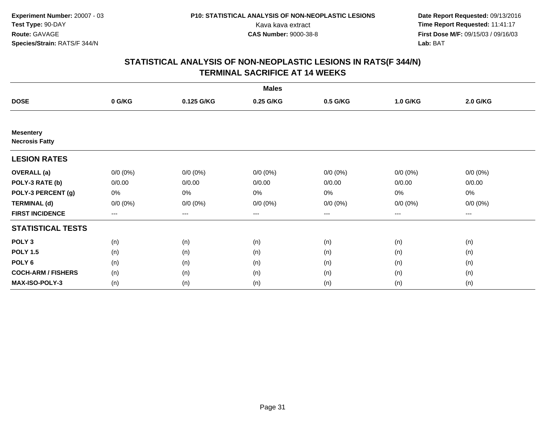|                                           |             |             | <b>Males</b> |             |             |             |  |
|-------------------------------------------|-------------|-------------|--------------|-------------|-------------|-------------|--|
| <b>DOSE</b>                               | 0 G/KG      | 0.125 G/KG  | 0.25 G/KG    | 0.5 G/KG    | 1.0 G/KG    | 2.0 G/KG    |  |
|                                           |             |             |              |             |             |             |  |
| <b>Mesentery</b><br><b>Necrosis Fatty</b> |             |             |              |             |             |             |  |
| <b>LESION RATES</b>                       |             |             |              |             |             |             |  |
| <b>OVERALL</b> (a)                        | $0/0 (0\%)$ | $0/0 (0\%)$ | $0/0 (0\%)$  | $0/0 (0\%)$ | $0/0 (0\%)$ | $0/0 (0\%)$ |  |
| POLY-3 RATE (b)                           | 0/0.00      | 0/0.00      | 0/0.00       | 0/0.00      | 0/0.00      | 0/0.00      |  |
| POLY-3 PERCENT (g)                        | 0%          | 0%          | 0%           | 0%          | $0\%$       | 0%          |  |
| <b>TERMINAL (d)</b>                       | $0/0 (0\%)$ | $0/0 (0\%)$ | $0/0 (0\%)$  | $0/0 (0\%)$ | $0/0 (0\%)$ | $0/0 (0\%)$ |  |
| <b>FIRST INCIDENCE</b>                    | $---$       | ---         | ---          | $--$        | ---         | ---         |  |
| <b>STATISTICAL TESTS</b>                  |             |             |              |             |             |             |  |
| POLY <sub>3</sub>                         | (n)         | (n)         | (n)          | (n)         | (n)         | (n)         |  |
| <b>POLY 1.5</b>                           | (n)         | (n)         | (n)          | (n)         | (n)         | (n)         |  |
| POLY <sub>6</sub>                         | (n)         | (n)         | (n)          | (n)         | (n)         | (n)         |  |
| <b>COCH-ARM / FISHERS</b>                 | (n)         | (n)         | (n)          | (n)         | (n)         | (n)         |  |
| MAX-ISO-POLY-3                            | (n)         | (n)         | (n)          | (n)         | (n)         | (n)         |  |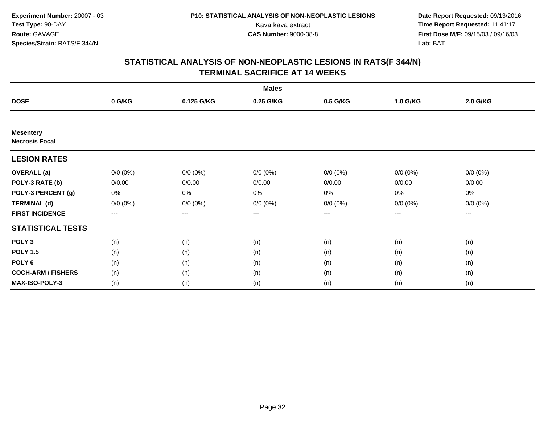|                                           |             |             | <b>Males</b> |             |             |             |  |
|-------------------------------------------|-------------|-------------|--------------|-------------|-------------|-------------|--|
| <b>DOSE</b>                               | 0 G/KG      | 0.125 G/KG  | 0.25 G/KG    | 0.5 G/KG    | 1.0 G/KG    | 2.0 G/KG    |  |
|                                           |             |             |              |             |             |             |  |
| <b>Mesentery</b><br><b>Necrosis Focal</b> |             |             |              |             |             |             |  |
| <b>LESION RATES</b>                       |             |             |              |             |             |             |  |
| <b>OVERALL</b> (a)                        | $0/0 (0\%)$ | $0/0 (0\%)$ | $0/0 (0\%)$  | $0/0 (0\%)$ | $0/0 (0\%)$ | $0/0 (0\%)$ |  |
| POLY-3 RATE (b)                           | 0/0.00      | 0/0.00      | 0/0.00       | 0/0.00      | 0/0.00      | 0/0.00      |  |
| POLY-3 PERCENT (g)                        | 0%          | 0%          | 0%           | 0%          | $0\%$       | 0%          |  |
| <b>TERMINAL (d)</b>                       | $0/0 (0\%)$ | $0/0 (0\%)$ | $0/0 (0\%)$  | $0/0 (0\%)$ | $0/0 (0\%)$ | $0/0 (0\%)$ |  |
| <b>FIRST INCIDENCE</b>                    | $--$        | ---         | ---          | $--$        | ---         | ---         |  |
| <b>STATISTICAL TESTS</b>                  |             |             |              |             |             |             |  |
| POLY <sub>3</sub>                         | (n)         | (n)         | (n)          | (n)         | (n)         | (n)         |  |
| <b>POLY 1.5</b>                           | (n)         | (n)         | (n)          | (n)         | (n)         | (n)         |  |
| POLY <sub>6</sub>                         | (n)         | (n)         | (n)          | (n)         | (n)         | (n)         |  |
| <b>COCH-ARM / FISHERS</b>                 | (n)         | (n)         | (n)          | (n)         | (n)         | (n)         |  |
| <b>MAX-ISO-POLY-3</b>                     | (n)         | (n)         | (n)          | (n)         | (n)         | (n)         |  |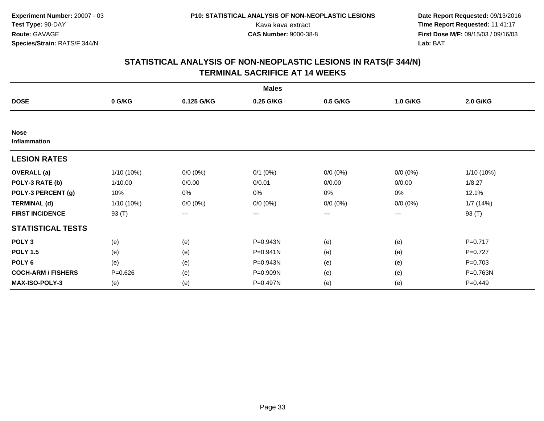|                                    |              |             | <b>Males</b> |                        |             |              |
|------------------------------------|--------------|-------------|--------------|------------------------|-------------|--------------|
| <b>DOSE</b>                        | 0 G/KG       | 0.125 G/KG  | 0.25 G/KG    | 0.5 G/KG               | 1.0 G/KG    | 2.0 G/KG     |
|                                    |              |             |              |                        |             |              |
| <b>Nose</b><br><b>Inflammation</b> |              |             |              |                        |             |              |
| <b>LESION RATES</b>                |              |             |              |                        |             |              |
| <b>OVERALL</b> (a)                 | $1/10(10\%)$ | $0/0 (0\%)$ | $0/1$ $(0%)$ | $0/0 (0\%)$            | $0/0 (0\%)$ | $1/10(10\%)$ |
| POLY-3 RATE (b)                    | 1/10.00      | 0/0.00      | 0/0.01       | 0/0.00                 | 0/0.00      | 1/8.27       |
| POLY-3 PERCENT (g)                 | 10%          | 0%          | 0%           | 0%                     | 0%          | 12.1%        |
| <b>TERMINAL (d)</b>                | $1/10(10\%)$ | $0/0 (0\%)$ | $0/0 (0\%)$  | $0/0 (0\%)$            | $0/0 (0\%)$ | 1/7(14%)     |
| <b>FIRST INCIDENCE</b>             | 93 $(T)$     | ---         | ---          | $\qquad \qquad \cdots$ | ---         | 93 (T)       |
| <b>STATISTICAL TESTS</b>           |              |             |              |                        |             |              |
| POLY <sub>3</sub>                  | (e)          | (e)         | P=0.943N     | (e)                    | (e)         | $P=0.717$    |
| <b>POLY 1.5</b>                    | (e)          | (e)         | P=0.941N     | (e)                    | (e)         | $P=0.727$    |
| POLY <sub>6</sub>                  | (e)          | (e)         | P=0.943N     | (e)                    | (e)         | $P = 0.703$  |
| <b>COCH-ARM / FISHERS</b>          | $P = 0.626$  | (e)         | P=0.909N     | (e)                    | (e)         | P=0.763N     |
| <b>MAX-ISO-POLY-3</b>              | (e)          | (e)         | P=0.497N     | (e)                    | (e)         | $P=0.449$    |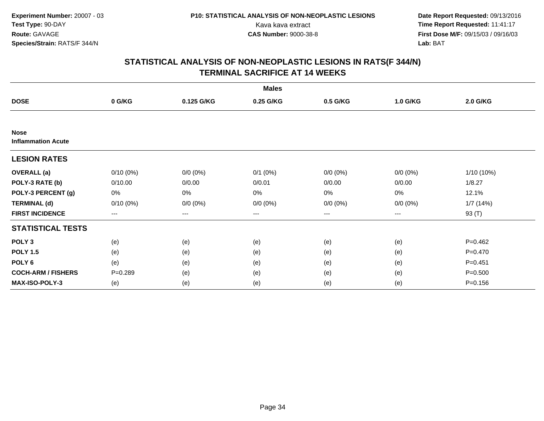|                                          |                        |             | <b>Males</b> |                        |             |             |
|------------------------------------------|------------------------|-------------|--------------|------------------------|-------------|-------------|
| <b>DOSE</b>                              | 0 G/KG                 | 0.125 G/KG  | 0.25 G/KG    | 0.5 G/KG               | 1.0 G/KG    | 2.0 G/KG    |
|                                          |                        |             |              |                        |             |             |
| <b>Nose</b><br><b>Inflammation Acute</b> |                        |             |              |                        |             |             |
| <b>LESION RATES</b>                      |                        |             |              |                        |             |             |
| <b>OVERALL</b> (a)                       | $0/10(0\%)$            | $0/0 (0\%)$ | $0/1$ $(0%)$ | $0/0 (0\%)$            | $0/0 (0\%)$ | 1/10 (10%)  |
| POLY-3 RATE (b)                          | 0/10.00                | 0/0.00      | 0/0.01       | 0/0.00                 | 0/0.00      | 1/8.27      |
| POLY-3 PERCENT (g)                       | 0%                     | 0%          | 0%           | 0%                     | 0%          | 12.1%       |
| <b>TERMINAL (d)</b>                      | $0/10(0\%)$            | $0/0 (0\%)$ | $0/0 (0\%)$  | $0/0 (0\%)$            | $0/0 (0\%)$ | 1/7(14%)    |
| <b>FIRST INCIDENCE</b>                   | $\qquad \qquad \cdots$ | ---         | ---          | $\qquad \qquad \cdots$ | ---         | 93 (T)      |
| <b>STATISTICAL TESTS</b>                 |                        |             |              |                        |             |             |
| POLY <sub>3</sub>                        | (e)                    | (e)         | (e)          | (e)                    | (e)         | $P = 0.462$ |
| <b>POLY 1.5</b>                          | (e)                    | (e)         | (e)          | (e)                    | (e)         | $P = 0.470$ |
| POLY <sub>6</sub>                        | (e)                    | (e)         | (e)          | (e)                    | (e)         | $P = 0.451$ |
| <b>COCH-ARM / FISHERS</b>                | $P = 0.289$            | (e)         | (e)          | (e)                    | (e)         | $P = 0.500$ |
| <b>MAX-ISO-POLY-3</b>                    | (e)                    | (e)         | (e)          | (e)                    | (e)         | $P = 0.156$ |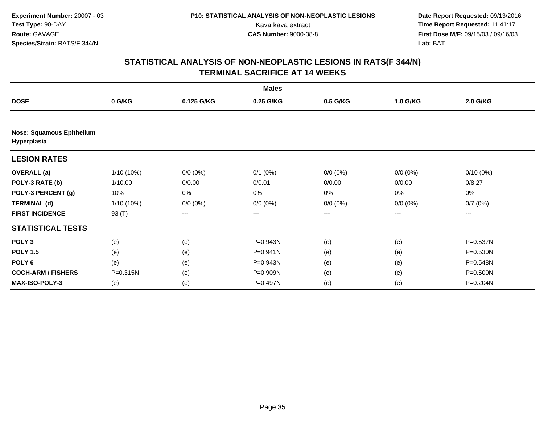|                                                 |            |             | <b>Males</b> |             |             |                 |
|-------------------------------------------------|------------|-------------|--------------|-------------|-------------|-----------------|
| <b>DOSE</b>                                     | 0 G/KG     | 0.125 G/KG  | 0.25 G/KG    | 0.5 G/KG    | 1.0 G/KG    | <b>2.0 G/KG</b> |
|                                                 |            |             |              |             |             |                 |
| <b>Nose: Squamous Epithelium</b><br>Hyperplasia |            |             |              |             |             |                 |
| <b>LESION RATES</b>                             |            |             |              |             |             |                 |
| <b>OVERALL</b> (a)                              | 1/10 (10%) | $0/0 (0\%)$ | $0/1$ (0%)   | $0/0 (0\%)$ | $0/0 (0\%)$ | $0/10(0\%)$     |
| POLY-3 RATE (b)                                 | 1/10.00    | 0/0.00      | 0/0.01       | 0/0.00      | 0/0.00      | 0/8.27          |
| POLY-3 PERCENT (g)                              | 10%        | 0%          | 0%           | 0%          | 0%          | 0%              |
| <b>TERMINAL (d)</b>                             | 1/10 (10%) | $0/0 (0\%)$ | $0/0 (0\%)$  | $0/0 (0\%)$ | $0/0 (0\%)$ | 0/7(0%)         |
| <b>FIRST INCIDENCE</b>                          | 93 $(T)$   | ---         | ---          | ---         | ---         | ---             |
| <b>STATISTICAL TESTS</b>                        |            |             |              |             |             |                 |
| POLY <sub>3</sub>                               | (e)        | (e)         | P=0.943N     | (e)         | (e)         | P=0.537N        |
| <b>POLY 1.5</b>                                 | (e)        | (e)         | P=0.941N     | (e)         | (e)         | P=0.530N        |
| POLY 6                                          | (e)        | (e)         | P=0.943N     | (e)         | (e)         | P=0.548N        |
| <b>COCH-ARM / FISHERS</b>                       | P=0.315N   | (e)         | P=0.909N     | (e)         | (e)         | P=0.500N        |
| MAX-ISO-POLY-3                                  | (e)        | (e)         | P=0.497N     | (e)         | (e)         | P=0.204N        |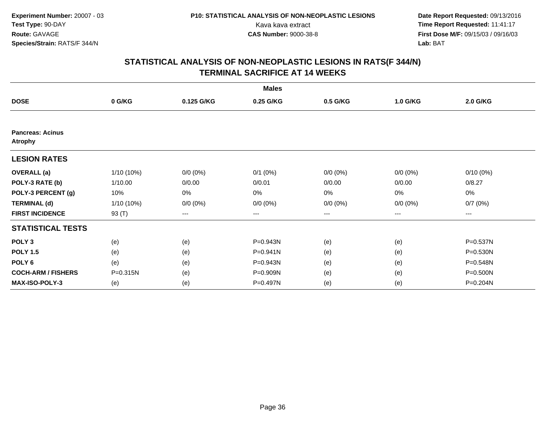|                                           |              |             | <b>Males</b> |             |             |             |
|-------------------------------------------|--------------|-------------|--------------|-------------|-------------|-------------|
| <b>DOSE</b>                               | 0 G/KG       | 0.125 G/KG  | 0.25 G/KG    | 0.5 G/KG    | 1.0 G/KG    | 2.0 G/KG    |
|                                           |              |             |              |             |             |             |
| <b>Pancreas: Acinus</b><br><b>Atrophy</b> |              |             |              |             |             |             |
| <b>LESION RATES</b>                       |              |             |              |             |             |             |
| <b>OVERALL</b> (a)                        | $1/10(10\%)$ | $0/0 (0\%)$ | $0/1$ $(0%)$ | $0/0 (0\%)$ | $0/0 (0\%)$ | $0/10(0\%)$ |
| POLY-3 RATE (b)                           | 1/10.00      | 0/0.00      | 0/0.01       | 0/0.00      | 0/0.00      | 0/8.27      |
| POLY-3 PERCENT (g)                        | 10%          | 0%          | 0%           | 0%          | 0%          | 0%          |
| <b>TERMINAL (d)</b>                       | $1/10(10\%)$ | $0/0 (0\%)$ | $0/0 (0\%)$  | $0/0 (0\%)$ | $0/0 (0\%)$ | 0/7(0%)     |
| <b>FIRST INCIDENCE</b>                    | 93 $(T)$     | ---         | ---          | ---         | ---         | ---         |
| <b>STATISTICAL TESTS</b>                  |              |             |              |             |             |             |
| POLY <sub>3</sub>                         | (e)          | (e)         | P=0.943N     | (e)         | (e)         | P=0.537N    |
| <b>POLY 1.5</b>                           | (e)          | (e)         | P=0.941N     | (e)         | (e)         | P=0.530N    |
| POLY <sub>6</sub>                         | (e)          | (e)         | P=0.943N     | (e)         | (e)         | P=0.548N    |
| <b>COCH-ARM / FISHERS</b>                 | P=0.315N     | (e)         | P=0.909N     | (e)         | (e)         | P=0.500N    |
| <b>MAX-ISO-POLY-3</b>                     | (e)          | (e)         | P=0.497N     | (e)         | (e)         | P=0.204N    |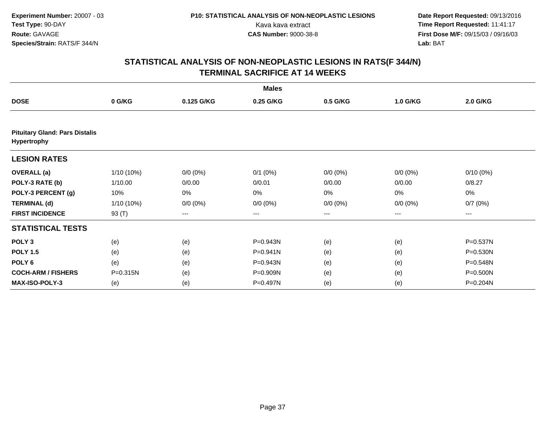|                                                      |              |             | <b>Males</b> |             |             |                 |
|------------------------------------------------------|--------------|-------------|--------------|-------------|-------------|-----------------|
| <b>DOSE</b>                                          | 0 G/KG       | 0.125 G/KG  | 0.25 G/KG    | 0.5 G/KG    | 1.0 G/KG    | <b>2.0 G/KG</b> |
|                                                      |              |             |              |             |             |                 |
| <b>Pituitary Gland: Pars Distalis</b><br>Hypertrophy |              |             |              |             |             |                 |
| <b>LESION RATES</b>                                  |              |             |              |             |             |                 |
| <b>OVERALL</b> (a)                                   | $1/10(10\%)$ | $0/0 (0\%)$ | $0/1$ (0%)   | $0/0 (0\%)$ | $0/0 (0\%)$ | $0/10(0\%)$     |
| POLY-3 RATE (b)                                      | 1/10.00      | 0/0.00      | 0/0.01       | 0/0.00      | 0/0.00      | 0/8.27          |
| POLY-3 PERCENT (g)                                   | 10%          | 0%          | 0%           | 0%          | 0%          | 0%              |
| <b>TERMINAL (d)</b>                                  | $1/10(10\%)$ | $0/0 (0\%)$ | $0/0 (0\%)$  | $0/0 (0\%)$ | $0/0 (0\%)$ | 0/7(0%)         |
| <b>FIRST INCIDENCE</b>                               | 93 (T)       | $\cdots$    | $\cdots$     | $\cdots$    | ---         | ---             |
| <b>STATISTICAL TESTS</b>                             |              |             |              |             |             |                 |
| POLY <sub>3</sub>                                    | (e)          | (e)         | P=0.943N     | (e)         | (e)         | P=0.537N        |
| <b>POLY 1.5</b>                                      | (e)          | (e)         | P=0.941N     | (e)         | (e)         | P=0.530N        |
| POLY <sub>6</sub>                                    | (e)          | (e)         | P=0.943N     | (e)         | (e)         | P=0.548N        |
| <b>COCH-ARM / FISHERS</b>                            | P=0.315N     | (e)         | P=0.909N     | (e)         | (e)         | P=0.500N        |
| <b>MAX-ISO-POLY-3</b>                                | (e)          | (e)         | P=0.497N     | (e)         | (e)         | P=0.204N        |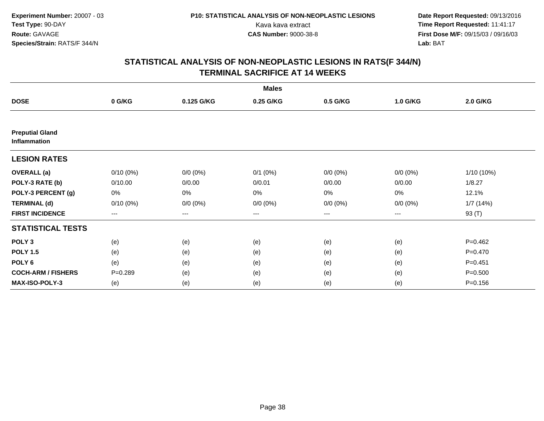|                                        |             |             | <b>Males</b> |             |             |             |
|----------------------------------------|-------------|-------------|--------------|-------------|-------------|-------------|
| <b>DOSE</b>                            | 0 G/KG      | 0.125 G/KG  | 0.25 G/KG    | 0.5 G/KG    | 1.0 G/KG    | 2.0 G/KG    |
|                                        |             |             |              |             |             |             |
| <b>Preputial Gland</b><br>Inflammation |             |             |              |             |             |             |
| <b>LESION RATES</b>                    |             |             |              |             |             |             |
| <b>OVERALL</b> (a)                     | $0/10(0\%)$ | $0/0 (0\%)$ | $0/1$ $(0%)$ | $0/0 (0\%)$ | $0/0 (0\%)$ | 1/10 (10%)  |
| POLY-3 RATE (b)                        | 0/10.00     | 0/0.00      | 0/0.01       | 0/0.00      | 0/0.00      | 1/8.27      |
| POLY-3 PERCENT (g)                     | 0%          | 0%          | 0%           | $0\%$       | $0\%$       | 12.1%       |
| <b>TERMINAL (d)</b>                    | $0/10(0\%)$ | $0/0 (0\%)$ | $0/0 (0\%)$  | $0/0 (0\%)$ | $0/0 (0\%)$ | 1/7(14%)    |
| <b>FIRST INCIDENCE</b>                 | $---$       | ---         | ---          | $--$        | ---         | 93 (T)      |
| <b>STATISTICAL TESTS</b>               |             |             |              |             |             |             |
| POLY <sub>3</sub>                      | (e)         | (e)         | (e)          | (e)         | (e)         | $P=0.462$   |
| <b>POLY 1.5</b>                        | (e)         | (e)         | (e)          | (e)         | (e)         | $P = 0.470$ |
| POLY <sub>6</sub>                      | (e)         | (e)         | (e)          | (e)         | (e)         | $P = 0.451$ |
| <b>COCH-ARM / FISHERS</b>              | $P = 0.289$ | (e)         | (e)          | (e)         | (e)         | $P = 0.500$ |
| <b>MAX-ISO-POLY-3</b>                  | (e)         | (e)         | (e)          | (e)         | (e)         | $P = 0.156$ |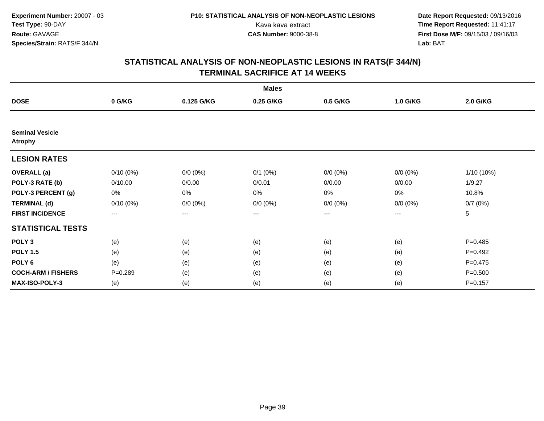|                                          |             |             | <b>Males</b> |             |             |             |
|------------------------------------------|-------------|-------------|--------------|-------------|-------------|-------------|
| <b>DOSE</b>                              | 0 G/KG      | 0.125 G/KG  | 0.25 G/KG    | 0.5 G/KG    | 1.0 G/KG    | 2.0 G/KG    |
|                                          |             |             |              |             |             |             |
| <b>Seminal Vesicle</b><br><b>Atrophy</b> |             |             |              |             |             |             |
| <b>LESION RATES</b>                      |             |             |              |             |             |             |
| <b>OVERALL</b> (a)                       | $0/10(0\%)$ | $0/0 (0\%)$ | $0/1$ $(0%)$ | $0/0 (0\%)$ | $0/0 (0\%)$ | 1/10 (10%)  |
| POLY-3 RATE (b)                          | 0/10.00     | 0/0.00      | 0/0.01       | 0/0.00      | 0/0.00      | 1/9.27      |
| POLY-3 PERCENT (g)                       | 0%          | 0%          | 0%           | 0%          | $0\%$       | 10.8%       |
| <b>TERMINAL (d)</b>                      | $0/10(0\%)$ | $0/0 (0\%)$ | $0/0 (0\%)$  | $0/0 (0\%)$ | $0/0 (0\%)$ | 0/7(0%)     |
| <b>FIRST INCIDENCE</b>                   | $--$        | ---         | ---          | $--$        | ---         | 5           |
| <b>STATISTICAL TESTS</b>                 |             |             |              |             |             |             |
| POLY <sub>3</sub>                        | (e)         | (e)         | (e)          | (e)         | (e)         | $P=0.485$   |
| <b>POLY 1.5</b>                          | (e)         | (e)         | (e)          | (e)         | (e)         | $P=0.492$   |
| POLY <sub>6</sub>                        | (e)         | (e)         | (e)          | (e)         | (e)         | $P=0.475$   |
| <b>COCH-ARM / FISHERS</b>                | $P = 0.289$ | (e)         | (e)          | (e)         | (e)         | $P = 0.500$ |
| <b>MAX-ISO-POLY-3</b>                    | (e)         | (e)         | (e)          | (e)         | (e)         | $P=0.157$   |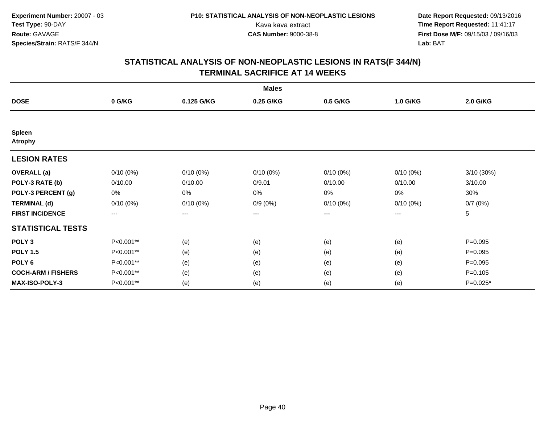|                                 |                   |             | <b>Males</b> |             |             |             |
|---------------------------------|-------------------|-------------|--------------|-------------|-------------|-------------|
| <b>DOSE</b>                     | 0 G/KG            | 0.125 G/KG  | 0.25 G/KG    | 0.5 G/KG    | 1.0 G/KG    | 2.0 G/KG    |
|                                 |                   |             |              |             |             |             |
| <b>Spleen</b><br><b>Atrophy</b> |                   |             |              |             |             |             |
| <b>LESION RATES</b>             |                   |             |              |             |             |             |
| <b>OVERALL</b> (a)              | $0/10(0\%)$       | $0/10(0\%)$ | $0/10(0\%)$  | $0/10(0\%)$ | $0/10(0\%)$ | 3/10 (30%)  |
| POLY-3 RATE (b)                 | 0/10.00           | 0/10.00     | 0/9.01       | 0/10.00     | 0/10.00     | 3/10.00     |
| POLY-3 PERCENT (g)              | 0%                | $0\%$       | 0%           | 0%          | 0%          | 30%         |
| <b>TERMINAL (d)</b>             | $0/10(0\%)$       | $0/10(0\%)$ | $0/9(0\%)$   | $0/10(0\%)$ | 0/10(0%)    | 0/7(0%)     |
| <b>FIRST INCIDENCE</b>          | $\qquad \qquad -$ | ---         | ---          | $---$       | ---         | 5           |
| <b>STATISTICAL TESTS</b>        |                   |             |              |             |             |             |
| POLY <sub>3</sub>               | P<0.001**         | (e)         | (e)          | (e)         | (e)         | $P=0.095$   |
| <b>POLY 1.5</b>                 | P<0.001**         | (e)         | (e)          | (e)         | (e)         | $P=0.095$   |
| POLY <sub>6</sub>               | P<0.001**         | (e)         | (e)          | (e)         | (e)         | $P = 0.095$ |
| <b>COCH-ARM / FISHERS</b>       | P<0.001**         | (e)         | (e)          | (e)         | (e)         | $P = 0.105$ |
| MAX-ISO-POLY-3                  | P<0.001**         | (e)         | (e)          | (e)         | (e)         | P=0.025*    |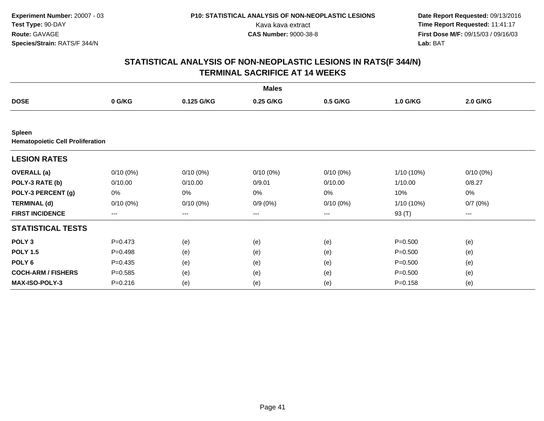|                                                          |             |             | <b>Males</b> |             |             |             |  |
|----------------------------------------------------------|-------------|-------------|--------------|-------------|-------------|-------------|--|
| <b>DOSE</b>                                              | 0 G/KG      | 0.125 G/KG  | 0.25 G/KG    | 0.5 G/KG    | 1.0 G/KG    | 2.0 G/KG    |  |
|                                                          |             |             |              |             |             |             |  |
| <b>Spleen</b><br><b>Hematopoietic Cell Proliferation</b> |             |             |              |             |             |             |  |
| <b>LESION RATES</b>                                      |             |             |              |             |             |             |  |
| <b>OVERALL</b> (a)                                       | $0/10(0\%)$ | $0/10(0\%)$ | $0/10(0\%)$  | $0/10(0\%)$ | 1/10 (10%)  | $0/10(0\%)$ |  |
| POLY-3 RATE (b)                                          | 0/10.00     | 0/10.00     | 0/9.01       | 0/10.00     | 1/10.00     | 0/8.27      |  |
| POLY-3 PERCENT (g)                                       | 0%          | 0%          | 0%           | 0%          | 10%         | 0%          |  |
| <b>TERMINAL (d)</b>                                      | $0/10(0\%)$ | $0/10(0\%)$ | $0/9(0\%)$   | $0/10(0\%)$ | 1/10 (10%)  | 0/7(0%)     |  |
| <b>FIRST INCIDENCE</b>                                   | $---$       | ---         | ---          | ---         | 93 (T)      | ---         |  |
| <b>STATISTICAL TESTS</b>                                 |             |             |              |             |             |             |  |
| POLY <sub>3</sub>                                        | $P = 0.473$ | (e)         | (e)          | (e)         | $P = 0.500$ | (e)         |  |
| <b>POLY 1.5</b>                                          | $P=0.498$   | (e)         | (e)          | (e)         | $P = 0.500$ | (e)         |  |
| POLY <sub>6</sub>                                        | $P=0.435$   | (e)         | (e)          | (e)         | $P = 0.500$ | (e)         |  |
| <b>COCH-ARM / FISHERS</b>                                | $P = 0.585$ | (e)         | (e)          | (e)         | $P = 0.500$ | (e)         |  |
| <b>MAX-ISO-POLY-3</b>                                    | $P = 0.216$ | (e)         | (e)          | (e)         | $P = 0.158$ | (e)         |  |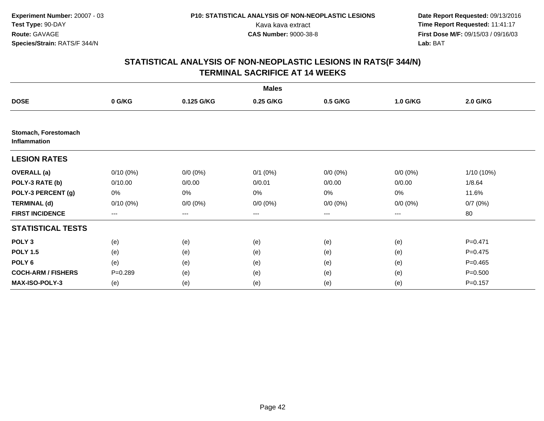|                                             | <b>Males</b> |             |              |                   |             |                 |  |  |  |
|---------------------------------------------|--------------|-------------|--------------|-------------------|-------------|-----------------|--|--|--|
| <b>DOSE</b>                                 | 0 G/KG       | 0.125 G/KG  | 0.25 G/KG    | 0.5 G/KG          | 1.0 G/KG    | <b>2.0 G/KG</b> |  |  |  |
|                                             |              |             |              |                   |             |                 |  |  |  |
| Stomach, Forestomach<br><b>Inflammation</b> |              |             |              |                   |             |                 |  |  |  |
| <b>LESION RATES</b>                         |              |             |              |                   |             |                 |  |  |  |
| <b>OVERALL</b> (a)                          | $0/10(0\%)$  | $0/0 (0\%)$ | $0/1$ $(0%)$ | $0/0 (0\%)$       | $0/0 (0\%)$ | 1/10 (10%)      |  |  |  |
| POLY-3 RATE (b)                             | 0/10.00      | 0/0.00      | 0/0.01       | 0/0.00            | 0/0.00      | 1/8.64          |  |  |  |
| POLY-3 PERCENT (g)                          | 0%           | 0%          | 0%           | 0%                | 0%          | 11.6%           |  |  |  |
| <b>TERMINAL (d)</b>                         | $0/10(0\%)$  | $0/0 (0\%)$ | $0/0 (0\%)$  | $0/0 (0\%)$       | $0/0 (0\%)$ | 0/7(0%)         |  |  |  |
| <b>FIRST INCIDENCE</b>                      | $---$        | $---$       | ---          | $\qquad \qquad -$ | ---         | 80              |  |  |  |
| <b>STATISTICAL TESTS</b>                    |              |             |              |                   |             |                 |  |  |  |
| POLY <sub>3</sub>                           | (e)          | (e)         | (e)          | (e)               | (e)         | $P=0.471$       |  |  |  |
| <b>POLY 1.5</b>                             | (e)          | (e)         | (e)          | (e)               | (e)         | $P = 0.475$     |  |  |  |
| POLY <sub>6</sub>                           | (e)          | (e)         | (e)          | (e)               | (e)         | $P=0.465$       |  |  |  |
| <b>COCH-ARM / FISHERS</b>                   | $P = 0.289$  | (e)         | (e)          | (e)               | (e)         | $P = 0.500$     |  |  |  |
| MAX-ISO-POLY-3                              | (e)          | (e)         | (e)          | (e)               | (e)         | $P = 0.157$     |  |  |  |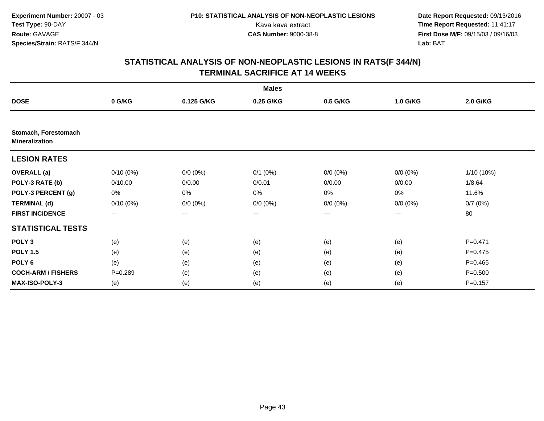|                                               | <b>Males</b> |             |              |                   |             |                 |  |  |  |
|-----------------------------------------------|--------------|-------------|--------------|-------------------|-------------|-----------------|--|--|--|
| <b>DOSE</b>                                   | 0 G/KG       | 0.125 G/KG  | 0.25 G/KG    | 0.5 G/KG          | 1.0 G/KG    | <b>2.0 G/KG</b> |  |  |  |
|                                               |              |             |              |                   |             |                 |  |  |  |
| Stomach, Forestomach<br><b>Mineralization</b> |              |             |              |                   |             |                 |  |  |  |
| <b>LESION RATES</b>                           |              |             |              |                   |             |                 |  |  |  |
| <b>OVERALL</b> (a)                            | $0/10(0\%)$  | $0/0 (0\%)$ | $0/1$ $(0%)$ | $0/0 (0\%)$       | $0/0 (0\%)$ | 1/10 (10%)      |  |  |  |
| POLY-3 RATE (b)                               | 0/10.00      | 0/0.00      | 0/0.01       | 0/0.00            | 0/0.00      | 1/8.64          |  |  |  |
| POLY-3 PERCENT (g)                            | 0%           | 0%          | 0%           | 0%                | 0%          | 11.6%           |  |  |  |
| <b>TERMINAL (d)</b>                           | $0/10(0\%)$  | $0/0 (0\%)$ | $0/0 (0\%)$  | $0/0 (0\%)$       | $0/0 (0\%)$ | 0/7(0%)         |  |  |  |
| <b>FIRST INCIDENCE</b>                        | $---$        | $---$       | ---          | $\qquad \qquad -$ | ---         | 80              |  |  |  |
| <b>STATISTICAL TESTS</b>                      |              |             |              |                   |             |                 |  |  |  |
| POLY <sub>3</sub>                             | (e)          | (e)         | (e)          | (e)               | (e)         | $P=0.471$       |  |  |  |
| <b>POLY 1.5</b>                               | (e)          | (e)         | (e)          | (e)               | (e)         | $P = 0.475$     |  |  |  |
| POLY <sub>6</sub>                             | (e)          | (e)         | (e)          | (e)               | (e)         | $P=0.465$       |  |  |  |
| <b>COCH-ARM / FISHERS</b>                     | $P = 0.289$  | (e)         | (e)          | (e)               | (e)         | $P = 0.500$     |  |  |  |
| MAX-ISO-POLY-3                                | (e)          | (e)         | (e)          | (e)               | (e)         | $P = 0.157$     |  |  |  |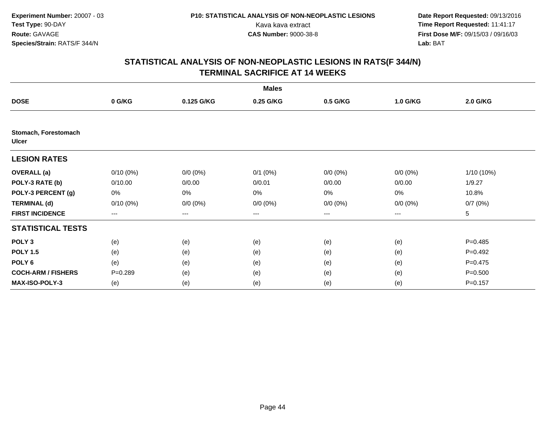|                               |                        |             | <b>Males</b> |                   |             |             |
|-------------------------------|------------------------|-------------|--------------|-------------------|-------------|-------------|
| <b>DOSE</b>                   | 0 G/KG                 | 0.125 G/KG  | 0.25 G/KG    | 0.5 G/KG          | 1.0 G/KG    | 2.0 G/KG    |
|                               |                        |             |              |                   |             |             |
| Stomach, Forestomach<br>Ulcer |                        |             |              |                   |             |             |
| <b>LESION RATES</b>           |                        |             |              |                   |             |             |
| <b>OVERALL</b> (a)            | $0/10(0\%)$            | $0/0 (0\%)$ | $0/1$ $(0%)$ | $0/0 (0\%)$       | $0/0 (0\%)$ | 1/10 (10%)  |
| POLY-3 RATE (b)               | 0/10.00                | 0/0.00      | 0/0.01       | 0/0.00            | 0/0.00      | 1/9.27      |
| POLY-3 PERCENT (g)            | 0%                     | 0%          | 0%           | $0\%$             | $0\%$       | 10.8%       |
| <b>TERMINAL (d)</b>           | $0/10(0\%)$            | $0/0 (0\%)$ | $0/0 (0\%)$  | $0/0 (0\%)$       | $0/0 (0\%)$ | 0/7(0%)     |
| <b>FIRST INCIDENCE</b>        | $\qquad \qquad \cdots$ | ---         | ---          | $\qquad \qquad -$ | ---         | 5           |
| <b>STATISTICAL TESTS</b>      |                        |             |              |                   |             |             |
| POLY <sub>3</sub>             | (e)                    | (e)         | (e)          | (e)               | (e)         | $P=0.485$   |
| <b>POLY 1.5</b>               | (e)                    | (e)         | (e)          | (e)               | (e)         | $P=0.492$   |
| POLY <sub>6</sub>             | (e)                    | (e)         | (e)          | (e)               | (e)         | $P=0.475$   |
| <b>COCH-ARM / FISHERS</b>     | $P = 0.289$            | (e)         | (e)          | (e)               | (e)         | $P = 0.500$ |
| <b>MAX-ISO-POLY-3</b>         | (e)                    | (e)         | (e)          | (e)               | (e)         | $P = 0.157$ |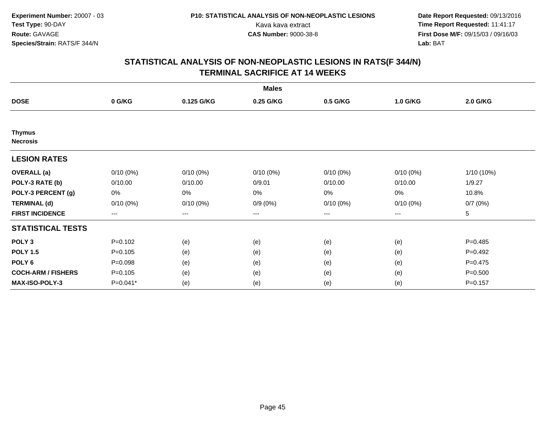|                                  |             |             | <b>Males</b> |             |             |             |
|----------------------------------|-------------|-------------|--------------|-------------|-------------|-------------|
| <b>DOSE</b>                      | 0 G/KG      | 0.125 G/KG  | 0.25 G/KG    | 0.5 G/KG    | 1.0 G/KG    | 2.0 G/KG    |
|                                  |             |             |              |             |             |             |
| <b>Thymus</b><br><b>Necrosis</b> |             |             |              |             |             |             |
| <b>LESION RATES</b>              |             |             |              |             |             |             |
| <b>OVERALL</b> (a)               | $0/10(0\%)$ | $0/10(0\%)$ | $0/10(0\%)$  | $0/10(0\%)$ | $0/10(0\%)$ | 1/10 (10%)  |
| POLY-3 RATE (b)                  | 0/10.00     | 0/10.00     | 0/9.01       | 0/10.00     | 0/10.00     | 1/9.27      |
| POLY-3 PERCENT (g)               | 0%          | 0%          | 0%           | 0%          | 0%          | 10.8%       |
| <b>TERMINAL (d)</b>              | $0/10(0\%)$ | $0/10(0\%)$ | $0/9(0\%)$   | $0/10(0\%)$ | 0/10(0%)    | 0/7(0%)     |
| <b>FIRST INCIDENCE</b>           | ---         | $\cdots$    | ---          | $--$        | $---$       | 5           |
| <b>STATISTICAL TESTS</b>         |             |             |              |             |             |             |
| POLY <sub>3</sub>                | $P = 0.102$ | (e)         | (e)          | (e)         | (e)         | $P=0.485$   |
| <b>POLY 1.5</b>                  | $P = 0.105$ | (e)         | (e)          | (e)         | (e)         | $P=0.492$   |
| POLY <sub>6</sub>                | $P = 0.098$ | (e)         | (e)          | (e)         | (e)         | $P=0.475$   |
| <b>COCH-ARM / FISHERS</b>        | $P = 0.105$ | (e)         | (e)          | (e)         | (e)         | $P = 0.500$ |
| <b>MAX-ISO-POLY-3</b>            | P=0.041*    | (e)         | (e)          | (e)         | (e)         | $P = 0.157$ |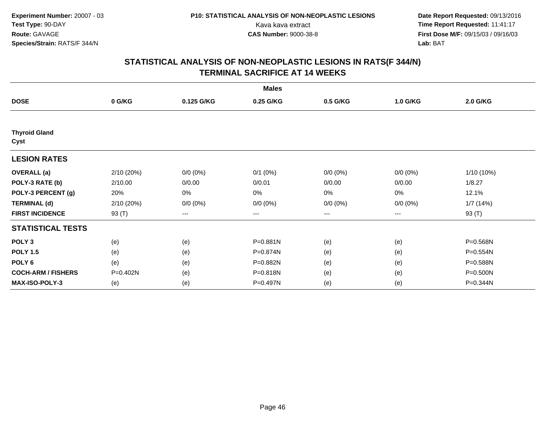|                              |            |             | <b>Males</b> |             |             |              |
|------------------------------|------------|-------------|--------------|-------------|-------------|--------------|
| <b>DOSE</b>                  | 0 G/KG     | 0.125 G/KG  | 0.25 G/KG    | 0.5 G/KG    | 1.0 G/KG    | 2.0 G/KG     |
|                              |            |             |              |             |             |              |
| <b>Thyroid Gland</b><br>Cyst |            |             |              |             |             |              |
| <b>LESION RATES</b>          |            |             |              |             |             |              |
| <b>OVERALL</b> (a)           | 2/10 (20%) | $0/0 (0\%)$ | $0/1$ (0%)   | $0/0 (0\%)$ | $0/0 (0\%)$ | $1/10(10\%)$ |
| POLY-3 RATE (b)              | 2/10.00    | 0/0.00      | 0/0.01       | 0/0.00      | 0/0.00      | 1/8.27       |
| POLY-3 PERCENT (g)           | 20%        | $0\%$       | 0%           | 0%          | 0%          | 12.1%        |
| <b>TERMINAL (d)</b>          | 2/10 (20%) | $0/0 (0\%)$ | $0/0 (0\%)$  | $0/0 (0\%)$ | $0/0 (0\%)$ | 1/7(14%)     |
| <b>FIRST INCIDENCE</b>       | 93 (T)     | $--$        | ---          | ---         | ---         | 93 (T)       |
| <b>STATISTICAL TESTS</b>     |            |             |              |             |             |              |
| POLY <sub>3</sub>            | (e)        | (e)         | P=0.881N     | (e)         | (e)         | P=0.568N     |
| <b>POLY 1.5</b>              | (e)        | (e)         | P=0.874N     | (e)         | (e)         | P=0.554N     |
| POLY <sub>6</sub>            | (e)        | (e)         | P=0.882N     | (e)         | (e)         | P=0.588N     |
| <b>COCH-ARM / FISHERS</b>    | P=0.402N   | (e)         | P=0.818N     | (e)         | (e)         | P=0.500N     |
| <b>MAX-ISO-POLY-3</b>        | (e)        | (e)         | P=0.497N     | (e)         | (e)         | P=0.344N     |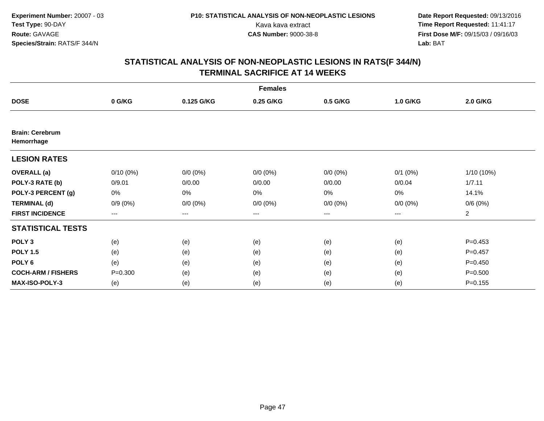|                                      | <b>Females</b> |             |             |                        |              |                |  |  |  |
|--------------------------------------|----------------|-------------|-------------|------------------------|--------------|----------------|--|--|--|
| <b>DOSE</b>                          | 0 G/KG         | 0.125 G/KG  | 0.25 G/KG   | 0.5 G/KG               | 1.0 G/KG     | 2.0 G/KG       |  |  |  |
|                                      |                |             |             |                        |              |                |  |  |  |
| <b>Brain: Cerebrum</b><br>Hemorrhage |                |             |             |                        |              |                |  |  |  |
| <b>LESION RATES</b>                  |                |             |             |                        |              |                |  |  |  |
| <b>OVERALL</b> (a)                   | $0/10(0\%)$    | $0/0 (0\%)$ | $0/0 (0\%)$ | $0/0 (0\%)$            | $0/1$ $(0%)$ | $1/10(10\%)$   |  |  |  |
| POLY-3 RATE (b)                      | 0/9.01         | 0/0.00      | 0/0.00      | 0/0.00                 | 0/0.04       | 1/7.11         |  |  |  |
| POLY-3 PERCENT (g)                   | 0%             | 0%          | 0%          | $0\%$                  | $0\%$        | 14.1%          |  |  |  |
| <b>TERMINAL (d)</b>                  | $0/9(0\%)$     | $0/0 (0\%)$ | $0/0 (0\%)$ | $0/0 (0\%)$            | $0/0 (0\%)$  | 0/6(0%)        |  |  |  |
| <b>FIRST INCIDENCE</b>               | $---$          | ---         | ---         | $\qquad \qquad \cdots$ | ---          | $\overline{a}$ |  |  |  |
| <b>STATISTICAL TESTS</b>             |                |             |             |                        |              |                |  |  |  |
| POLY <sub>3</sub>                    | (e)            | (e)         | (e)         | (e)                    | (e)          | $P=0.453$      |  |  |  |
| <b>POLY 1.5</b>                      | (e)            | (e)         | (e)         | (e)                    | (e)          | $P=0.457$      |  |  |  |
| POLY <sub>6</sub>                    | (e)            | (e)         | (e)         | (e)                    | (e)          | $P=0.450$      |  |  |  |
| <b>COCH-ARM / FISHERS</b>            | $P = 0.300$    | (e)         | (e)         | (e)                    | (e)          | $P = 0.500$    |  |  |  |
| <b>MAX-ISO-POLY-3</b>                | (e)            | (e)         | (e)         | (e)                    | (e)          | $P = 0.155$    |  |  |  |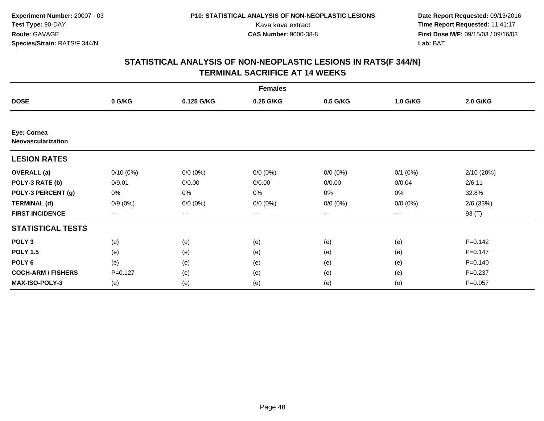|                                          | <b>Females</b>         |             |             |                   |              |             |  |  |  |
|------------------------------------------|------------------------|-------------|-------------|-------------------|--------------|-------------|--|--|--|
| <b>DOSE</b>                              | 0 G/KG                 | 0.125 G/KG  | 0.25 G/KG   | 0.5 G/KG          | 1.0 G/KG     | 2.0 G/KG    |  |  |  |
|                                          |                        |             |             |                   |              |             |  |  |  |
| Eye: Cornea<br><b>Neovascularization</b> |                        |             |             |                   |              |             |  |  |  |
| <b>LESION RATES</b>                      |                        |             |             |                   |              |             |  |  |  |
| <b>OVERALL</b> (a)                       | $0/10(0\%)$            | $0/0 (0\%)$ | $0/0 (0\%)$ | $0/0 (0\%)$       | $0/1$ $(0%)$ | 2/10 (20%)  |  |  |  |
| POLY-3 RATE (b)                          | 0/9.01                 | 0/0.00      | 0/0.00      | 0/0.00            | 0/0.04       | 2/6.11      |  |  |  |
| POLY-3 PERCENT (g)                       | 0%                     | 0%          | 0%          | $0\%$             | $0\%$        | 32.8%       |  |  |  |
| <b>TERMINAL (d)</b>                      | $0/9(0\%)$             | $0/0 (0\%)$ | $0/0 (0\%)$ | $0/0 (0\%)$       | $0/0 (0\%)$  | $2/6$ (33%) |  |  |  |
| <b>FIRST INCIDENCE</b>                   | $\qquad \qquad \cdots$ | ---         | ---         | $\qquad \qquad -$ | ---          | 93 (T)      |  |  |  |
| <b>STATISTICAL TESTS</b>                 |                        |             |             |                   |              |             |  |  |  |
| POLY <sub>3</sub>                        | (e)                    | (e)         | (e)         | (e)               | (e)          | $P = 0.142$ |  |  |  |
| <b>POLY 1.5</b>                          | (e)                    | (e)         | (e)         | (e)               | (e)          | $P=0.147$   |  |  |  |
| POLY <sub>6</sub>                        | (e)                    | (e)         | (e)         | (e)               | (e)          | $P = 0.140$ |  |  |  |
| <b>COCH-ARM / FISHERS</b>                | $P = 0.127$            | (e)         | (e)         | (e)               | (e)          | $P=0.237$   |  |  |  |
| MAX-ISO-POLY-3                           | (e)                    | (e)         | (e)         | (e)               | (e)          | $P = 0.057$ |  |  |  |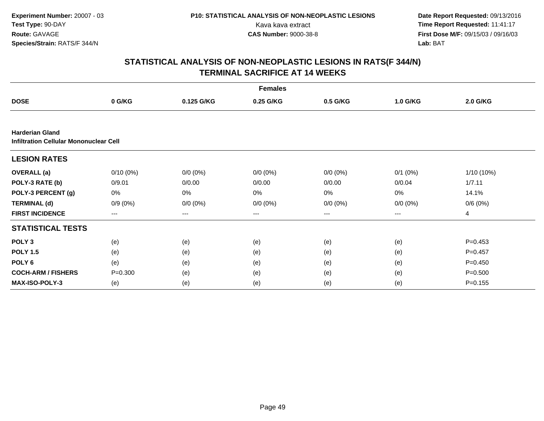|                                                                         |             |             | <b>Females</b> |                   |              |                 |
|-------------------------------------------------------------------------|-------------|-------------|----------------|-------------------|--------------|-----------------|
| <b>DOSE</b>                                                             | 0 G/KG      | 0.125 G/KG  | 0.25 G/KG      | 0.5 G/KG          | 1.0 G/KG     | <b>2.0 G/KG</b> |
|                                                                         |             |             |                |                   |              |                 |
| <b>Harderian Gland</b><br><b>Infiltration Cellular Mononuclear Cell</b> |             |             |                |                   |              |                 |
| <b>LESION RATES</b>                                                     |             |             |                |                   |              |                 |
| <b>OVERALL</b> (a)                                                      | $0/10(0\%)$ | $0/0 (0\%)$ | $0/0 (0\%)$    | $0/0 (0\%)$       | $0/1$ $(0%)$ | 1/10 (10%)      |
| POLY-3 RATE (b)                                                         | 0/9.01      | 0/0.00      | 0/0.00         | 0/0.00            | 0/0.04       | 1/7.11          |
| POLY-3 PERCENT (g)                                                      | 0%          | 0%          | 0%             | 0%                | 0%           | 14.1%           |
| <b>TERMINAL (d)</b>                                                     | $0/9(0\%)$  | $0/0 (0\%)$ | $0/0 (0\%)$    | $0/0 (0\%)$       | $0/0 (0\%)$  | 0/6(0%)         |
| <b>FIRST INCIDENCE</b>                                                  | $---$       | ---         | $---$          | $\qquad \qquad -$ | ---          | 4               |
| <b>STATISTICAL TESTS</b>                                                |             |             |                |                   |              |                 |
| POLY <sub>3</sub>                                                       | (e)         | (e)         | (e)            | (e)               | (e)          | $P=0.453$       |
| <b>POLY 1.5</b>                                                         | (e)         | (e)         | (e)            | (e)               | (e)          | $P=0.457$       |
| POLY <sub>6</sub>                                                       | (e)         | (e)         | (e)            | (e)               | (e)          | $P=0.450$       |
| <b>COCH-ARM / FISHERS</b>                                               | $P = 0.300$ | (e)         | (e)            | (e)               | (e)          | $P = 0.500$     |
| MAX-ISO-POLY-3                                                          | (e)         | (e)         | (e)            | (e)               | (e)          | $P = 0.155$     |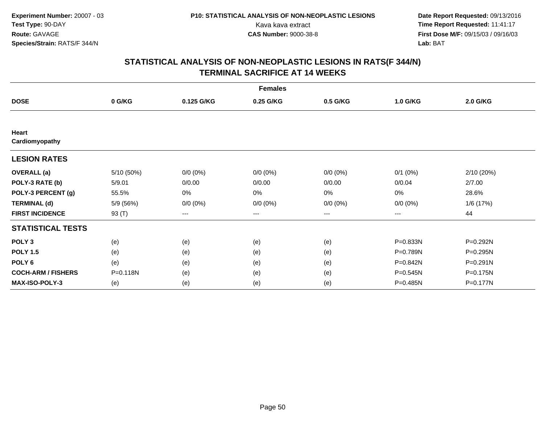|                           |            |             | <b>Females</b> |             |              |           |
|---------------------------|------------|-------------|----------------|-------------|--------------|-----------|
| <b>DOSE</b>               | 0 G/KG     | 0.125 G/KG  | 0.25 G/KG      | 0.5 G/KG    | 1.0 G/KG     | 2.0 G/KG  |
|                           |            |             |                |             |              |           |
| Heart<br>Cardiomyopathy   |            |             |                |             |              |           |
| <b>LESION RATES</b>       |            |             |                |             |              |           |
| <b>OVERALL</b> (a)        | 5/10 (50%) | $0/0 (0\%)$ | $0/0 (0\%)$    | $0/0 (0\%)$ | $0/1$ $(0%)$ | 2/10(20%) |
| POLY-3 RATE (b)           | 5/9.01     | 0/0.00      | 0/0.00         | 0/0.00      | 0/0.04       | 2/7.00    |
| POLY-3 PERCENT (g)        | 55.5%      | 0%          | 0%             | 0%          | 0%           | 28.6%     |
| <b>TERMINAL (d)</b>       | 5/9 (56%)  | $0/0 (0\%)$ | $0/0 (0\%)$    | $0/0 (0\%)$ | $0/0 (0\%)$  | 1/6 (17%) |
| <b>FIRST INCIDENCE</b>    | 93 (T)     | $--$        | ---            | ---         | ---          | 44        |
| <b>STATISTICAL TESTS</b>  |            |             |                |             |              |           |
| POLY <sub>3</sub>         | (e)        | (e)         | (e)            | (e)         | P=0.833N     | P=0.292N  |
| <b>POLY 1.5</b>           | (e)        | (e)         | (e)            | (e)         | P=0.789N     | P=0.295N  |
| POLY <sub>6</sub>         | (e)        | (e)         | (e)            | (e)         | P=0.842N     | P=0.291N  |
| <b>COCH-ARM / FISHERS</b> | P=0.118N   | (e)         | (e)            | (e)         | P=0.545N     | P=0.175N  |
| <b>MAX-ISO-POLY-3</b>     | (e)        | (e)         | (e)            | (e)         | P=0.485N     | P=0.177N  |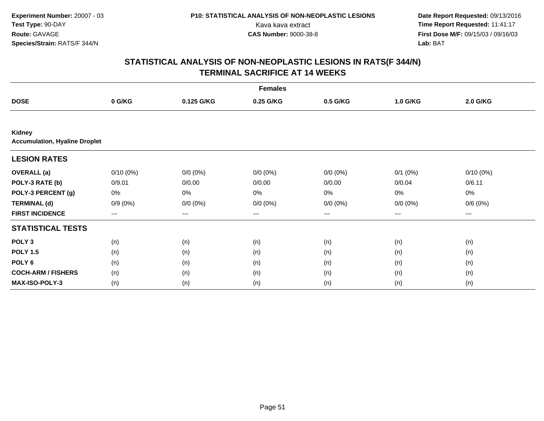|                                                       |                     |             | <b>Females</b> |                        |              |                 |  |
|-------------------------------------------------------|---------------------|-------------|----------------|------------------------|--------------|-----------------|--|
| <b>DOSE</b>                                           | 0 G/KG              | 0.125 G/KG  | 0.25 G/KG      | 0.5 G/KG               | 1.0 G/KG     | <b>2.0 G/KG</b> |  |
|                                                       |                     |             |                |                        |              |                 |  |
| <b>Kidney</b><br><b>Accumulation, Hyaline Droplet</b> |                     |             |                |                        |              |                 |  |
| <b>LESION RATES</b>                                   |                     |             |                |                        |              |                 |  |
| <b>OVERALL</b> (a)                                    | $0/10(0\%)$         | $0/0 (0\%)$ | $0/0 (0\%)$    | $0/0 (0\%)$            | $0/1$ $(0%)$ | $0/10(0\%)$     |  |
| POLY-3 RATE (b)                                       | 0/9.01              | 0/0.00      | 0/0.00         | 0/0.00                 | 0/0.04       | 0/6.11          |  |
| POLY-3 PERCENT (g)                                    | 0%                  | 0%          | 0%             | 0%                     | 0%           | 0%              |  |
| <b>TERMINAL (d)</b>                                   | $0/9(0\%)$          | $0/0 (0\%)$ | $0/0 (0\%)$    | $0/0 (0\%)$            | $0/0 (0\%)$  | 0/6(0%)         |  |
| <b>FIRST INCIDENCE</b>                                | $\qquad \qquad - -$ | ---         | ---            | $\qquad \qquad \cdots$ | ---          | $---$           |  |
| <b>STATISTICAL TESTS</b>                              |                     |             |                |                        |              |                 |  |
| POLY <sub>3</sub>                                     | (n)                 | (n)         | (n)            | (n)                    | (n)          | (n)             |  |
| <b>POLY 1.5</b>                                       | (n)                 | (n)         | (n)            | (n)                    | (n)          | (n)             |  |
| POLY <sub>6</sub>                                     | (n)                 | (n)         | (n)            | (n)                    | (n)          | (n)             |  |
| <b>COCH-ARM / FISHERS</b>                             | (n)                 | (n)         | (n)            | (n)                    | (n)          | (n)             |  |
| MAX-ISO-POLY-3                                        | (n)                 | (n)         | (n)            | (n)                    | (n)          | (n)             |  |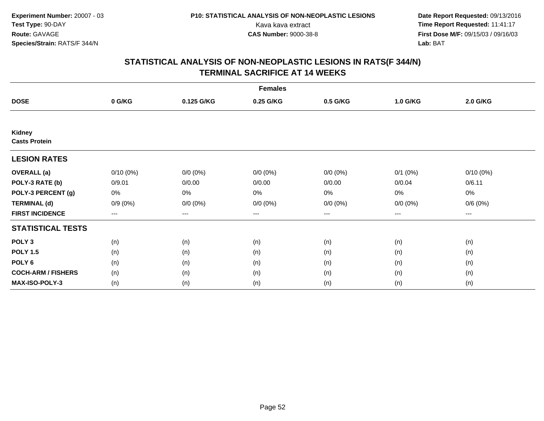|                                       |             |             | <b>Females</b> |                        |              |             |  |
|---------------------------------------|-------------|-------------|----------------|------------------------|--------------|-------------|--|
| <b>DOSE</b>                           | 0 G/KG      | 0.125 G/KG  | 0.25 G/KG      | 0.5 G/KG               | 1.0 G/KG     | 2.0 G/KG    |  |
|                                       |             |             |                |                        |              |             |  |
| <b>Kidney</b><br><b>Casts Protein</b> |             |             |                |                        |              |             |  |
| <b>LESION RATES</b>                   |             |             |                |                        |              |             |  |
| <b>OVERALL</b> (a)                    | $0/10(0\%)$ | $0/0 (0\%)$ | $0/0 (0\%)$    | $0/0 (0\%)$            | $0/1$ $(0%)$ | $0/10(0\%)$ |  |
| POLY-3 RATE (b)                       | 0/9.01      | 0/0.00      | 0/0.00         | 0/0.00                 | 0/0.04       | 0/6.11      |  |
| POLY-3 PERCENT (g)                    | 0%          | 0%          | 0%             | 0%                     | $0\%$        | 0%          |  |
| <b>TERMINAL (d)</b>                   | $0/9(0\%)$  | $0/0 (0\%)$ | $0/0 (0\%)$    | $0/0 (0\%)$            | $0/0 (0\%)$  | 0/6(0%)     |  |
| <b>FIRST INCIDENCE</b>                | $---$       | ---         | ---            | $\qquad \qquad \cdots$ | ---          | ---         |  |
| <b>STATISTICAL TESTS</b>              |             |             |                |                        |              |             |  |
| POLY <sub>3</sub>                     | (n)         | (n)         | (n)            | (n)                    | (n)          | (n)         |  |
| <b>POLY 1.5</b>                       | (n)         | (n)         | (n)            | (n)                    | (n)          | (n)         |  |
| POLY <sub>6</sub>                     | (n)         | (n)         | (n)            | (n)                    | (n)          | (n)         |  |
| <b>COCH-ARM / FISHERS</b>             | (n)         | (n)         | (n)            | (n)                    | (n)          | (n)         |  |
| MAX-ISO-POLY-3                        | (n)         | (n)         | (n)            | (n)                    | (n)          | (n)         |  |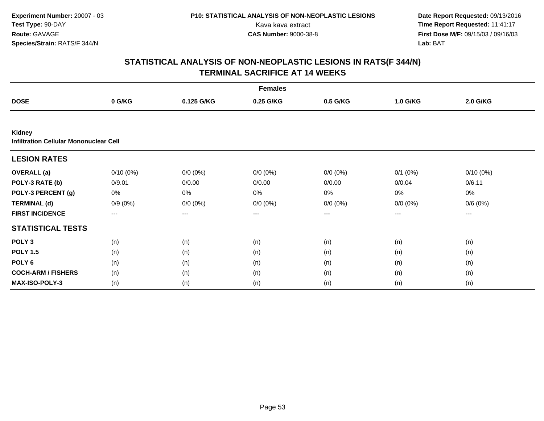|                                                                |             |             | <b>Females</b> |             |              |                 |  |
|----------------------------------------------------------------|-------------|-------------|----------------|-------------|--------------|-----------------|--|
| <b>DOSE</b>                                                    | 0 G/KG      | 0.125 G/KG  | 0.25 G/KG      | 0.5 G/KG    | 1.0 G/KG     | <b>2.0 G/KG</b> |  |
|                                                                |             |             |                |             |              |                 |  |
| <b>Kidney</b><br><b>Infiltration Cellular Mononuclear Cell</b> |             |             |                |             |              |                 |  |
| <b>LESION RATES</b>                                            |             |             |                |             |              |                 |  |
| <b>OVERALL</b> (a)                                             | $0/10(0\%)$ | $0/0 (0\%)$ | $0/0 (0\%)$    | $0/0 (0\%)$ | $0/1$ $(0%)$ | $0/10(0\%)$     |  |
| POLY-3 RATE (b)                                                | 0/9.01      | 0/0.00      | 0/0.00         | 0/0.00      | 0/0.04       | 0/6.11          |  |
| POLY-3 PERCENT (g)                                             | 0%          | 0%          | 0%             | 0%          | 0%           | 0%              |  |
| <b>TERMINAL (d)</b>                                            | $0/9(0\%)$  | $0/0 (0\%)$ | $0/0 (0\%)$    | $0/0 (0\%)$ | $0/0 (0\%)$  | 0/6(0%)         |  |
| <b>FIRST INCIDENCE</b>                                         | $---$       | ---         | ---            | $---$       | ---          | $---$           |  |
| <b>STATISTICAL TESTS</b>                                       |             |             |                |             |              |                 |  |
| POLY <sub>3</sub>                                              | (n)         | (n)         | (n)            | (n)         | (n)          | (n)             |  |
| <b>POLY 1.5</b>                                                | (n)         | (n)         | (n)            | (n)         | (n)          | (n)             |  |
| POLY <sub>6</sub>                                              | (n)         | (n)         | (n)            | (n)         | (n)          | (n)             |  |
| <b>COCH-ARM / FISHERS</b>                                      | (n)         | (n)         | (n)            | (n)         | (n)          | (n)             |  |
| <b>MAX-ISO-POLY-3</b>                                          | (n)         | (n)         | (n)            | (n)         | (n)          | (n)             |  |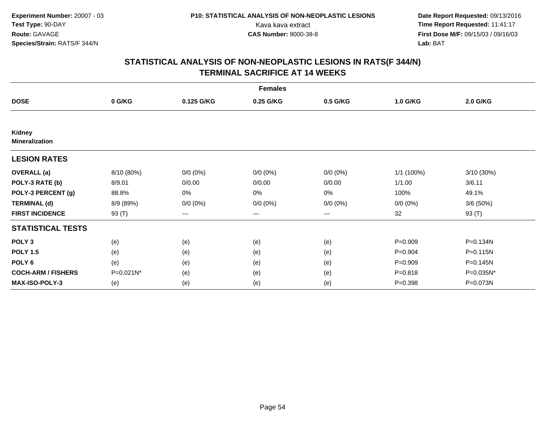|                                        |            |             | <b>Females</b> |                        |             |            |
|----------------------------------------|------------|-------------|----------------|------------------------|-------------|------------|
| <b>DOSE</b>                            | 0 G/KG     | 0.125 G/KG  | 0.25 G/KG      | 0.5 G/KG               | 1.0 G/KG    | 2.0 G/KG   |
|                                        |            |             |                |                        |             |            |
| <b>Kidney</b><br><b>Mineralization</b> |            |             |                |                        |             |            |
| <b>LESION RATES</b>                    |            |             |                |                        |             |            |
| <b>OVERALL</b> (a)                     | 8/10 (80%) | $0/0 (0\%)$ | $0/0 (0\%)$    | $0/0 (0\%)$            | 1/1 (100%)  | 3/10 (30%) |
| POLY-3 RATE (b)                        | 8/9.01     | 0/0.00      | 0/0.00         | 0/0.00                 | 1/1.00      | 3/6.11     |
| POLY-3 PERCENT (g)                     | 88.8%      | 0%          | 0%             | 0%                     | 100%        | 49.1%      |
| <b>TERMINAL (d)</b>                    | 8/9 (89%)  | $0/0 (0\%)$ | $0/0 (0\%)$    | $0/0 (0\%)$            | $0/0 (0\%)$ | 3/6(50%)   |
| <b>FIRST INCIDENCE</b>                 | 93 (T)     | ---         | ---            | $\qquad \qquad \cdots$ | 32          | 93 (T)     |
| <b>STATISTICAL TESTS</b>               |            |             |                |                        |             |            |
| POLY <sub>3</sub>                      | (e)        | (e)         | (e)            | (e)                    | $P=0.909$   | P=0.134N   |
| <b>POLY 1.5</b>                        | (e)        | (e)         | (e)            | (e)                    | $P = 0.904$ | P=0.115N   |
| POLY <sub>6</sub>                      | (e)        | (e)         | (e)            | (e)                    | $P=0.909$   | P=0.145N   |
| <b>COCH-ARM / FISHERS</b>              | P=0.021N*  | (e)         | (e)            | (e)                    | $P = 0.818$ | P=0.035N*  |
| <b>MAX-ISO-POLY-3</b>                  | (e)        | (e)         | (e)            | (e)                    | $P = 0.398$ | P=0.073N   |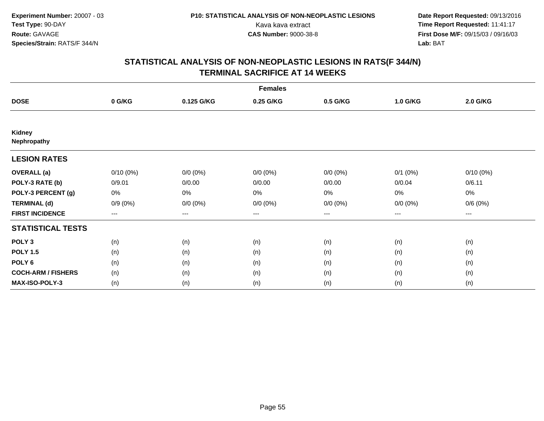|                           |                        |             | <b>Females</b> |                   |                   |                     |  |
|---------------------------|------------------------|-------------|----------------|-------------------|-------------------|---------------------|--|
| <b>DOSE</b>               | 0 G/KG                 | 0.125 G/KG  | 0.25 G/KG      | 0.5 G/KG          | 1.0 G/KG          | 2.0 G/KG            |  |
|                           |                        |             |                |                   |                   |                     |  |
| Kidney<br>Nephropathy     |                        |             |                |                   |                   |                     |  |
| <b>LESION RATES</b>       |                        |             |                |                   |                   |                     |  |
| <b>OVERALL</b> (a)        | $0/10(0\%)$            | $0/0 (0\%)$ | $0/0 (0\%)$    | $0/0 (0\%)$       | $0/1$ $(0%)$      | $0/10(0\%)$         |  |
| POLY-3 RATE (b)           | 0/9.01                 | 0/0.00      | 0/0.00         | 0/0.00            | 0/0.04            | 0/6.11              |  |
| POLY-3 PERCENT (g)        | 0%                     | 0%          | 0%             | $0\%$             | $0\%$             | 0%                  |  |
| <b>TERMINAL (d)</b>       | $0/9(0\%)$             | $0/0 (0\%)$ | $0/0 (0\%)$    | $0/0 (0\%)$       | $0/0 (0\%)$       | 0/6(0%)             |  |
| <b>FIRST INCIDENCE</b>    | $\qquad \qquad \cdots$ | $---$       | ---            | $\qquad \qquad -$ | $\qquad \qquad -$ | $\qquad \qquad - -$ |  |
| <b>STATISTICAL TESTS</b>  |                        |             |                |                   |                   |                     |  |
| POLY <sub>3</sub>         | (n)                    | (n)         | (n)            | (n)               | (n)               | (n)                 |  |
| <b>POLY 1.5</b>           | (n)                    | (n)         | (n)            | (n)               | (n)               | (n)                 |  |
| POLY <sub>6</sub>         | (n)                    | (n)         | (n)            | (n)               | (n)               | (n)                 |  |
| <b>COCH-ARM / FISHERS</b> | (n)                    | (n)         | (n)            | (n)               | (n)               | (n)                 |  |
| MAX-ISO-POLY-3            | (n)                    | (n)         | (n)            | (n)               | (n)               | (n)                 |  |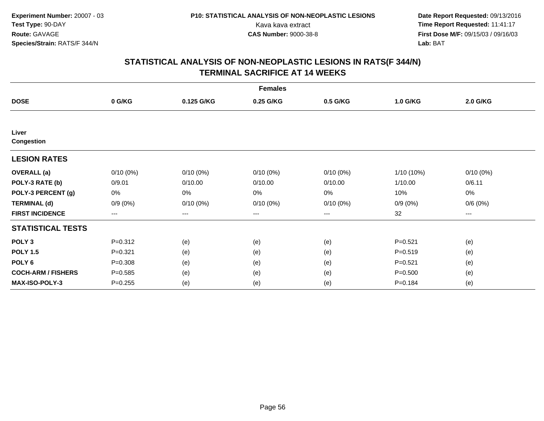|                           |                        |             | <b>Females</b> |                   |             |             |  |
|---------------------------|------------------------|-------------|----------------|-------------------|-------------|-------------|--|
| <b>DOSE</b>               | 0 G/KG                 | 0.125 G/KG  | 0.25 G/KG      | 0.5 G/KG          | 1.0 G/KG    | 2.0 G/KG    |  |
|                           |                        |             |                |                   |             |             |  |
| Liver                     |                        |             |                |                   |             |             |  |
| <b>Congestion</b>         |                        |             |                |                   |             |             |  |
| <b>LESION RATES</b>       |                        |             |                |                   |             |             |  |
| <b>OVERALL</b> (a)        | $0/10(0\%)$            | $0/10(0\%)$ | $0/10(0\%)$    | $0/10(0\%)$       | 1/10 (10%)  | $0/10(0\%)$ |  |
| POLY-3 RATE (b)           | 0/9.01                 | 0/10.00     | 0/10.00        | 0/10.00           | 1/10.00     | 0/6.11      |  |
| POLY-3 PERCENT (g)        | 0%                     | 0%          | 0%             | 0%                | 10%         | 0%          |  |
| <b>TERMINAL (d)</b>       | $0/9(0\%)$             | $0/10(0\%)$ | $0/10(0\%)$    | $0/10(0\%)$       | $0/9(0\%)$  | 0/6(0%)     |  |
| <b>FIRST INCIDENCE</b>    | $\qquad \qquad \cdots$ | $---$       | ---            | $\qquad \qquad -$ | 32          | $---$       |  |
| <b>STATISTICAL TESTS</b>  |                        |             |                |                   |             |             |  |
| POLY <sub>3</sub>         | $P = 0.312$            | (e)         | (e)            | (e)               | $P = 0.521$ | (e)         |  |
| <b>POLY 1.5</b>           | $P = 0.321$            | (e)         | (e)            | (e)               | $P = 0.519$ | (e)         |  |
| POLY <sub>6</sub>         | $P = 0.308$            | (e)         | (e)            | (e)               | $P = 0.521$ | (e)         |  |
| <b>COCH-ARM / FISHERS</b> | $P = 0.585$            | (e)         | (e)            | (e)               | $P = 0.500$ | (e)         |  |
| <b>MAX-ISO-POLY-3</b>     | $P = 0.255$            | (e)         | (e)            | (e)               | $P = 0.184$ | (e)         |  |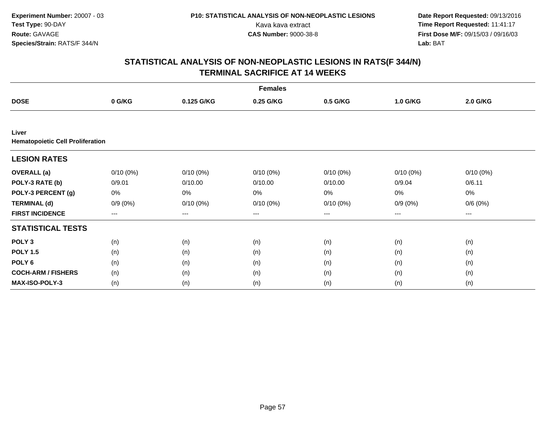|                                                  |                        |             | <b>Females</b> |                   |             |             |  |
|--------------------------------------------------|------------------------|-------------|----------------|-------------------|-------------|-------------|--|
| <b>DOSE</b>                                      | 0 G/KG                 | 0.125 G/KG  | 0.25 G/KG      | 0.5 G/KG          | 1.0 G/KG    | 2.0 G/KG    |  |
|                                                  |                        |             |                |                   |             |             |  |
| Liver<br><b>Hematopoietic Cell Proliferation</b> |                        |             |                |                   |             |             |  |
| <b>LESION RATES</b>                              |                        |             |                |                   |             |             |  |
| <b>OVERALL</b> (a)                               | $0/10(0\%)$            | $0/10(0\%)$ | $0/10(0\%)$    | $0/10(0\%)$       | $0/10(0\%)$ | $0/10(0\%)$ |  |
| POLY-3 RATE (b)                                  | 0/9.01                 | 0/10.00     | 0/10.00        | 0/10.00           | 0/9.04      | 0/6.11      |  |
| POLY-3 PERCENT (g)                               | 0%                     | 0%          | 0%             | 0%                | $0\%$       | 0%          |  |
| <b>TERMINAL (d)</b>                              | $0/9(0\%)$             | $0/10(0\%)$ | $0/10(0\%)$    | $0/10(0\%)$       | $0/9(0\%)$  | 0/6(0%)     |  |
| <b>FIRST INCIDENCE</b>                           | $\qquad \qquad \cdots$ | $---$       | ---            | $\qquad \qquad -$ | $---$       | $---$       |  |
| <b>STATISTICAL TESTS</b>                         |                        |             |                |                   |             |             |  |
| POLY <sub>3</sub>                                | (n)                    | (n)         | (n)            | (n)               | (n)         | (n)         |  |
| <b>POLY 1.5</b>                                  | (n)                    | (n)         | (n)            | (n)               | (n)         | (n)         |  |
| POLY <sub>6</sub>                                | (n)                    | (n)         | (n)            | (n)               | (n)         | (n)         |  |
| <b>COCH-ARM / FISHERS</b>                        | (n)                    | (n)         | (n)            | (n)               | (n)         | (n)         |  |
| <b>MAX-ISO-POLY-3</b>                            | (n)                    | (n)         | (n)            | (n)               | (n)         | (n)         |  |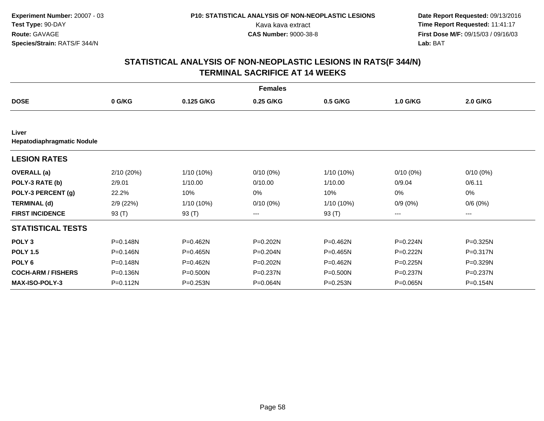|                                     |              |              | <b>Females</b> |              |              |              |  |
|-------------------------------------|--------------|--------------|----------------|--------------|--------------|--------------|--|
| <b>DOSE</b>                         | 0 G/KG       | 0.125 G/KG   | 0.25 G/KG      | 0.5 G/KG     | 1.0 G/KG     | 2.0 G/KG     |  |
|                                     |              |              |                |              |              |              |  |
| Liver<br>Hepatodiaphragmatic Nodule |              |              |                |              |              |              |  |
| <b>LESION RATES</b>                 |              |              |                |              |              |              |  |
| <b>OVERALL</b> (a)                  | 2/10 (20%)   | 1/10 (10%)   | $0/10(0\%)$    | 1/10 (10%)   | $0/10(0\%)$  | $0/10(0\%)$  |  |
| POLY-3 RATE (b)                     | 2/9.01       | 1/10.00      | 0/10.00        | 1/10.00      | 0/9.04       | 0/6.11       |  |
| POLY-3 PERCENT (g)                  | 22.2%        | 10%          | 0%             | 10%          | 0%           | $0\%$        |  |
| <b>TERMINAL (d)</b>                 | 2/9(22%)     | 1/10 (10%)   | $0/10(0\%)$    | $1/10(10\%)$ | $0/9(0\%)$   | 0/6(0%)      |  |
| <b>FIRST INCIDENCE</b>              | 93 $(T)$     | 93 (T)       | ---            | 93 $(T)$     | ---          | ---          |  |
| <b>STATISTICAL TESTS</b>            |              |              |                |              |              |              |  |
| POLY <sub>3</sub>                   | P=0.148N     | P=0.462N     | P=0.202N       | P=0.462N     | $P = 0.224N$ | $P = 0.325N$ |  |
| <b>POLY 1.5</b>                     | $P = 0.146N$ | $P = 0.465N$ | P=0.204N       | $P = 0.465N$ | $P = 0.222N$ | $P = 0.317N$ |  |
| POLY <sub>6</sub>                   | P=0.148N     | $P = 0.462N$ | P=0.202N       | P=0.462N     | $P = 0.225N$ | P=0.329N     |  |
| <b>COCH-ARM / FISHERS</b>           | P=0.136N     | P=0.500N     | P=0.237N       | P=0.500N     | P=0.237N     | P=0.237N     |  |
| <b>MAX-ISO-POLY-3</b>               | P=0.112N     | $P = 0.253N$ | P=0.064N       | P=0.253N     | P=0.065N     | P=0.154N     |  |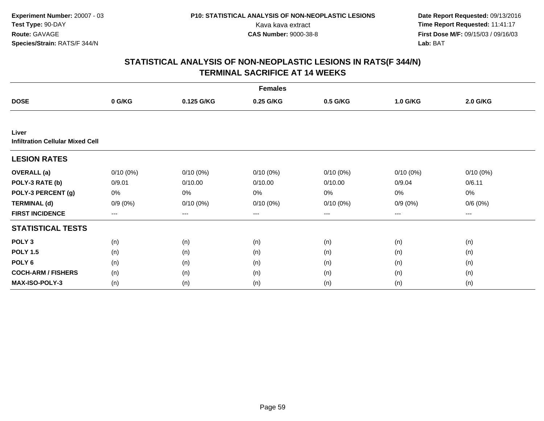|                                                  |             |             | <b>Females</b> |             |             |                     |  |
|--------------------------------------------------|-------------|-------------|----------------|-------------|-------------|---------------------|--|
| <b>DOSE</b>                                      | 0 G/KG      | 0.125 G/KG  | 0.25 G/KG      | 0.5 G/KG    | 1.0 G/KG    | 2.0 G/KG            |  |
|                                                  |             |             |                |             |             |                     |  |
| Liver<br><b>Infiltration Cellular Mixed Cell</b> |             |             |                |             |             |                     |  |
| <b>LESION RATES</b>                              |             |             |                |             |             |                     |  |
| <b>OVERALL</b> (a)                               | $0/10(0\%)$ | $0/10(0\%)$ | $0/10(0\%)$    | $0/10(0\%)$ | $0/10(0\%)$ | $0/10(0\%)$         |  |
| POLY-3 RATE (b)                                  | 0/9.01      | 0/10.00     | 0/10.00        | 0/10.00     | 0/9.04      | 0/6.11              |  |
| POLY-3 PERCENT (g)                               | 0%          | 0%          | 0%             | 0%          | 0%          | 0%                  |  |
| <b>TERMINAL (d)</b>                              | $0/9(0\%)$  | $0/10(0\%)$ | $0/10(0\%)$    | $0/10(0\%)$ | $0/9(0\%)$  | 0/6(0%)             |  |
| <b>FIRST INCIDENCE</b>                           | $---$       | $---$       | ---            | $\cdots$    | $---$       | $\qquad \qquad - -$ |  |
| <b>STATISTICAL TESTS</b>                         |             |             |                |             |             |                     |  |
| POLY <sub>3</sub>                                | (n)         | (n)         | (n)            | (n)         | (n)         | (n)                 |  |
| <b>POLY 1.5</b>                                  | (n)         | (n)         | (n)            | (n)         | (n)         | (n)                 |  |
| POLY <sub>6</sub>                                | (n)         | (n)         | (n)            | (n)         | (n)         | (n)                 |  |
| <b>COCH-ARM / FISHERS</b>                        | (n)         | (n)         | (n)            | (n)         | (n)         | (n)                 |  |
| <b>MAX-ISO-POLY-3</b>                            | (n)         | (n)         | (n)            | (n)         | (n)         | (n)                 |  |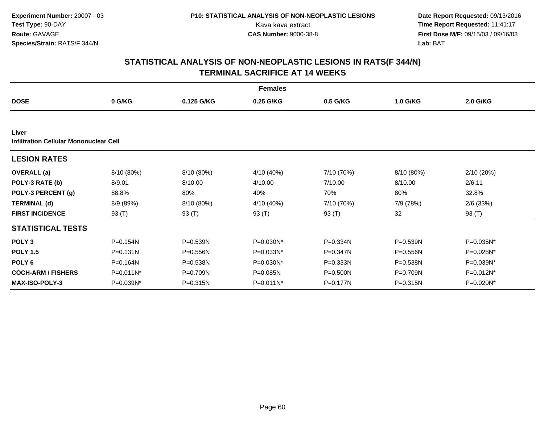|                                                 |              |              | <b>Females</b> |            |              |              |
|-------------------------------------------------|--------------|--------------|----------------|------------|--------------|--------------|
| <b>DOSE</b>                                     | 0 G/KG       | 0.125 G/KG   | 0.25 G/KG      | 0.5 G/KG   | 1.0 G/KG     | 2.0 G/KG     |
|                                                 |              |              |                |            |              |              |
| Liver<br>Infiltration Cellular Mononuclear Cell |              |              |                |            |              |              |
| <b>LESION RATES</b>                             |              |              |                |            |              |              |
| <b>OVERALL</b> (a)                              | 8/10 (80%)   | 8/10 (80%)   | 4/10 (40%)     | 7/10 (70%) | 8/10 (80%)   | 2/10(20%)    |
| POLY-3 RATE (b)                                 | 8/9.01       | 8/10.00      | 4/10.00        | 7/10.00    | 8/10.00      | 2/6.11       |
| POLY-3 PERCENT (g)                              | 88.8%        | 80%          | 40%            | 70%        | 80%          | 32.8%        |
| <b>TERMINAL (d)</b>                             | 8/9 (89%)    | 8/10 (80%)   | 4/10 (40%)     | 7/10 (70%) | 7/9 (78%)    | $2/6$ (33%)  |
| <b>FIRST INCIDENCE</b>                          | 93 $(T)$     | 93 (T)       | 93 $(T)$       | 93 $(T)$   | 32           | 93 $(T)$     |
| <b>STATISTICAL TESTS</b>                        |              |              |                |            |              |              |
| POLY <sub>3</sub>                               | P=0.154N     | $P = 0.539N$ | P=0.030N*      | P=0.334N   | $P = 0.539N$ | P=0.035N*    |
| <b>POLY 1.5</b>                                 | $P = 0.131N$ | $P = 0.556N$ | $P = 0.033N^*$ | P=0.347N   | $P = 0.556N$ | P=0.028N*    |
| POLY <sub>6</sub>                               | P=0.164N     | P=0.538N     | P=0.030N*      | P=0.333N   | P=0.538N     | P=0.039N*    |
| <b>COCH-ARM / FISHERS</b>                       | P=0.011N*    | P=0.709N     | P=0.085N       | P=0.500N   | P=0.709N     | P=0.012N*    |
| <b>MAX-ISO-POLY-3</b>                           | P=0.039N*    | $P = 0.315N$ | P=0.011N*      | P=0.177N   | P=0.315N     | $P=0.020N^*$ |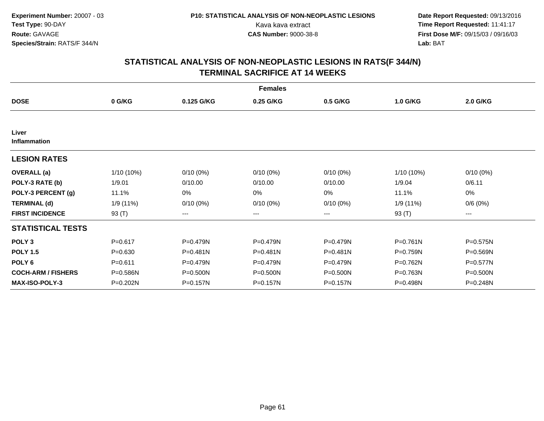|                           |             |                        | <b>Females</b> |              |              |              |  |
|---------------------------|-------------|------------------------|----------------|--------------|--------------|--------------|--|
| <b>DOSE</b>               | 0 G/KG      | 0.125 G/KG             | 0.25 G/KG      | 0.5 G/KG     | 1.0 G/KG     | 2.0 G/KG     |  |
|                           |             |                        |                |              |              |              |  |
| Liver<br>Inflammation     |             |                        |                |              |              |              |  |
| <b>LESION RATES</b>       |             |                        |                |              |              |              |  |
| <b>OVERALL</b> (a)        | 1/10 (10%)  | $0/10(0\%)$            | $0/10(0\%)$    | $0/10(0\%)$  | 1/10 (10%)   | $0/10(0\%)$  |  |
| POLY-3 RATE (b)           | 1/9.01      | 0/10.00                | 0/10.00        | 0/10.00      | 1/9.04       | 0/6.11       |  |
| POLY-3 PERCENT (g)        | 11.1%       | 0%                     | 0%             | 0%           | 11.1%        | 0%           |  |
| <b>TERMINAL (d)</b>       | 1/9 (11%)   | $0/10(0\%)$            | $0/10(0\%)$    | $0/10(0\%)$  | 1/9 (11%)    | 0/6(0%)      |  |
| <b>FIRST INCIDENCE</b>    | 93 (T)      | $\qquad \qquad \cdots$ | ---            | ---          | 93 (T)       | ---          |  |
| <b>STATISTICAL TESTS</b>  |             |                        |                |              |              |              |  |
| POLY <sub>3</sub>         | $P = 0.617$ | P=0.479N               | P=0.479N       | P=0.479N     | $P = 0.761N$ | $P = 0.575N$ |  |
| <b>POLY 1.5</b>           | $P = 0.630$ | $P = 0.481N$           | P=0.481N       | $P = 0.481N$ | P=0.759N     | $P = 0.569N$ |  |
| POLY <sub>6</sub>         | $P = 0.611$ | P=0.479N               | P=0.479N       | $P = 0.479N$ | P=0.762N     | $P=0.577N$   |  |
| <b>COCH-ARM / FISHERS</b> | P=0.586N    | $P = 0.500N$           | P=0.500N       | P=0.500N     | P=0.763N     | P=0.500N     |  |
| <b>MAX-ISO-POLY-3</b>     | P=0.202N    | P=0.157N               | P=0.157N       | P=0.157N     | P=0.498N     | P=0.248N     |  |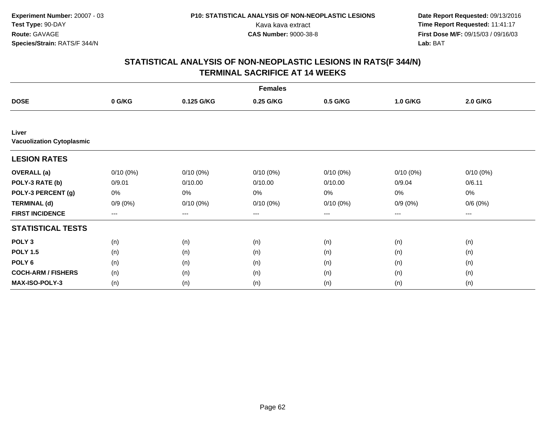|                                           |                        |             | <b>Females</b> |                   |             |             |  |
|-------------------------------------------|------------------------|-------------|----------------|-------------------|-------------|-------------|--|
| <b>DOSE</b>                               | 0 G/KG                 | 0.125 G/KG  | 0.25 G/KG      | 0.5 G/KG          | 1.0 G/KG    | 2.0 G/KG    |  |
|                                           |                        |             |                |                   |             |             |  |
| Liver<br><b>Vacuolization Cytoplasmic</b> |                        |             |                |                   |             |             |  |
| <b>LESION RATES</b>                       |                        |             |                |                   |             |             |  |
| <b>OVERALL</b> (a)                        | $0/10(0\%)$            | $0/10(0\%)$ | $0/10(0\%)$    | $0/10(0\%)$       | $0/10(0\%)$ | $0/10(0\%)$ |  |
| POLY-3 RATE (b)                           | 0/9.01                 | 0/10.00     | 0/10.00        | 0/10.00           | 0/9.04      | 0/6.11      |  |
| POLY-3 PERCENT (g)                        | 0%                     | 0%          | 0%             | 0%                | $0\%$       | 0%          |  |
| <b>TERMINAL (d)</b>                       | $0/9(0\%)$             | $0/10(0\%)$ | $0/10(0\%)$    | $0/10(0\%)$       | $0/9(0\%)$  | 0/6(0%)     |  |
| <b>FIRST INCIDENCE</b>                    | $\qquad \qquad \cdots$ | $---$       | ---            | $\qquad \qquad -$ | $---$       | $---$       |  |
| <b>STATISTICAL TESTS</b>                  |                        |             |                |                   |             |             |  |
| POLY <sub>3</sub>                         | (n)                    | (n)         | (n)            | (n)               | (n)         | (n)         |  |
| <b>POLY 1.5</b>                           | (n)                    | (n)         | (n)            | (n)               | (n)         | (n)         |  |
| POLY <sub>6</sub>                         | (n)                    | (n)         | (n)            | (n)               | (n)         | (n)         |  |
| <b>COCH-ARM / FISHERS</b>                 | (n)                    | (n)         | (n)            | (n)               | (n)         | (n)         |  |
| <b>MAX-ISO-POLY-3</b>                     | (n)                    | (n)         | (n)            | (n)               | (n)         | (n)         |  |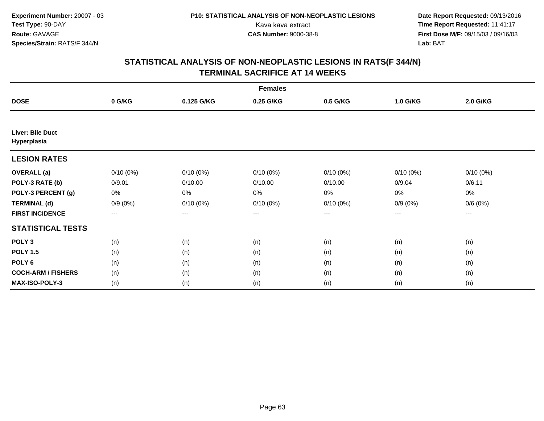|                                        |             |             | <b>Females</b> |             |             |             |  |
|----------------------------------------|-------------|-------------|----------------|-------------|-------------|-------------|--|
| <b>DOSE</b>                            | 0 G/KG      | 0.125 G/KG  | 0.25 G/KG      | 0.5 G/KG    | 1.0 G/KG    | 2.0 G/KG    |  |
|                                        |             |             |                |             |             |             |  |
| <b>Liver: Bile Duct</b><br>Hyperplasia |             |             |                |             |             |             |  |
| <b>LESION RATES</b>                    |             |             |                |             |             |             |  |
| <b>OVERALL</b> (a)                     | $0/10(0\%)$ | $0/10(0\%)$ | $0/10(0\%)$    | $0/10(0\%)$ | $0/10(0\%)$ | $0/10(0\%)$ |  |
| POLY-3 RATE (b)                        | 0/9.01      | 0/10.00     | 0/10.00        | 0/10.00     | 0/9.04      | 0/6.11      |  |
| POLY-3 PERCENT (g)                     | 0%          | 0%          | 0%             | 0%          | $0\%$       | 0%          |  |
| <b>TERMINAL (d)</b>                    | $0/9(0\%)$  | $0/10(0\%)$ | $0/10(0\%)$    | $0/10(0\%)$ | $0/9(0\%)$  | 0/6(0%)     |  |
| <b>FIRST INCIDENCE</b>                 | $--$        | ---         | ---            | $--$        | ---         | ---         |  |
| <b>STATISTICAL TESTS</b>               |             |             |                |             |             |             |  |
| POLY <sub>3</sub>                      | (n)         | (n)         | (n)            | (n)         | (n)         | (n)         |  |
| <b>POLY 1.5</b>                        | (n)         | (n)         | (n)            | (n)         | (n)         | (n)         |  |
| POLY <sub>6</sub>                      | (n)         | (n)         | (n)            | (n)         | (n)         | (n)         |  |
| <b>COCH-ARM / FISHERS</b>              | (n)         | (n)         | (n)            | (n)         | (n)         | (n)         |  |
| <b>MAX-ISO-POLY-3</b>                  | (n)         | (n)         | (n)            | (n)         | (n)         | (n)         |  |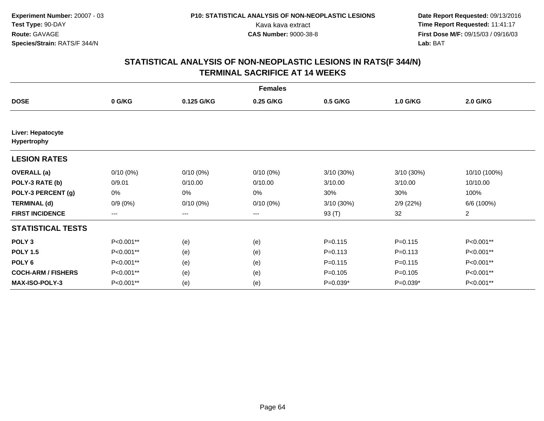|                                         |                        |             | <b>Females</b> |              |             |                |
|-----------------------------------------|------------------------|-------------|----------------|--------------|-------------|----------------|
| <b>DOSE</b>                             | 0 G/KG                 | 0.125 G/KG  | 0.25 G/KG      | 0.5 G/KG     | 1.0 G/KG    | 2.0 G/KG       |
|                                         |                        |             |                |              |             |                |
| Liver: Hepatocyte<br><b>Hypertrophy</b> |                        |             |                |              |             |                |
| <b>LESION RATES</b>                     |                        |             |                |              |             |                |
| <b>OVERALL</b> (a)                      | $0/10(0\%)$            | $0/10(0\%)$ | $0/10(0\%)$    | $3/10(30\%)$ | 3/10 (30%)  | 10/10 (100%)   |
| POLY-3 RATE (b)                         | 0/9.01                 | 0/10.00     | 0/10.00        | 3/10.00      | 3/10.00     | 10/10.00       |
| POLY-3 PERCENT (g)                      | 0%                     | 0%          | 0%             | 30%          | 30%         | 100%           |
| <b>TERMINAL (d)</b>                     | $0/9(0\%)$             | $0/10(0\%)$ | $0/10(0\%)$    | 3/10 (30%)   | 2/9(22%)    | 6/6 (100%)     |
| <b>FIRST INCIDENCE</b>                  | $\qquad \qquad \cdots$ | $---$       | ---            | 93 (T)       | 32          | $\overline{2}$ |
| <b>STATISTICAL TESTS</b>                |                        |             |                |              |             |                |
| POLY <sub>3</sub>                       | P<0.001**              | (e)         | (e)            | $P = 0.115$  | $P = 0.115$ | P<0.001**      |
| <b>POLY 1.5</b>                         | P<0.001**              | (e)         | (e)            | $P = 0.113$  | $P = 0.113$ | P<0.001**      |
| POLY <sub>6</sub>                       | P<0.001**              | (e)         | (e)            | $P=0.115$    | $P = 0.115$ | P<0.001**      |
| <b>COCH-ARM / FISHERS</b>               | P<0.001**              | (e)         | (e)            | $P = 0.105$  | $P = 0.105$ | P<0.001**      |
| MAX-ISO-POLY-3                          | P<0.001**              | (e)         | (e)            | $P=0.039*$   | $P=0.039*$  | P<0.001**      |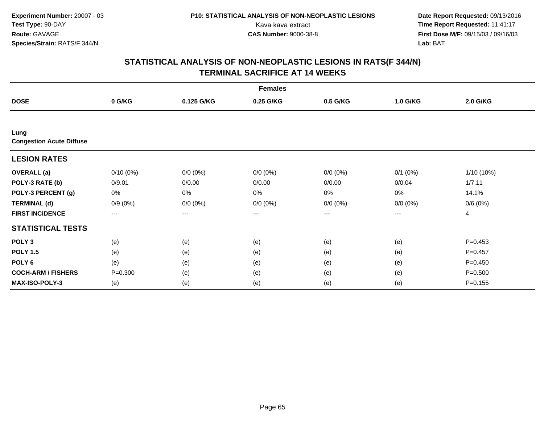|                                         |                        |             | <b>Females</b> |                   |              |             |
|-----------------------------------------|------------------------|-------------|----------------|-------------------|--------------|-------------|
| <b>DOSE</b>                             | 0 G/KG                 | 0.125 G/KG  | 0.25 G/KG      | 0.5 G/KG          | 1.0 G/KG     | 2.0 G/KG    |
|                                         |                        |             |                |                   |              |             |
| Lung<br><b>Congestion Acute Diffuse</b> |                        |             |                |                   |              |             |
| <b>LESION RATES</b>                     |                        |             |                |                   |              |             |
| <b>OVERALL</b> (a)                      | $0/10(0\%)$            | $0/0 (0\%)$ | $0/0 (0\%)$    | $0/0 (0\%)$       | $0/1$ $(0%)$ | 1/10 (10%)  |
| POLY-3 RATE (b)                         | 0/9.01                 | 0/0.00      | 0/0.00         | 0/0.00            | 0/0.04       | 1/7.11      |
| POLY-3 PERCENT (g)                      | 0%                     | 0%          | 0%             | $0\%$             | $0\%$        | 14.1%       |
| <b>TERMINAL (d)</b>                     | $0/9(0\%)$             | $0/0 (0\%)$ | $0/0 (0\%)$    | $0/0 (0\%)$       | $0/0 (0\%)$  | 0/6(0%)     |
| <b>FIRST INCIDENCE</b>                  | $\qquad \qquad \cdots$ | ---         | ---            | $\qquad \qquad -$ | ---          | 4           |
| <b>STATISTICAL TESTS</b>                |                        |             |                |                   |              |             |
| POLY <sub>3</sub>                       | (e)                    | (e)         | (e)            | (e)               | (e)          | $P=0.453$   |
| <b>POLY 1.5</b>                         | (e)                    | (e)         | (e)            | (e)               | (e)          | $P=0.457$   |
| POLY <sub>6</sub>                       | (e)                    | (e)         | (e)            | (e)               | (e)          | $P=0.450$   |
| <b>COCH-ARM / FISHERS</b>               | $P = 0.300$            | (e)         | (e)            | (e)               | (e)          | $P = 0.500$ |
| MAX-ISO-POLY-3                          | (e)                    | (e)         | (e)            | (e)               | (e)          | $P = 0.155$ |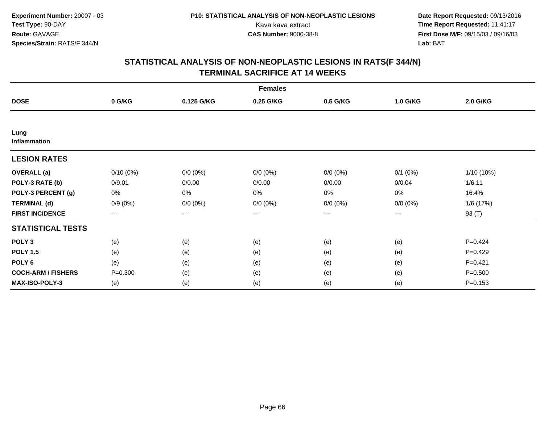|                             |                        |             | <b>Females</b> |                   |              |             |
|-----------------------------|------------------------|-------------|----------------|-------------------|--------------|-------------|
| <b>DOSE</b>                 | 0 G/KG                 | 0.125 G/KG  | 0.25 G/KG      | 0.5 G/KG          | 1.0 G/KG     | 2.0 G/KG    |
|                             |                        |             |                |                   |              |             |
| Lung<br><b>Inflammation</b> |                        |             |                |                   |              |             |
| <b>LESION RATES</b>         |                        |             |                |                   |              |             |
| <b>OVERALL</b> (a)          | $0/10(0\%)$            | $0/0 (0\%)$ | $0/0 (0\%)$    | $0/0 (0\%)$       | $0/1$ $(0%)$ | 1/10 (10%)  |
| POLY-3 RATE (b)             | 0/9.01                 | 0/0.00      | 0/0.00         | 0/0.00            | 0/0.04       | 1/6.11      |
| POLY-3 PERCENT (g)          | 0%                     | 0%          | 0%             | $0\%$             | $0\%$        | 16.4%       |
| <b>TERMINAL (d)</b>         | $0/9(0\%)$             | $0/0 (0\%)$ | $0/0 (0\%)$    | $0/0 (0\%)$       | $0/0 (0\%)$  | 1/6 (17%)   |
| <b>FIRST INCIDENCE</b>      | $\qquad \qquad \cdots$ | ---         | ---            | $\qquad \qquad -$ | ---          | 93 (T)      |
| <b>STATISTICAL TESTS</b>    |                        |             |                |                   |              |             |
| POLY <sub>3</sub>           | (e)                    | (e)         | (e)            | (e)               | (e)          | $P = 0.424$ |
| <b>POLY 1.5</b>             | (e)                    | (e)         | (e)            | (e)               | (e)          | $P=0.429$   |
| POLY <sub>6</sub>           | (e)                    | (e)         | (e)            | (e)               | (e)          | $P=0.421$   |
| <b>COCH-ARM / FISHERS</b>   | $P = 0.300$            | (e)         | (e)            | (e)               | (e)          | $P = 0.500$ |
| MAX-ISO-POLY-3              | (e)                    | (e)         | (e)            | (e)               | (e)          | $P = 0.153$ |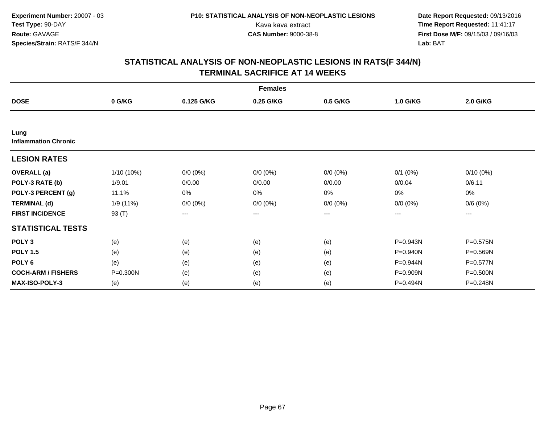|                                     |              |             | <b>Females</b> |                        |             |             |
|-------------------------------------|--------------|-------------|----------------|------------------------|-------------|-------------|
| <b>DOSE</b>                         | 0 G/KG       | 0.125 G/KG  | 0.25 G/KG      | 0.5 G/KG               | 1.0 G/KG    | 2.0 G/KG    |
|                                     |              |             |                |                        |             |             |
| Lung<br><b>Inflammation Chronic</b> |              |             |                |                        |             |             |
| <b>LESION RATES</b>                 |              |             |                |                        |             |             |
| <b>OVERALL</b> (a)                  | $1/10(10\%)$ | $0/0 (0\%)$ | $0/0 (0\%)$    | $0/0 (0\%)$            | $0/1$ (0%)  | $0/10(0\%)$ |
| POLY-3 RATE (b)                     | 1/9.01       | 0/0.00      | 0/0.00         | 0/0.00                 | 0/0.04      | 0/6.11      |
| POLY-3 PERCENT (g)                  | 11.1%        | 0%          | 0%             | 0%                     | 0%          | 0%          |
| <b>TERMINAL (d)</b>                 | 1/9 (11%)    | $0/0 (0\%)$ | $0/0 (0\%)$    | $0/0 (0\%)$            | $0/0 (0\%)$ | 0/6(0%)     |
| <b>FIRST INCIDENCE</b>              | 93 (T)       | ---         | ---            | $\qquad \qquad \cdots$ | ---         | ---         |
| <b>STATISTICAL TESTS</b>            |              |             |                |                        |             |             |
| POLY <sub>3</sub>                   | (e)          | (e)         | (e)            | (e)                    | P=0.943N    | P=0.575N    |
| <b>POLY 1.5</b>                     | (e)          | (e)         | (e)            | (e)                    | P=0.940N    | P=0.569N    |
| POLY <sub>6</sub>                   | (e)          | (e)         | (e)            | (e)                    | P=0.944N    | P=0.577N    |
| <b>COCH-ARM / FISHERS</b>           | P=0.300N     | (e)         | (e)            | (e)                    | P=0.909N    | P=0.500N    |
| <b>MAX-ISO-POLY-3</b>               | (e)          | (e)         | (e)            | (e)                    | P=0.494N    | P=0.248N    |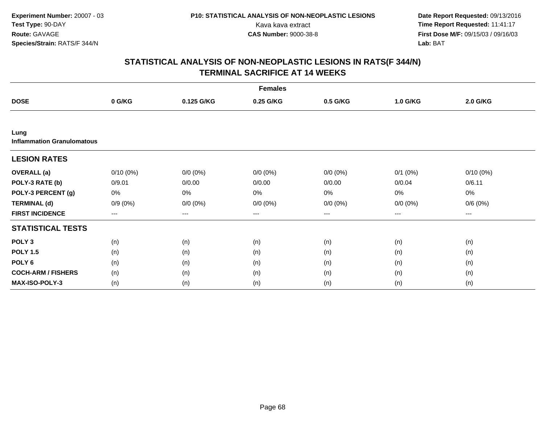|                                           |             |             | <b>Females</b> |             |              |             |  |
|-------------------------------------------|-------------|-------------|----------------|-------------|--------------|-------------|--|
| <b>DOSE</b>                               | 0 G/KG      | 0.125 G/KG  | 0.25 G/KG      | 0.5 G/KG    | 1.0 G/KG     | 2.0 G/KG    |  |
|                                           |             |             |                |             |              |             |  |
| Lung<br><b>Inflammation Granulomatous</b> |             |             |                |             |              |             |  |
| <b>LESION RATES</b>                       |             |             |                |             |              |             |  |
| <b>OVERALL</b> (a)                        | $0/10(0\%)$ | $0/0 (0\%)$ | $0/0 (0\%)$    | $0/0 (0\%)$ | $0/1$ $(0%)$ | $0/10(0\%)$ |  |
| POLY-3 RATE (b)                           | 0/9.01      | 0/0.00      | 0/0.00         | 0/0.00      | 0/0.04       | 0/6.11      |  |
| POLY-3 PERCENT (g)                        | 0%          | 0%          | 0%             | 0%          | 0%           | 0%          |  |
| <b>TERMINAL (d)</b>                       | $0/9(0\%)$  | $0/0 (0\%)$ | $0/0 (0\%)$    | $0/0 (0\%)$ | $0/0 (0\%)$  | 0/6(0%)     |  |
| <b>FIRST INCIDENCE</b>                    | ---         | $--$        | ---            | ---         | ---          | ---         |  |
| <b>STATISTICAL TESTS</b>                  |             |             |                |             |              |             |  |
| POLY <sub>3</sub>                         | (n)         | (n)         | (n)            | (n)         | (n)          | (n)         |  |
| <b>POLY 1.5</b>                           | (n)         | (n)         | (n)            | (n)         | (n)          | (n)         |  |
| POLY <sub>6</sub>                         | (n)         | (n)         | (n)            | (n)         | (n)          | (n)         |  |
| <b>COCH-ARM / FISHERS</b>                 | (n)         | (n)         | (n)            | (n)         | (n)          | (n)         |  |
| <b>MAX-ISO-POLY-3</b>                     | (n)         | (n)         | (n)            | (n)         | (n)          | (n)         |  |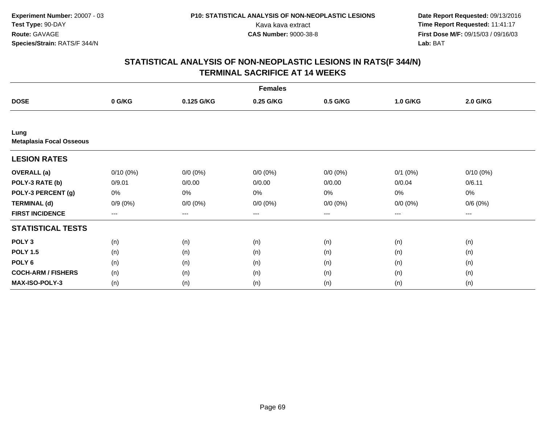|                                         |             |             | <b>Females</b> |                        |              |             |  |
|-----------------------------------------|-------------|-------------|----------------|------------------------|--------------|-------------|--|
| <b>DOSE</b>                             | 0 G/KG      | 0.125 G/KG  | 0.25 G/KG      | 0.5 G/KG               | 1.0 G/KG     | 2.0 G/KG    |  |
|                                         |             |             |                |                        |              |             |  |
| Lung<br><b>Metaplasia Focal Osseous</b> |             |             |                |                        |              |             |  |
| <b>LESION RATES</b>                     |             |             |                |                        |              |             |  |
| <b>OVERALL</b> (a)                      | $0/10(0\%)$ | $0/0 (0\%)$ | $0/0 (0\%)$    | $0/0 (0\%)$            | $0/1$ $(0%)$ | $0/10(0\%)$ |  |
| POLY-3 RATE (b)                         | 0/9.01      | 0/0.00      | 0/0.00         | 0/0.00                 | 0/0.04       | 0/6.11      |  |
| POLY-3 PERCENT (g)                      | 0%          | 0%          | 0%             | 0%                     | $0\%$        | 0%          |  |
| <b>TERMINAL (d)</b>                     | $0/9(0\%)$  | $0/0 (0\%)$ | $0/0 (0\%)$    | $0/0 (0\%)$            | $0/0 (0\%)$  | 0/6(0%)     |  |
| <b>FIRST INCIDENCE</b>                  | $---$       | ---         | ---            | $\qquad \qquad \cdots$ | ---          | ---         |  |
| <b>STATISTICAL TESTS</b>                |             |             |                |                        |              |             |  |
| POLY <sub>3</sub>                       | (n)         | (n)         | (n)            | (n)                    | (n)          | (n)         |  |
| <b>POLY 1.5</b>                         | (n)         | (n)         | (n)            | (n)                    | (n)          | (n)         |  |
| POLY <sub>6</sub>                       | (n)         | (n)         | (n)            | (n)                    | (n)          | (n)         |  |
| <b>COCH-ARM / FISHERS</b>               | (n)         | (n)         | (n)            | (n)                    | (n)          | (n)         |  |
| MAX-ISO-POLY-3                          | (n)         | (n)         | (n)            | (n)                    | (n)          | (n)         |  |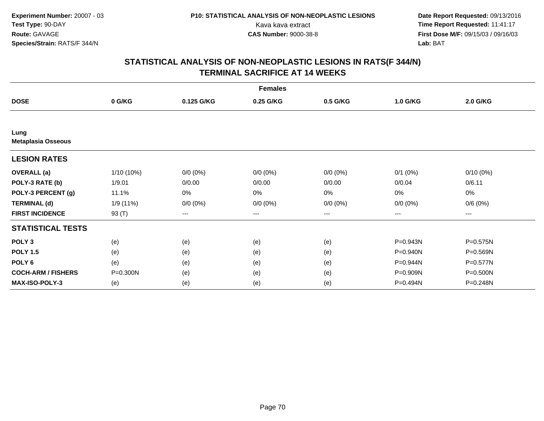|                                   |            |             | <b>Females</b> |             |              |             |
|-----------------------------------|------------|-------------|----------------|-------------|--------------|-------------|
| <b>DOSE</b>                       | 0 G/KG     | 0.125 G/KG  | 0.25 G/KG      | 0.5 G/KG    | 1.0 G/KG     | 2.0 G/KG    |
|                                   |            |             |                |             |              |             |
| Lung<br><b>Metaplasia Osseous</b> |            |             |                |             |              |             |
| <b>LESION RATES</b>               |            |             |                |             |              |             |
| <b>OVERALL</b> (a)                | 1/10 (10%) | $0/0 (0\%)$ | $0/0 (0\%)$    | $0/0 (0\%)$ | $0/1$ $(0%)$ | $0/10(0\%)$ |
| POLY-3 RATE (b)                   | 1/9.01     | 0/0.00      | 0/0.00         | 0/0.00      | 0/0.04       | 0/6.11      |
| POLY-3 PERCENT (g)                | 11.1%      | $0\%$       | 0%             | 0%          | 0%           | $0\%$       |
| <b>TERMINAL (d)</b>               | 1/9 (11%)  | $0/0 (0\%)$ | $0/0 (0\%)$    | $0/0 (0\%)$ | $0/0 (0\%)$  | 0/6(0%)     |
| <b>FIRST INCIDENCE</b>            | 93 (T)     | $--$        | ---            | ---         | ---          | ---         |
| <b>STATISTICAL TESTS</b>          |            |             |                |             |              |             |
| POLY <sub>3</sub>                 | (e)        | (e)         | (e)            | (e)         | P=0.943N     | P=0.575N    |
| <b>POLY 1.5</b>                   | (e)        | (e)         | (e)            | (e)         | P=0.940N     | P=0.569N    |
| POLY <sub>6</sub>                 | (e)        | (e)         | (e)            | (e)         | P=0.944N     | P=0.577N    |
| <b>COCH-ARM / FISHERS</b>         | P=0.300N   | (e)         | (e)            | (e)         | P=0.909N     | P=0.500N    |
| <b>MAX-ISO-POLY-3</b>             | (e)        | (e)         | (e)            | (e)         | P=0.494N     | P=0.248N    |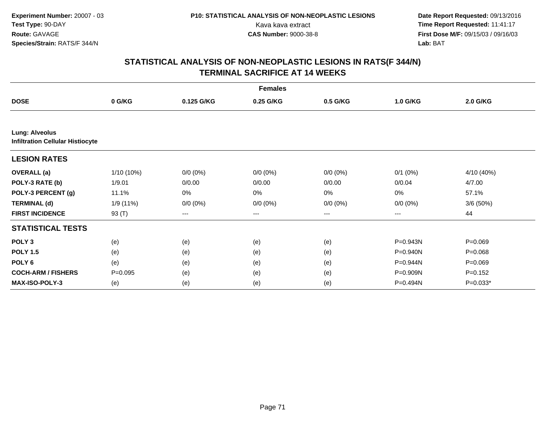|                                                                  |              |             | <b>Females</b> |                   |              |                 |
|------------------------------------------------------------------|--------------|-------------|----------------|-------------------|--------------|-----------------|
| <b>DOSE</b>                                                      | 0 G/KG       | 0.125 G/KG  | 0.25 G/KG      | 0.5 G/KG          | 1.0 G/KG     | <b>2.0 G/KG</b> |
|                                                                  |              |             |                |                   |              |                 |
| <b>Lung: Alveolus</b><br><b>Infiltration Cellular Histiocyte</b> |              |             |                |                   |              |                 |
| <b>LESION RATES</b>                                              |              |             |                |                   |              |                 |
| <b>OVERALL</b> (a)                                               | $1/10(10\%)$ | $0/0 (0\%)$ | $0/0 (0\%)$    | $0/0 (0\%)$       | $0/1$ $(0%)$ | 4/10 (40%)      |
| POLY-3 RATE (b)                                                  | 1/9.01       | 0/0.00      | 0/0.00         | 0/0.00            | 0/0.04       | 4/7.00          |
| POLY-3 PERCENT (g)                                               | 11.1%        | 0%          | 0%             | 0%                | 0%           | 57.1%           |
| <b>TERMINAL (d)</b>                                              | 1/9 (11%)    | $0/0 (0\%)$ | $0/0 (0\%)$    | $0/0 (0\%)$       | $0/0 (0\%)$  | 3/6(50%)        |
| <b>FIRST INCIDENCE</b>                                           | 93 (T)       | ---         | $---$          | $\qquad \qquad -$ | ---          | 44              |
| <b>STATISTICAL TESTS</b>                                         |              |             |                |                   |              |                 |
| POLY <sub>3</sub>                                                | (e)          | (e)         | (e)            | (e)               | P=0.943N     | $P = 0.069$     |
| <b>POLY 1.5</b>                                                  | (e)          | (e)         | (e)            | (e)               | P=0.940N     | $P = 0.068$     |
| POLY <sub>6</sub>                                                | (e)          | (e)         | (e)            | (e)               | P=0.944N     | $P = 0.069$     |
| <b>COCH-ARM / FISHERS</b>                                        | $P = 0.095$  | (e)         | (e)            | (e)               | P=0.909N     | $P = 0.152$     |
| MAX-ISO-POLY-3                                                   | (e)          | (e)         | (e)            | (e)               | P=0.494N     | $P=0.033*$      |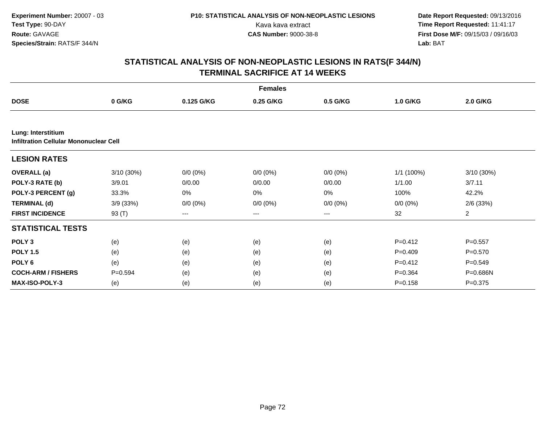|                                                                     |             |             | <b>Females</b>    |             |              |                 |
|---------------------------------------------------------------------|-------------|-------------|-------------------|-------------|--------------|-----------------|
| <b>DOSE</b>                                                         | 0 G/KG      | 0.125 G/KG  | 0.25 G/KG         | 0.5 G/KG    | 1.0 G/KG     | <b>2.0 G/KG</b> |
|                                                                     |             |             |                   |             |              |                 |
| Lung: Interstitium<br><b>Infiltration Cellular Mononuclear Cell</b> |             |             |                   |             |              |                 |
| <b>LESION RATES</b>                                                 |             |             |                   |             |              |                 |
| <b>OVERALL</b> (a)                                                  | 3/10 (30%)  | $0/0 (0\%)$ | $0/0 (0\%)$       | $0/0 (0\%)$ | $1/1$ (100%) | 3/10 (30%)      |
| POLY-3 RATE (b)                                                     | 3/9.01      | 0/0.00      | 0/0.00            | 0/0.00      | 1/1.00       | 3/7.11          |
| POLY-3 PERCENT (g)                                                  | 33.3%       | 0%          | 0%                | 0%          | 100%         | 42.2%           |
| <b>TERMINAL (d)</b>                                                 | 3/9(33%)    | $0/0 (0\%)$ | $0/0 (0\%)$       | $0/0 (0\%)$ | $0/0 (0\%)$  | $2/6$ (33%)     |
| <b>FIRST INCIDENCE</b>                                              | 93 (T)      | ---         | $\qquad \qquad -$ | ---         | 32           | $\overline{a}$  |
| <b>STATISTICAL TESTS</b>                                            |             |             |                   |             |              |                 |
| POLY <sub>3</sub>                                                   | (e)         | (e)         | (e)               | (e)         | $P = 0.412$  | $P = 0.557$     |
| <b>POLY 1.5</b>                                                     | (e)         | (e)         | (e)               | (e)         | $P=0.409$    | $P = 0.570$     |
| POLY <sub>6</sub>                                                   | (e)         | (e)         | (e)               | (e)         | $P=0.412$    | $P = 0.549$     |
| <b>COCH-ARM / FISHERS</b>                                           | $P = 0.594$ | (e)         | (e)               | (e)         | $P = 0.364$  | P=0.686N        |
| MAX-ISO-POLY-3                                                      | (e)         | (e)         | (e)               | (e)         | $P = 0.158$  | $P = 0.375$     |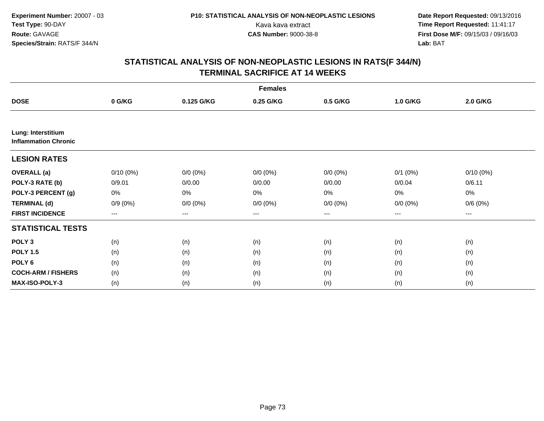|                                                   |             |             | <b>Females</b> |             |             |                 |  |
|---------------------------------------------------|-------------|-------------|----------------|-------------|-------------|-----------------|--|
| <b>DOSE</b>                                       | 0 G/KG      | 0.125 G/KG  | 0.25 G/KG      | 0.5 G/KG    | 1.0 G/KG    | <b>2.0 G/KG</b> |  |
|                                                   |             |             |                |             |             |                 |  |
| Lung: Interstitium<br><b>Inflammation Chronic</b> |             |             |                |             |             |                 |  |
| <b>LESION RATES</b>                               |             |             |                |             |             |                 |  |
| <b>OVERALL</b> (a)                                | $0/10(0\%)$ | $0/0 (0\%)$ | $0/0 (0\%)$    | $0/0 (0\%)$ | $0/1$ (0%)  | $0/10(0\%)$     |  |
| POLY-3 RATE (b)                                   | 0/9.01      | 0/0.00      | 0/0.00         | 0/0.00      | 0/0.04      | 0/6.11          |  |
| POLY-3 PERCENT (g)                                | 0%          | 0%          | 0%             | 0%          | 0%          | 0%              |  |
| <b>TERMINAL (d)</b>                               | $0/9(0\%)$  | $0/0 (0\%)$ | $0/0 (0\%)$    | $0/0 (0\%)$ | $0/0 (0\%)$ | 0/6(0%)         |  |
| <b>FIRST INCIDENCE</b>                            | $---$       | ---         | ---            | $--$        | ---         | $--$            |  |
| <b>STATISTICAL TESTS</b>                          |             |             |                |             |             |                 |  |
| POLY <sub>3</sub>                                 | (n)         | (n)         | (n)            | (n)         | (n)         | (n)             |  |
| <b>POLY 1.5</b>                                   | (n)         | (n)         | (n)            | (n)         | (n)         | (n)             |  |
| POLY <sub>6</sub>                                 | (n)         | (n)         | (n)            | (n)         | (n)         | (n)             |  |
| <b>COCH-ARM / FISHERS</b>                         | (n)         | (n)         | (n)            | (n)         | (n)         | (n)             |  |
| MAX-ISO-POLY-3                                    | (n)         | (n)         | (n)            | (n)         | (n)         | (n)             |  |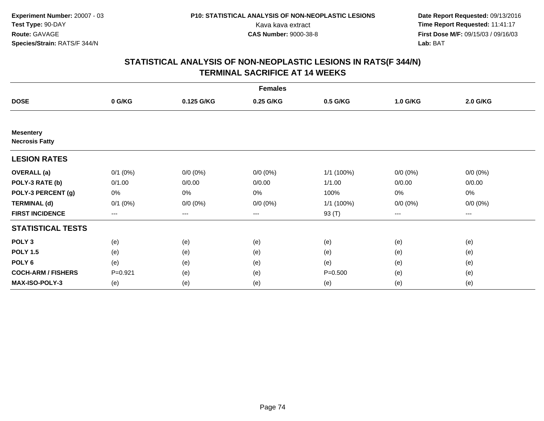|                                           |                        |             | <b>Females</b> |             |             |             |  |
|-------------------------------------------|------------------------|-------------|----------------|-------------|-------------|-------------|--|
| <b>DOSE</b>                               | 0 G/KG                 | 0.125 G/KG  | 0.25 G/KG      | 0.5 G/KG    | 1.0 G/KG    | 2.0 G/KG    |  |
|                                           |                        |             |                |             |             |             |  |
| <b>Mesentery</b><br><b>Necrosis Fatty</b> |                        |             |                |             |             |             |  |
| <b>LESION RATES</b>                       |                        |             |                |             |             |             |  |
| <b>OVERALL</b> (a)                        | $0/1$ $(0%)$           | $0/0 (0\%)$ | $0/0 (0\%)$    | 1/1 (100%)  | $0/0 (0\%)$ | $0/0 (0\%)$ |  |
| POLY-3 RATE (b)                           | 0/1.00                 | 0/0.00      | 0/0.00         | 1/1.00      | 0/0.00      | 0/0.00      |  |
| POLY-3 PERCENT (g)                        | 0%                     | $0\%$       | 0%             | 100%        | $0\%$       | 0%          |  |
| <b>TERMINAL (d)</b>                       | $0/1$ $(0%)$           | $0/0 (0\%)$ | $0/0 (0\%)$    | 1/1 (100%)  | $0/0 (0\%)$ | $0/0 (0\%)$ |  |
| <b>FIRST INCIDENCE</b>                    | $\qquad \qquad \cdots$ | $---$       | ---            | 93 (T)      | ---         | $---$       |  |
| <b>STATISTICAL TESTS</b>                  |                        |             |                |             |             |             |  |
| POLY <sub>3</sub>                         | (e)                    | (e)         | (e)            | (e)         | (e)         | (e)         |  |
| <b>POLY 1.5</b>                           | (e)                    | (e)         | (e)            | (e)         | (e)         | (e)         |  |
| POLY <sub>6</sub>                         | (e)                    | (e)         | (e)            | (e)         | (e)         | (e)         |  |
| <b>COCH-ARM / FISHERS</b>                 | $P = 0.921$            | (e)         | (e)            | $P = 0.500$ | (e)         | (e)         |  |
| MAX-ISO-POLY-3                            | (e)                    | (e)         | (e)            | (e)         | (e)         | (e)         |  |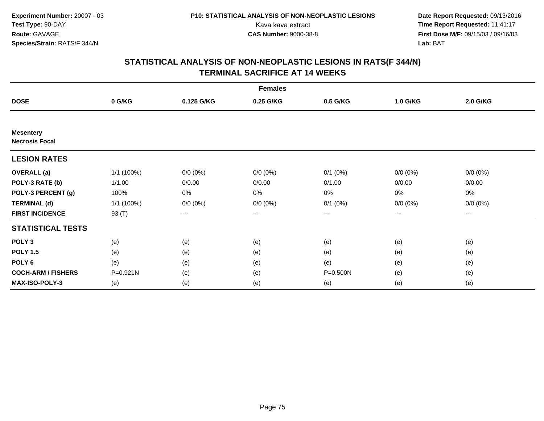|                                           |            |             | <b>Females</b> |                   |             |             |  |
|-------------------------------------------|------------|-------------|----------------|-------------------|-------------|-------------|--|
| <b>DOSE</b>                               | 0 G/KG     | 0.125 G/KG  | 0.25 G/KG      | 0.5 G/KG          | 1.0 G/KG    | 2.0 G/KG    |  |
|                                           |            |             |                |                   |             |             |  |
| <b>Mesentery</b><br><b>Necrosis Focal</b> |            |             |                |                   |             |             |  |
| <b>LESION RATES</b>                       |            |             |                |                   |             |             |  |
| <b>OVERALL</b> (a)                        | 1/1 (100%) | $0/0 (0\%)$ | $0/0 (0\%)$    | $0/1$ $(0%)$      | $0/0 (0\%)$ | $0/0 (0\%)$ |  |
| POLY-3 RATE (b)                           | 1/1.00     | 0/0.00      | 0/0.00         | 0/1.00            | 0/0.00      | 0/0.00      |  |
| POLY-3 PERCENT (g)                        | 100%       | $0\%$       | 0%             | $0\%$             | $0\%$       | 0%          |  |
| <b>TERMINAL (d)</b>                       | 1/1 (100%) | $0/0 (0\%)$ | $0/0 (0\%)$    | $0/1$ $(0%)$      | $0/0 (0\%)$ | $0/0 (0\%)$ |  |
| <b>FIRST INCIDENCE</b>                    | 93 (T)     | $---$       | ---            | $\qquad \qquad -$ | ---         | ---         |  |
| <b>STATISTICAL TESTS</b>                  |            |             |                |                   |             |             |  |
| POLY <sub>3</sub>                         | (e)        | (e)         | (e)            | (e)               | (e)         | (e)         |  |
| <b>POLY 1.5</b>                           | (e)        | (e)         | (e)            | (e)               | (e)         | (e)         |  |
| POLY <sub>6</sub>                         | (e)        | (e)         | (e)            | (e)               | (e)         | (e)         |  |
| <b>COCH-ARM / FISHERS</b>                 | P=0.921N   | (e)         | (e)            | P=0.500N          | (e)         | (e)         |  |
| MAX-ISO-POLY-3                            | (e)        | (e)         | (e)            | (e)               | (e)         | (e)         |  |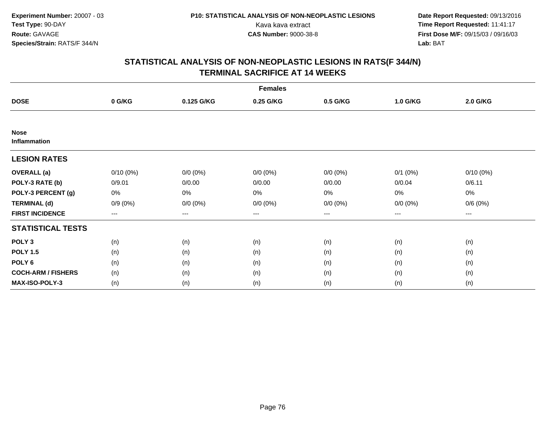|                             |             |             | <b>Females</b> |             |              |             |  |
|-----------------------------|-------------|-------------|----------------|-------------|--------------|-------------|--|
| <b>DOSE</b>                 | 0 G/KG      | 0.125 G/KG  | 0.25 G/KG      | 0.5 G/KG    | 1.0 G/KG     | 2.0 G/KG    |  |
|                             |             |             |                |             |              |             |  |
| <b>Nose</b><br>Inflammation |             |             |                |             |              |             |  |
| <b>LESION RATES</b>         |             |             |                |             |              |             |  |
| <b>OVERALL</b> (a)          | $0/10(0\%)$ | $0/0 (0\%)$ | $0/0 (0\%)$    | $0/0 (0\%)$ | $0/1$ $(0%)$ | $0/10(0\%)$ |  |
| POLY-3 RATE (b)             | 0/9.01      | 0/0.00      | 0/0.00         | 0/0.00      | 0/0.04       | 0/6.11      |  |
| POLY-3 PERCENT (g)          | 0%          | 0%          | 0%             | 0%          | $0\%$        | 0%          |  |
| <b>TERMINAL (d)</b>         | $0/9(0\%)$  | $0/0 (0\%)$ | $0/0 (0\%)$    | $0/0 (0\%)$ | $0/0 (0\%)$  | 0/6(0%)     |  |
| <b>FIRST INCIDENCE</b>      | $--$        | ---         | ---            | $--$        | ---          | ---         |  |
| <b>STATISTICAL TESTS</b>    |             |             |                |             |              |             |  |
| POLY <sub>3</sub>           | (n)         | (n)         | (n)            | (n)         | (n)          | (n)         |  |
| <b>POLY 1.5</b>             | (n)         | (n)         | (n)            | (n)         | (n)          | (n)         |  |
| POLY <sub>6</sub>           | (n)         | (n)         | (n)            | (n)         | (n)          | (n)         |  |
| <b>COCH-ARM / FISHERS</b>   | (n)         | (n)         | (n)            | (n)         | (n)          | (n)         |  |
| <b>MAX-ISO-POLY-3</b>       | (n)         | (n)         | (n)            | (n)         | (n)          | (n)         |  |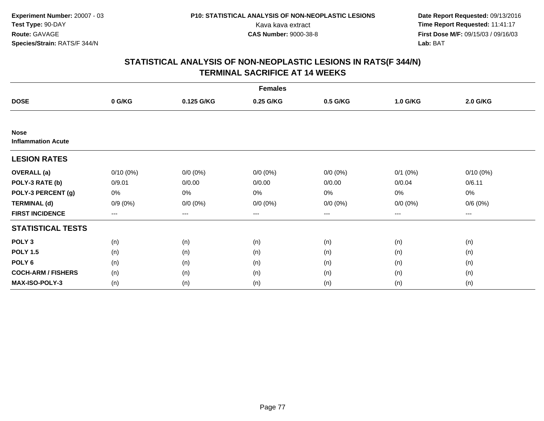|                                          |             |             | <b>Females</b> |                        |              |             |  |
|------------------------------------------|-------------|-------------|----------------|------------------------|--------------|-------------|--|
| <b>DOSE</b>                              | 0 G/KG      | 0.125 G/KG  | 0.25 G/KG      | 0.5 G/KG               | 1.0 G/KG     | 2.0 G/KG    |  |
|                                          |             |             |                |                        |              |             |  |
| <b>Nose</b><br><b>Inflammation Acute</b> |             |             |                |                        |              |             |  |
| <b>LESION RATES</b>                      |             |             |                |                        |              |             |  |
| <b>OVERALL</b> (a)                       | $0/10(0\%)$ | $0/0 (0\%)$ | $0/0 (0\%)$    | $0/0 (0\%)$            | $0/1$ $(0%)$ | $0/10(0\%)$ |  |
| POLY-3 RATE (b)                          | 0/9.01      | 0/0.00      | 0/0.00         | 0/0.00                 | 0/0.04       | 0/6.11      |  |
| POLY-3 PERCENT (g)                       | 0%          | 0%          | 0%             | 0%                     | $0\%$        | 0%          |  |
| <b>TERMINAL (d)</b>                      | $0/9(0\%)$  | $0/0 (0\%)$ | $0/0 (0\%)$    | $0/0 (0\%)$            | $0/0 (0\%)$  | 0/6(0%)     |  |
| <b>FIRST INCIDENCE</b>                   | $--$        | ---         | ---            | $\qquad \qquad \cdots$ | ---          | ---         |  |
| <b>STATISTICAL TESTS</b>                 |             |             |                |                        |              |             |  |
| POLY <sub>3</sub>                        | (n)         | (n)         | (n)            | (n)                    | (n)          | (n)         |  |
| <b>POLY 1.5</b>                          | (n)         | (n)         | (n)            | (n)                    | (n)          | (n)         |  |
| POLY <sub>6</sub>                        | (n)         | (n)         | (n)            | (n)                    | (n)          | (n)         |  |
| <b>COCH-ARM / FISHERS</b>                | (n)         | (n)         | (n)            | (n)                    | (n)          | (n)         |  |
| <b>MAX-ISO-POLY-3</b>                    | (n)         | (n)         | (n)            | (n)                    | (n)          | (n)         |  |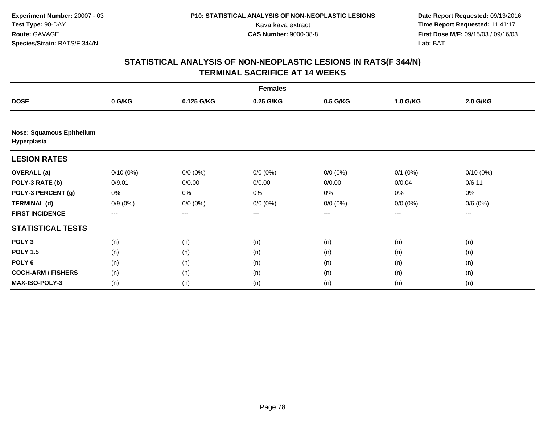|                                                 |             |             | <b>Females</b> |             |              |             |  |
|-------------------------------------------------|-------------|-------------|----------------|-------------|--------------|-------------|--|
| <b>DOSE</b>                                     | 0 G/KG      | 0.125 G/KG  | 0.25 G/KG      | 0.5 G/KG    | 1.0 G/KG     | 2.0 G/KG    |  |
|                                                 |             |             |                |             |              |             |  |
| <b>Nose: Squamous Epithelium</b><br>Hyperplasia |             |             |                |             |              |             |  |
| <b>LESION RATES</b>                             |             |             |                |             |              |             |  |
| <b>OVERALL</b> (a)                              | $0/10(0\%)$ | $0/0 (0\%)$ | $0/0 (0\%)$    | $0/0 (0\%)$ | $0/1$ $(0%)$ | $0/10(0\%)$ |  |
| POLY-3 RATE (b)                                 | 0/9.01      | 0/0.00      | 0/0.00         | 0/0.00      | 0/0.04       | 0/6.11      |  |
| POLY-3 PERCENT (g)                              | 0%          | 0%          | 0%             | 0%          | 0%           | 0%          |  |
| <b>TERMINAL (d)</b>                             | $0/9(0\%)$  | $0/0 (0\%)$ | $0/0 (0\%)$    | $0/0 (0\%)$ | $0/0 (0\%)$  | 0/6(0%)     |  |
| <b>FIRST INCIDENCE</b>                          | ---         | ---         | $--$           | ---         | ---          | ---         |  |
| <b>STATISTICAL TESTS</b>                        |             |             |                |             |              |             |  |
| POLY <sub>3</sub>                               | (n)         | (n)         | (n)            | (n)         | (n)          | (n)         |  |
| <b>POLY 1.5</b>                                 | (n)         | (n)         | (n)            | (n)         | (n)          | (n)         |  |
| POLY <sub>6</sub>                               | (n)         | (n)         | (n)            | (n)         | (n)          | (n)         |  |
| <b>COCH-ARM / FISHERS</b>                       | (n)         | (n)         | (n)            | (n)         | (n)          | (n)         |  |
| MAX-ISO-POLY-3                                  | (n)         | (n)         | (n)            | (n)         | (n)          | (n)         |  |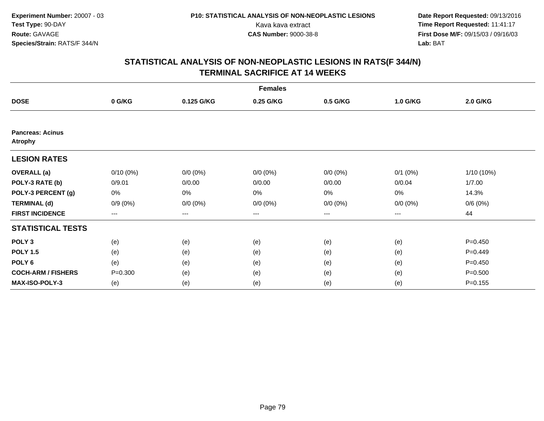|                                           |             |             | <b>Females</b> |                        |              |              |
|-------------------------------------------|-------------|-------------|----------------|------------------------|--------------|--------------|
| <b>DOSE</b>                               | 0 G/KG      | 0.125 G/KG  | 0.25 G/KG      | 0.5 G/KG               | 1.0 G/KG     | 2.0 G/KG     |
|                                           |             |             |                |                        |              |              |
| <b>Pancreas: Acinus</b><br><b>Atrophy</b> |             |             |                |                        |              |              |
| <b>LESION RATES</b>                       |             |             |                |                        |              |              |
| <b>OVERALL</b> (a)                        | $0/10(0\%)$ | $0/0 (0\%)$ | $0/0 (0\%)$    | $0/0 (0\%)$            | $0/1$ $(0%)$ | $1/10(10\%)$ |
| POLY-3 RATE (b)                           | 0/9.01      | 0/0.00      | 0/0.00         | 0/0.00                 | 0/0.04       | 1/7.00       |
| POLY-3 PERCENT (g)                        | 0%          | $0\%$       | 0%             | 0%                     | $0\%$        | 14.3%        |
| <b>TERMINAL (d)</b>                       | $0/9(0\%)$  | $0/0 (0\%)$ | $0/0 (0\%)$    | $0/0 (0\%)$            | $0/0 (0\%)$  | 0/6(0%)      |
| <b>FIRST INCIDENCE</b>                    | $---$       | ---         | ---            | $\qquad \qquad \cdots$ | ---          | 44           |
| <b>STATISTICAL TESTS</b>                  |             |             |                |                        |              |              |
| POLY <sub>3</sub>                         | (e)         | (e)         | (e)            | (e)                    | (e)          | $P = 0.450$  |
| <b>POLY 1.5</b>                           | (e)         | (e)         | (e)            | (e)                    | (e)          | $P=0.449$    |
| POLY <sub>6</sub>                         | (e)         | (e)         | (e)            | (e)                    | (e)          | $P=0.450$    |
| <b>COCH-ARM / FISHERS</b>                 | $P = 0.300$ | (e)         | (e)            | (e)                    | (e)          | $P = 0.500$  |
| <b>MAX-ISO-POLY-3</b>                     | (e)         | (e)         | (e)            | (e)                    | (e)          | $P = 0.155$  |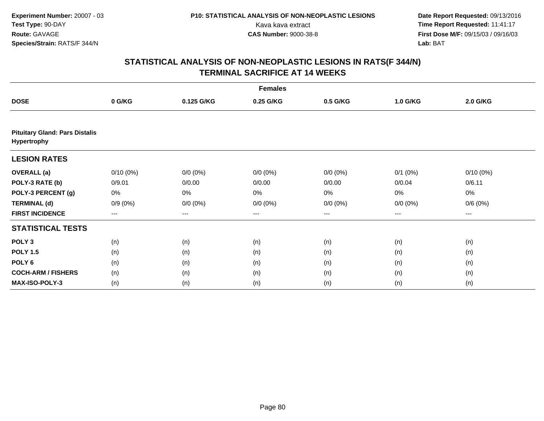|                                                      |             |             | <b>Females</b> |             |              |             |  |
|------------------------------------------------------|-------------|-------------|----------------|-------------|--------------|-------------|--|
| <b>DOSE</b>                                          | 0 G/KG      | 0.125 G/KG  | 0.25 G/KG      | 0.5 G/KG    | 1.0 G/KG     | 2.0 G/KG    |  |
|                                                      |             |             |                |             |              |             |  |
| <b>Pituitary Gland: Pars Distalis</b><br>Hypertrophy |             |             |                |             |              |             |  |
| <b>LESION RATES</b>                                  |             |             |                |             |              |             |  |
| <b>OVERALL</b> (a)                                   | $0/10(0\%)$ | $0/0 (0\%)$ | $0/0 (0\%)$    | $0/0 (0\%)$ | $0/1$ $(0%)$ | $0/10(0\%)$ |  |
| POLY-3 RATE (b)                                      | 0/9.01      | 0/0.00      | 0/0.00         | 0/0.00      | 0/0.04       | 0/6.11      |  |
| POLY-3 PERCENT (g)                                   | 0%          | 0%          | 0%             | 0%          | 0%           | 0%          |  |
| <b>TERMINAL (d)</b>                                  | $0/9(0\%)$  | $0/0 (0\%)$ | $0/0 (0\%)$    | $0/0 (0\%)$ | $0/0 (0\%)$  | 0/6(0%)     |  |
| <b>FIRST INCIDENCE</b>                               | $---$       | $---$       | ---            | $--$        | ---          | ---         |  |
| <b>STATISTICAL TESTS</b>                             |             |             |                |             |              |             |  |
| POLY <sub>3</sub>                                    | (n)         | (n)         | (n)            | (n)         | (n)          | (n)         |  |
| <b>POLY 1.5</b>                                      | (n)         | (n)         | (n)            | (n)         | (n)          | (n)         |  |
| POLY <sub>6</sub>                                    | (n)         | (n)         | (n)            | (n)         | (n)          | (n)         |  |
| <b>COCH-ARM / FISHERS</b>                            | (n)         | (n)         | (n)            | (n)         | (n)          | (n)         |  |
| MAX-ISO-POLY-3                                       | (n)         | (n)         | (n)            | (n)         | (n)          | (n)         |  |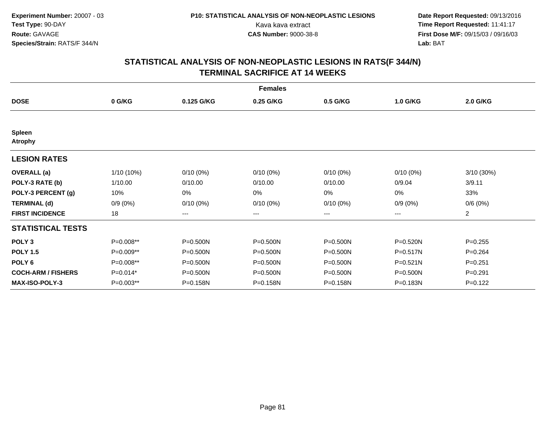|                                 |            |              | <b>Females</b> |              |              |                |
|---------------------------------|------------|--------------|----------------|--------------|--------------|----------------|
| <b>DOSE</b>                     | 0 G/KG     | 0.125 G/KG   | 0.25 G/KG      | 0.5 G/KG     | 1.0 G/KG     | 2.0 G/KG       |
|                                 |            |              |                |              |              |                |
| <b>Spleen</b><br><b>Atrophy</b> |            |              |                |              |              |                |
| <b>LESION RATES</b>             |            |              |                |              |              |                |
| <b>OVERALL</b> (a)              | 1/10 (10%) | $0/10(0\%)$  | $0/10(0\%)$    | $0/10(0\%)$  | $0/10(0\%)$  | 3/10 (30%)     |
| POLY-3 RATE (b)                 | 1/10.00    | 0/10.00      | 0/10.00        | 0/10.00      | 0/9.04       | 3/9.11         |
| POLY-3 PERCENT (g)              | 10%        | 0%           | 0%             | 0%           | 0%           | 33%            |
| <b>TERMINAL (d)</b>             | $0/9(0\%)$ | $0/10(0\%)$  | $0/10(0\%)$    | $0/10(0\%)$  | $0/9(0\%)$   | 0/6(0%)        |
| <b>FIRST INCIDENCE</b>          | 18         | $--$         | ---            | ---          | ---          | $\overline{2}$ |
| <b>STATISTICAL TESTS</b>        |            |              |                |              |              |                |
| POLY <sub>3</sub>               | P=0.008**  | P=0.500N     | P=0.500N       | P=0.500N     | P=0.520N     | $P = 0.255$    |
| <b>POLY 1.5</b>                 | P=0.009**  | $P = 0.500N$ | P=0.500N       | P=0.500N     | P=0.517N     | $P = 0.264$    |
| POLY <sub>6</sub>               | P=0.008**  | $P = 0.500N$ | P=0.500N       | $P = 0.500N$ | $P = 0.521N$ | $P=0.251$      |
| <b>COCH-ARM / FISHERS</b>       | $P=0.014*$ | $P = 0.500N$ | P=0.500N       | P=0.500N     | P=0.500N     | $P = 0.291$    |
| <b>MAX-ISO-POLY-3</b>           | P=0.003**  | P=0.158N     | P=0.158N       | P=0.158N     | P=0.183N     | $P=0.122$      |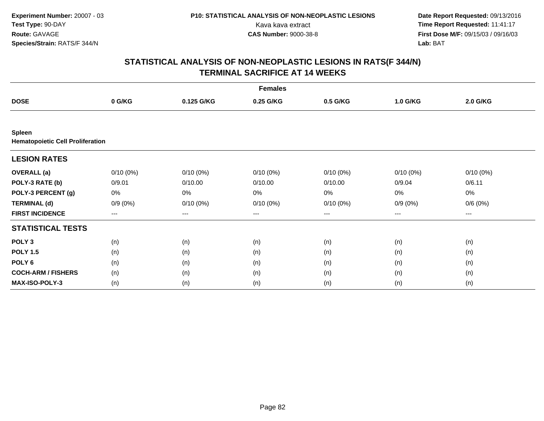|                                                          |                        |             | <b>Females</b> |                   |             |             |  |
|----------------------------------------------------------|------------------------|-------------|----------------|-------------------|-------------|-------------|--|
| <b>DOSE</b>                                              | 0 G/KG                 | 0.125 G/KG  | 0.25 G/KG      | 0.5 G/KG          | 1.0 G/KG    | 2.0 G/KG    |  |
|                                                          |                        |             |                |                   |             |             |  |
| <b>Spleen</b><br><b>Hematopoietic Cell Proliferation</b> |                        |             |                |                   |             |             |  |
| <b>LESION RATES</b>                                      |                        |             |                |                   |             |             |  |
| <b>OVERALL</b> (a)                                       | $0/10(0\%)$            | $0/10(0\%)$ | $0/10(0\%)$    | $0/10(0\%)$       | $0/10(0\%)$ | $0/10(0\%)$ |  |
| POLY-3 RATE (b)                                          | 0/9.01                 | 0/10.00     | 0/10.00        | 0/10.00           | 0/9.04      | 0/6.11      |  |
| POLY-3 PERCENT (g)                                       | 0%                     | 0%          | 0%             | 0%                | $0\%$       | 0%          |  |
| <b>TERMINAL (d)</b>                                      | $0/9(0\%)$             | $0/10(0\%)$ | $0/10(0\%)$    | $0/10(0\%)$       | $0/9(0\%)$  | 0/6(0%)     |  |
| <b>FIRST INCIDENCE</b>                                   | $\qquad \qquad \cdots$ | $---$       | ---            | $\qquad \qquad -$ | $---$       | $---$       |  |
| <b>STATISTICAL TESTS</b>                                 |                        |             |                |                   |             |             |  |
| POLY <sub>3</sub>                                        | (n)                    | (n)         | (n)            | (n)               | (n)         | (n)         |  |
| <b>POLY 1.5</b>                                          | (n)                    | (n)         | (n)            | (n)               | (n)         | (n)         |  |
| POLY <sub>6</sub>                                        | (n)                    | (n)         | (n)            | (n)               | (n)         | (n)         |  |
| <b>COCH-ARM / FISHERS</b>                                | (n)                    | (n)         | (n)            | (n)               | (n)         | (n)         |  |
| <b>MAX-ISO-POLY-3</b>                                    | (n)                    | (n)         | (n)            | (n)               | (n)         | (n)         |  |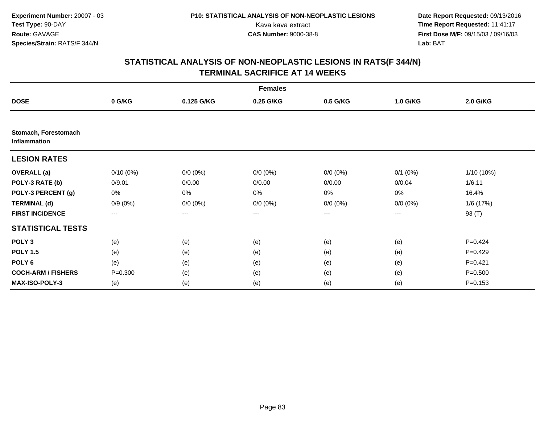|                                             |             |             | <b>Females</b> |                   |              |                 |
|---------------------------------------------|-------------|-------------|----------------|-------------------|--------------|-----------------|
| <b>DOSE</b>                                 | 0 G/KG      | 0.125 G/KG  | 0.25 G/KG      | 0.5 G/KG          | 1.0 G/KG     | <b>2.0 G/KG</b> |
|                                             |             |             |                |                   |              |                 |
| Stomach, Forestomach<br><b>Inflammation</b> |             |             |                |                   |              |                 |
| <b>LESION RATES</b>                         |             |             |                |                   |              |                 |
| <b>OVERALL</b> (a)                          | $0/10(0\%)$ | $0/0 (0\%)$ | $0/0 (0\%)$    | $0/0 (0\%)$       | $0/1$ $(0%)$ | 1/10 (10%)      |
| POLY-3 RATE (b)                             | 0/9.01      | 0/0.00      | 0/0.00         | 0/0.00            | 0/0.04       | 1/6.11          |
| POLY-3 PERCENT (g)                          | 0%          | 0%          | 0%             | 0%                | 0%           | 16.4%           |
| <b>TERMINAL (d)</b>                         | $0/9(0\%)$  | $0/0 (0\%)$ | $0/0 (0\%)$    | $0/0 (0\%)$       | $0/0 (0\%)$  | 1/6 (17%)       |
| <b>FIRST INCIDENCE</b>                      | $---$       | $---$       | ---            | $\qquad \qquad -$ | ---          | 93 (T)          |
| <b>STATISTICAL TESTS</b>                    |             |             |                |                   |              |                 |
| POLY <sub>3</sub>                           | (e)         | (e)         | (e)            | (e)               | (e)          | $P=0.424$       |
| <b>POLY 1.5</b>                             | (e)         | (e)         | (e)            | (e)               | (e)          | $P=0.429$       |
| POLY <sub>6</sub>                           | (e)         | (e)         | (e)            | (e)               | (e)          | $P=0.421$       |
| <b>COCH-ARM / FISHERS</b>                   | $P = 0.300$ | (e)         | (e)            | (e)               | (e)          | $P = 0.500$     |
| MAX-ISO-POLY-3                              | (e)         | (e)         | (e)            | (e)               | (e)          | $P = 0.153$     |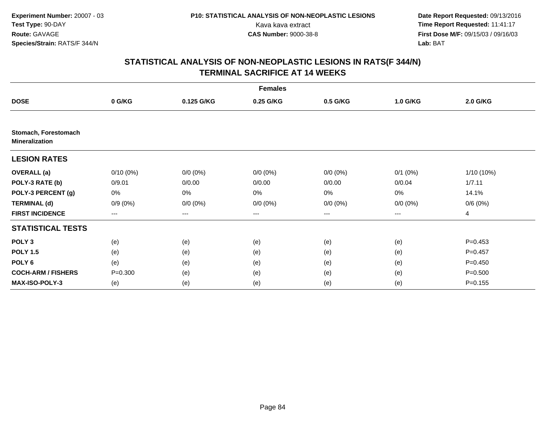|                                               |             |             | <b>Females</b> |             |              |             |
|-----------------------------------------------|-------------|-------------|----------------|-------------|--------------|-------------|
| <b>DOSE</b>                                   | 0 G/KG      | 0.125 G/KG  | 0.25 G/KG      | 0.5 G/KG    | 1.0 G/KG     | 2.0 G/KG    |
|                                               |             |             |                |             |              |             |
| Stomach, Forestomach<br><b>Mineralization</b> |             |             |                |             |              |             |
| <b>LESION RATES</b>                           |             |             |                |             |              |             |
| <b>OVERALL</b> (a)                            | $0/10(0\%)$ | $0/0 (0\%)$ | $0/0 (0\%)$    | $0/0 (0\%)$ | $0/1$ $(0%)$ | 1/10 (10%)  |
| POLY-3 RATE (b)                               | 0/9.01      | 0/0.00      | 0/0.00         | 0/0.00      | 0/0.04       | 1/7.11      |
| POLY-3 PERCENT (g)                            | 0%          | 0%          | 0%             | 0%          | 0%           | 14.1%       |
| <b>TERMINAL (d)</b>                           | $0/9(0\%)$  | $0/0 (0\%)$ | $0/0 (0\%)$    | $0/0 (0\%)$ | $0/0 (0\%)$  | 0/6(0%)     |
| <b>FIRST INCIDENCE</b>                        | ---         | ---         | ---            | $--$        | ---          | 4           |
| <b>STATISTICAL TESTS</b>                      |             |             |                |             |              |             |
| POLY <sub>3</sub>                             | (e)         | (e)         | (e)            | (e)         | (e)          | $P=0.453$   |
| <b>POLY 1.5</b>                               | (e)         | (e)         | (e)            | (e)         | (e)          | $P=0.457$   |
| POLY 6                                        | (e)         | (e)         | (e)            | (e)         | (e)          | $P=0.450$   |
| <b>COCH-ARM / FISHERS</b>                     | $P = 0.300$ | (e)         | (e)            | (e)         | (e)          | $P = 0.500$ |
| <b>MAX-ISO-POLY-3</b>                         | (e)         | (e)         | (e)            | (e)         | (e)          | $P = 0.155$ |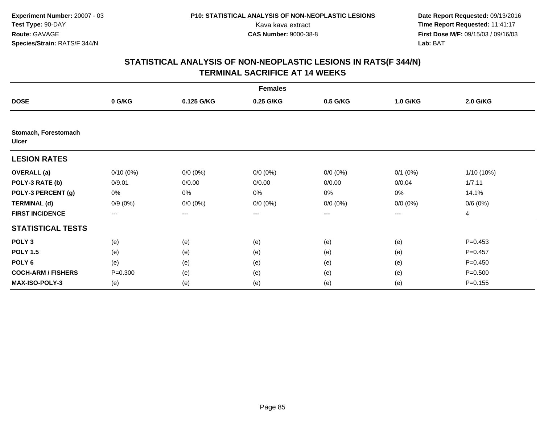| <b>Females</b>                       |             |             |             |             |              |             |
|--------------------------------------|-------------|-------------|-------------|-------------|--------------|-------------|
| <b>DOSE</b>                          | 0 G/KG      | 0.125 G/KG  | 0.25 G/KG   | 0.5 G/KG    | 1.0 G/KG     | 2.0 G/KG    |
|                                      |             |             |             |             |              |             |
| Stomach, Forestomach<br><b>Ulcer</b> |             |             |             |             |              |             |
| <b>LESION RATES</b>                  |             |             |             |             |              |             |
| <b>OVERALL</b> (a)                   | $0/10(0\%)$ | $0/0 (0\%)$ | $0/0 (0\%)$ | $0/0 (0\%)$ | $0/1$ $(0%)$ | 1/10 (10%)  |
| POLY-3 RATE (b)                      | 0/9.01      | 0/0.00      | 0/0.00      | 0/0.00      | 0/0.04       | 1/7.11      |
| POLY-3 PERCENT (g)                   | 0%          | 0%          | 0%          | 0%          | $0\%$        | 14.1%       |
| <b>TERMINAL (d)</b>                  | $0/9(0\%)$  | $0/0 (0\%)$ | $0/0 (0\%)$ | $0/0 (0\%)$ | $0/0 (0\%)$  | 0/6(0%)     |
| <b>FIRST INCIDENCE</b>               | $---$       | ---         | ---         | ---         | ---          | 4           |
| <b>STATISTICAL TESTS</b>             |             |             |             |             |              |             |
| POLY <sub>3</sub>                    | (e)         | (e)         | (e)         | (e)         | (e)          | $P=0.453$   |
| <b>POLY 1.5</b>                      | (e)         | (e)         | (e)         | (e)         | (e)          | $P=0.457$   |
| POLY <sub>6</sub>                    | (e)         | (e)         | (e)         | (e)         | (e)          | $P=0.450$   |
| <b>COCH-ARM / FISHERS</b>            | $P = 0.300$ | (e)         | (e)         | (e)         | (e)          | $P = 0.500$ |
| <b>MAX-ISO-POLY-3</b>                | (e)         | (e)         | (e)         | (e)         | (e)          | $P = 0.155$ |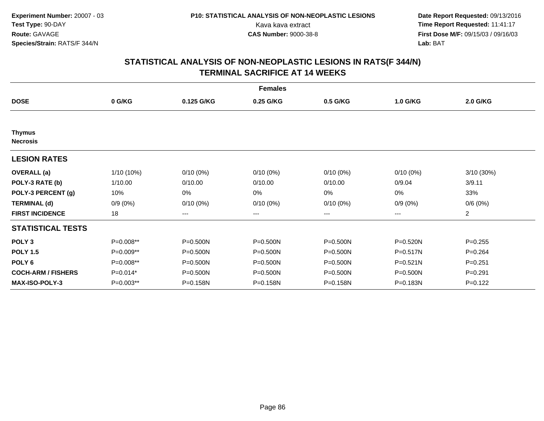| <b>Females</b>                   |            |                        |              |              |              |                |  |
|----------------------------------|------------|------------------------|--------------|--------------|--------------|----------------|--|
| <b>DOSE</b>                      | 0 G/KG     | 0.125 G/KG             | 0.25 G/KG    | 0.5 G/KG     | 1.0 G/KG     | 2.0 G/KG       |  |
|                                  |            |                        |              |              |              |                |  |
| <b>Thymus</b><br><b>Necrosis</b> |            |                        |              |              |              |                |  |
| <b>LESION RATES</b>              |            |                        |              |              |              |                |  |
| <b>OVERALL</b> (a)               | 1/10 (10%) | $0/10(0\%)$            | $0/10(0\%)$  | $0/10(0\%)$  | $0/10(0\%)$  | 3/10 (30%)     |  |
| POLY-3 RATE (b)                  | 1/10.00    | 0/10.00                | 0/10.00      | 0/10.00      | 0/9.04       | 3/9.11         |  |
| POLY-3 PERCENT (g)               | 10%        | 0%                     | 0%           | 0%           | 0%           | 33%            |  |
| <b>TERMINAL (d)</b>              | $0/9(0\%)$ | $0/10(0\%)$            | $0/10(0\%)$  | $0/10(0\%)$  | $0/9(0\%)$   | 0/6(0%)        |  |
| <b>FIRST INCIDENCE</b>           | 18         | $\qquad \qquad \cdots$ | ---          | ---          | ---          | $\overline{2}$ |  |
| <b>STATISTICAL TESTS</b>         |            |                        |              |              |              |                |  |
| POLY <sub>3</sub>                | P=0.008**  | $P = 0.500N$           | P=0.500N     | P=0.500N     | P=0.520N     | $P=0.255$      |  |
| <b>POLY 1.5</b>                  | P=0.009**  | $P = 0.500N$           | P=0.500N     | $P = 0.500N$ | $P = 0.517N$ | $P=0.264$      |  |
| POLY <sub>6</sub>                | P=0.008**  | $P = 0.500N$           | $P = 0.500N$ | $P = 0.500N$ | $P = 0.521N$ | $P=0.251$      |  |
| <b>COCH-ARM / FISHERS</b>        | $P=0.014*$ | $P = 0.500N$           | P=0.500N     | P=0.500N     | P=0.500N     | $P = 0.291$    |  |
| <b>MAX-ISO-POLY-3</b>            | P=0.003**  | P=0.158N               | P=0.158N     | P=0.158N     | P=0.183N     | $P=0.122$      |  |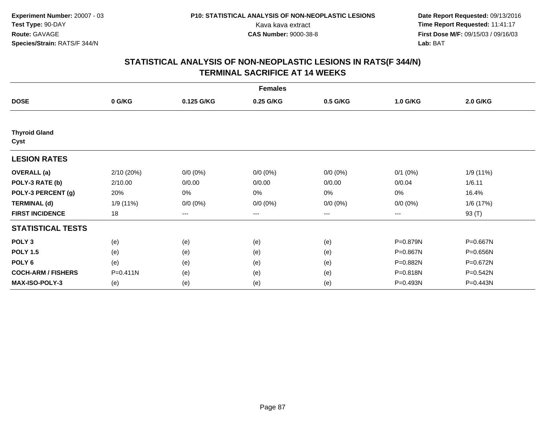| <b>Females</b>               |              |             |             |             |             |          |  |
|------------------------------|--------------|-------------|-------------|-------------|-------------|----------|--|
| <b>DOSE</b>                  | 0 G/KG       | 0.125 G/KG  | 0.25 G/KG   | 0.5 G/KG    | 1.0 G/KG    | 2.0 G/KG |  |
|                              |              |             |             |             |             |          |  |
| <b>Thyroid Gland</b><br>Cyst |              |             |             |             |             |          |  |
| <b>LESION RATES</b>          |              |             |             |             |             |          |  |
| <b>OVERALL</b> (a)           | 2/10 (20%)   | $0/0 (0\%)$ | $0/0 (0\%)$ | $0/0 (0\%)$ | $0/1$ (0%)  | 1/9(11%) |  |
| POLY-3 RATE (b)              | 2/10.00      | 0/0.00      | 0/0.00      | 0/0.00      | 0/0.04      | 1/6.11   |  |
| POLY-3 PERCENT (g)           | 20%          | 0%          | 0%          | 0%          | 0%          | 16.4%    |  |
| <b>TERMINAL (d)</b>          | 1/9 (11%)    | $0/0 (0\%)$ | $0/0 (0\%)$ | $0/0 (0\%)$ | $0/0 (0\%)$ | 1/6(17%) |  |
| <b>FIRST INCIDENCE</b>       | 18           | $--$        | ---         | ---         | ---         | 93 (T)   |  |
| <b>STATISTICAL TESTS</b>     |              |             |             |             |             |          |  |
| POLY <sub>3</sub>            | (e)          | (e)         | (e)         | (e)         | P=0.879N    | P=0.667N |  |
| <b>POLY 1.5</b>              | (e)          | (e)         | (e)         | (e)         | P=0.867N    | P=0.656N |  |
| POLY <sub>6</sub>            | (e)          | (e)         | (e)         | (e)         | P=0.882N    | P=0.672N |  |
| <b>COCH-ARM / FISHERS</b>    | $P = 0.411N$ | (e)         | (e)         | (e)         | P=0.818N    | P=0.542N |  |
| <b>MAX-ISO-POLY-3</b>        | (e)          | (e)         | (e)         | (e)         | P=0.493N    | P=0.443N |  |